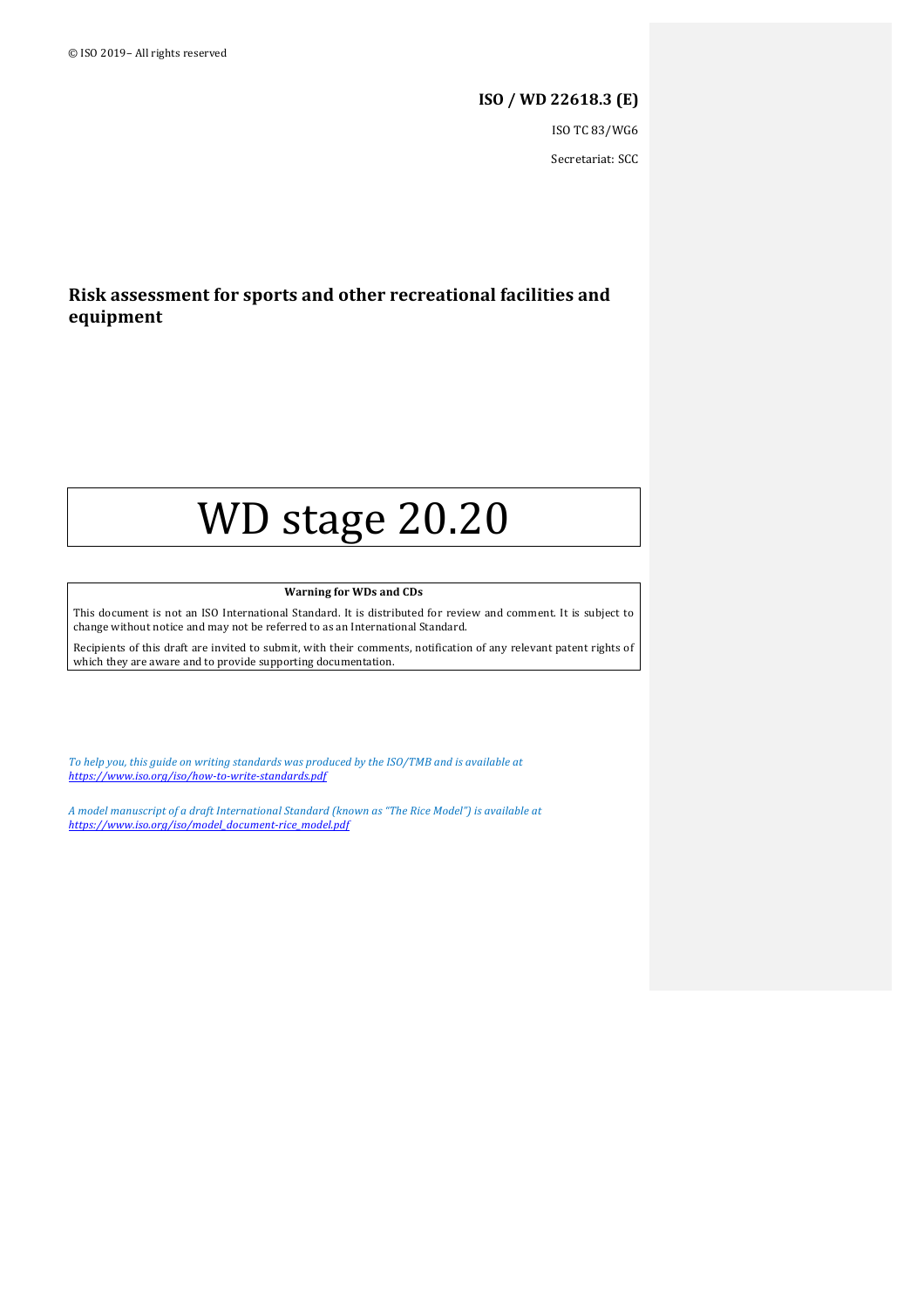# **ISO / WD 22618.3 (E)**

ISO TC 83/WG6 Secretariat: SCC

Risk assessment for sports and other recreational facilities and **equipment**

# WD stage 20.20

# **Warning for WDs and CDs**

This document is not an ISO International Standard. It is distributed for review and comment. It is subject to change without notice and may not be referred to as an International Standard.

Recipients of this draft are invited to submit, with their comments, notification of any relevant patent rights of which they are aware and to provide supporting documentation.

To help you, this guide on writing standards was produced by the ISO/TMB and is available at *https://www.iso.org/iso/how-to-write-standards.pdf*

*A* model manuscript of a draft International Standard (known as "The Rice Model") is available at *https://www.iso.org/iso/model\_document-rice\_model.pdf*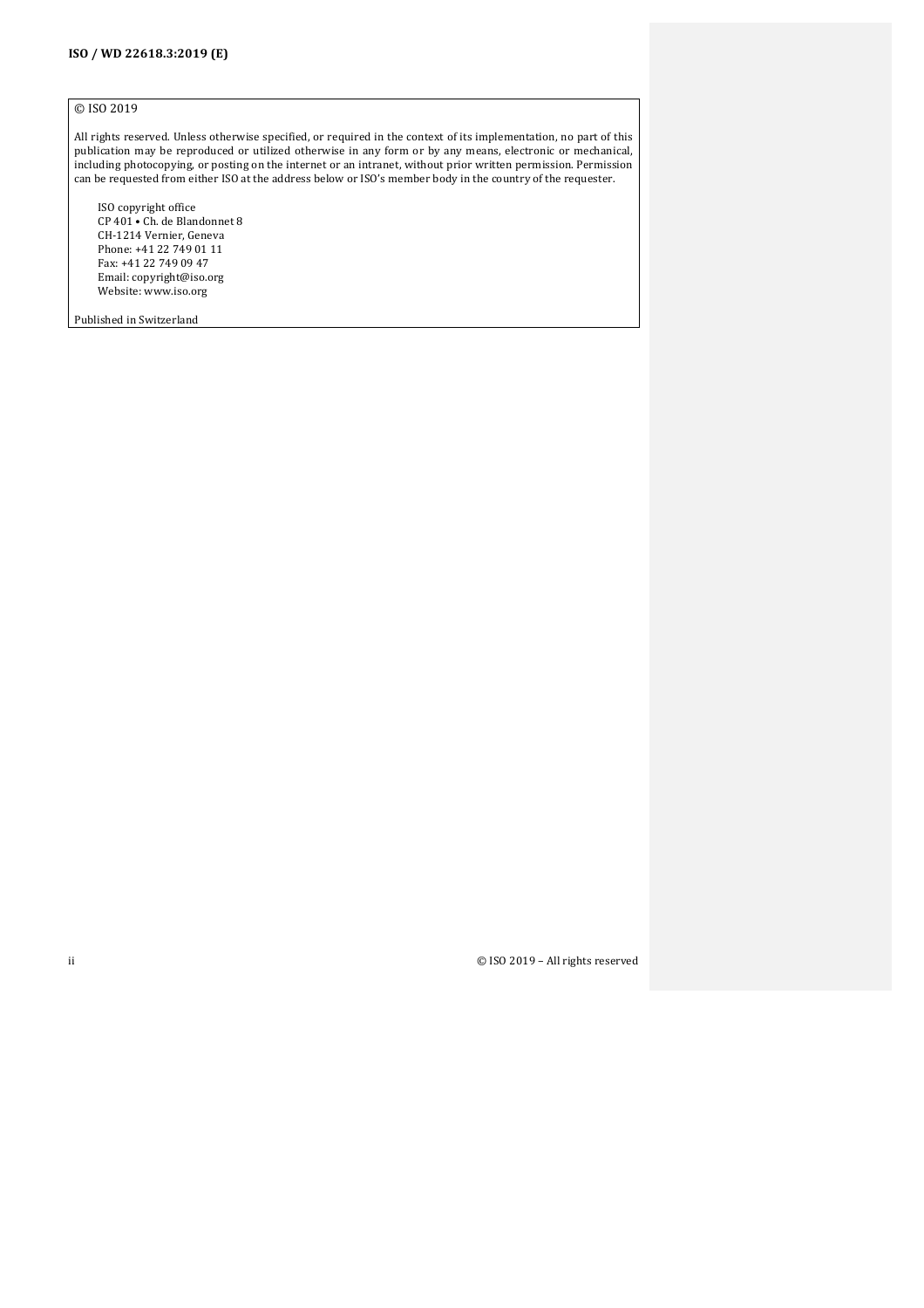#### © ISO 2019

All rights reserved. Unless otherwise specified, or required in the context of its implementation, no part of this publication may be reproduced or utilized otherwise in any form or by any means, electronic or mechanical, including photocopying, or posting on the internet or an intranet, without prior written permission. Permission can be requested from either ISO at the address below or ISO's member body in the country of the requester.

ISO copyright office CP 401 • Ch. de Blandonnet 8 CH-1214 Vernier, Geneva Phone: +41 22 749 01 11 Fax: +41 22 749 09 47 Email: copyright@iso.org Website: www.iso.org

Published in Switzerland

ii © ISO 2019 – All rights reserved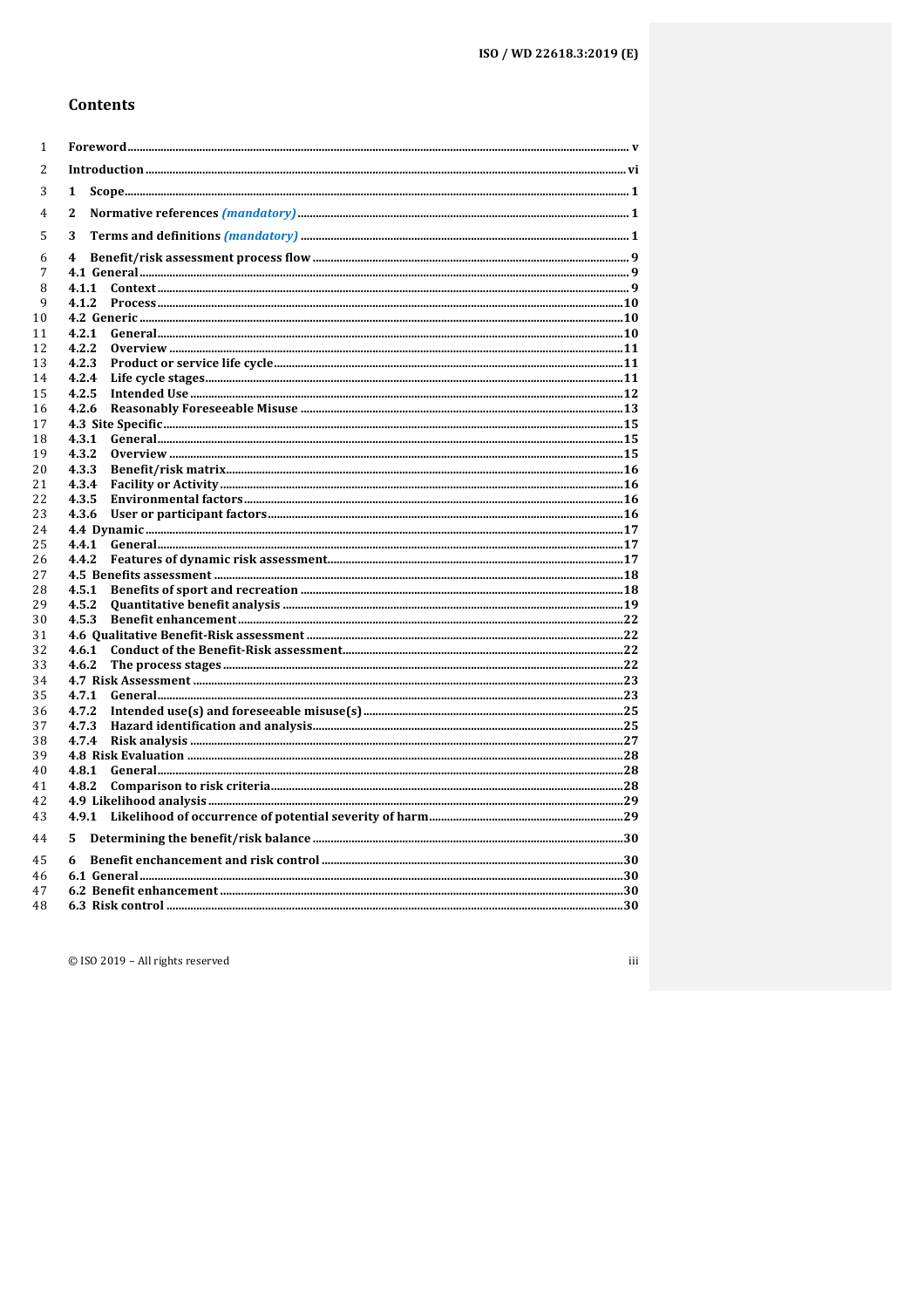# **Contents**

| 1        |                |  |
|----------|----------------|--|
| 2        |                |  |
| 3        | 1              |  |
| 4        | $\overline{2}$ |  |
|          | 3              |  |
| 5        |                |  |
| 6        | 4              |  |
| 7        |                |  |
| 8        | 4.1.1          |  |
| 9        | 4.1.2          |  |
| 10       | 4.2.1          |  |
| 11       | 4.2.2          |  |
| 12<br>13 | 4.2.3          |  |
| 14       | 4.2.4          |  |
| 15       | 4.2.5          |  |
| 16       | 4.2.6          |  |
| 17       |                |  |
| 18       | 4.3.1          |  |
| 19       | 4.3.2          |  |
| 20       | 4.3.3          |  |
| 21       | 4.3.4          |  |
| 22       | 4.3.5          |  |
| 23       | 4.3.6          |  |
| 24       |                |  |
| 25       | 4.4.1          |  |
| 26       | 4.4.2          |  |
| 27       |                |  |
| 28       | 4.5.1          |  |
| 29       | 4.5.2          |  |
| 30       | 4.5.3          |  |
| 31       |                |  |
| 32       | 4.6.1          |  |
| 33       | 4.6.2          |  |
| 34       |                |  |
| 35       | 4.7.1          |  |
| 36       | 4.7.2          |  |
| 37       | 4.7.3          |  |
| 38       | 4.7.4          |  |
| 39       |                |  |
| 40       | 4.8.1          |  |
| 41       | 4.8.2          |  |
| 42       |                |  |
| 43       | 4.9.1          |  |
| 44       | 5              |  |
| 45       | 6              |  |
| 46       |                |  |
| 47       |                |  |
| 48       |                |  |

© ISO 2019 - All rights reserved

 $\rm iii$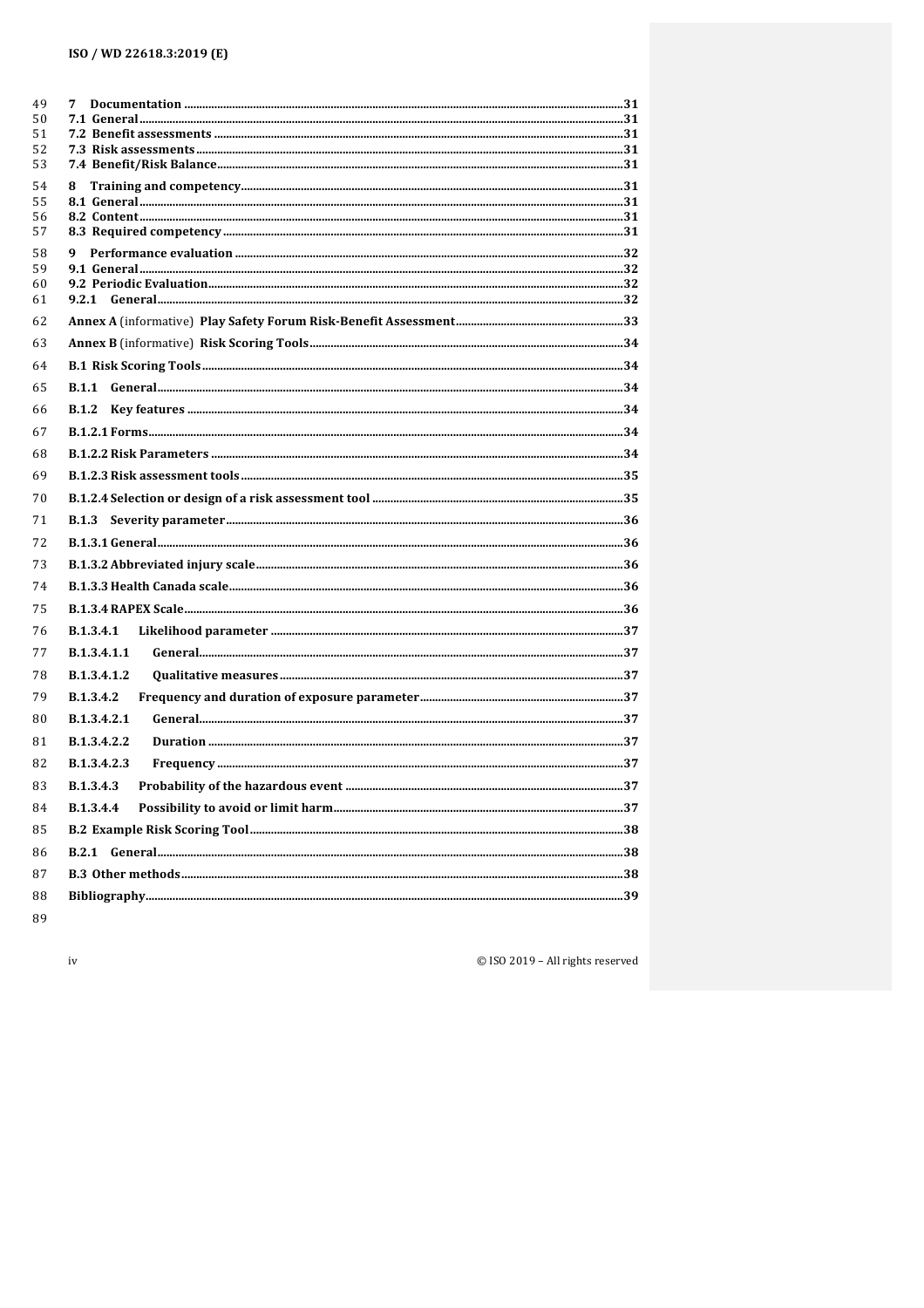| 49       |                  |     |
|----------|------------------|-----|
|          |                  |     |
| 50       |                  |     |
| 51<br>52 |                  |     |
| 53       |                  |     |
| 54       | 8                |     |
| 55       |                  |     |
| 56       |                  |     |
| 57       |                  |     |
| 58       | 9                |     |
| 59       |                  |     |
| 60<br>61 |                  |     |
| 62       |                  |     |
| 63       |                  |     |
| 64       |                  |     |
| 65       |                  |     |
| 66       |                  |     |
| 67       |                  |     |
| 68       |                  |     |
| 69       |                  |     |
| 70       |                  |     |
| 71       |                  |     |
| 72       |                  |     |
| 73       |                  |     |
|          |                  |     |
| 74       |                  |     |
| 75       |                  |     |
| 76       |                  |     |
| 77       | B.1.3.4.1.1      |     |
| 78       | B.1.3.4.1.2      |     |
| 79       | <b>B.1.3.4.2</b> |     |
| 80       | B.1.3.4.2.1      |     |
| 81       | B.1.3.4.2.2      |     |
| 82       | B.1.3.4.2.3      |     |
| 83       |                  | .37 |
| 84       | <b>B.1.3.4.4</b> |     |
| 85       |                  |     |
| 86       |                  |     |
| 87       |                  |     |
| 88       |                  |     |

 $\ensuremath{\text{i}} \ensuremath{\text{v}}$ 

© ISO 2019 - All rights reserved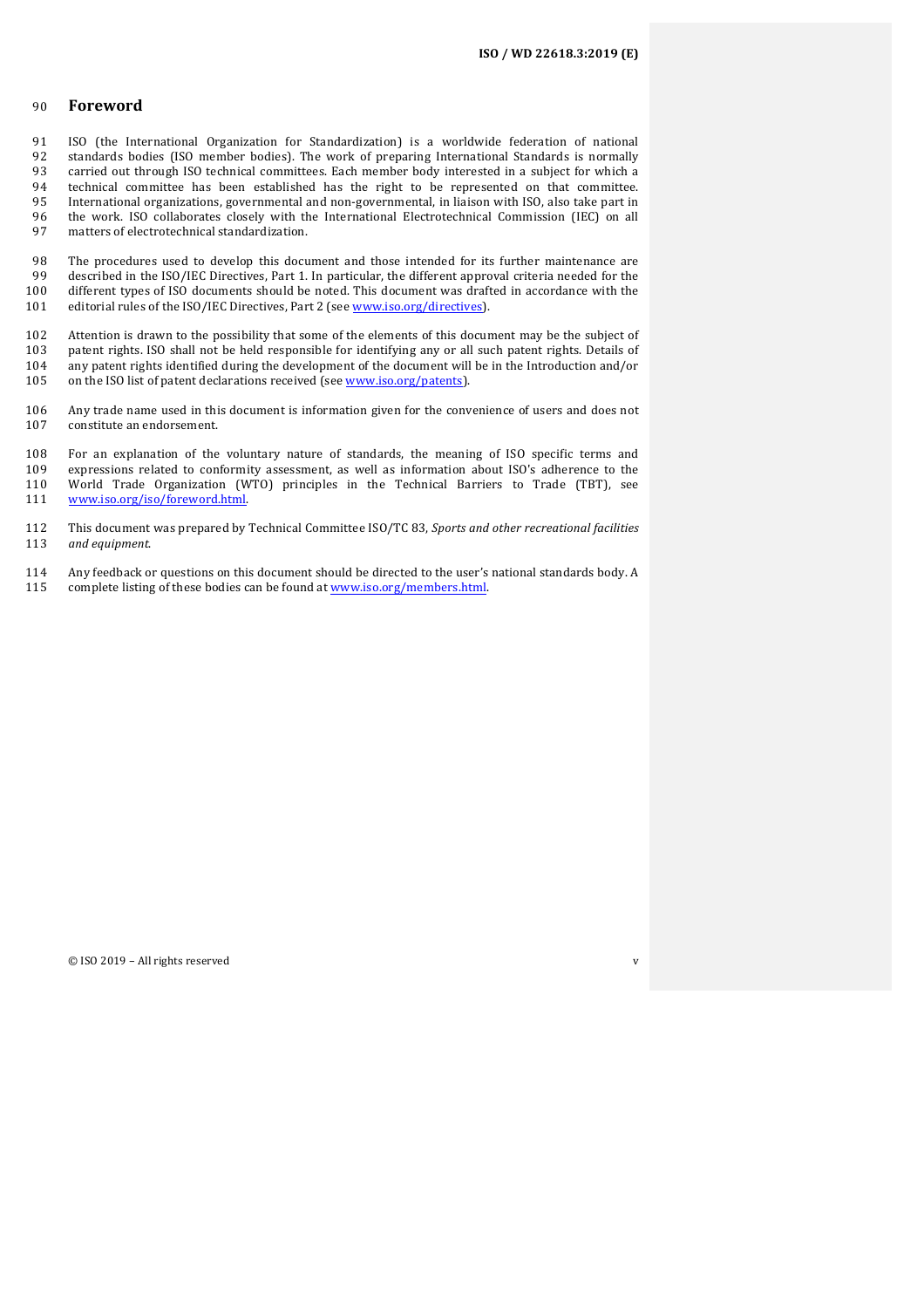#### 90 **Foreword**

91 ISO (the International Organization for Standardization) is a worldwide federation of national 92 standards bodies (ISO member bodies). The work of preparing International Standards is normally 93 carried out through ISO technical committees. Each member body interested in a subject for which a 94 technical committee has been established has the right to be represented on that committee.<br>95 International organizations governmental and non-governmental in liaison with ISO, also take part in International organizations, governmental and non-governmental, in liaison with ISO, also take part in 96 the work. ISO collaborates closely with the International Electrotechnical Commission (IEC) on all 97 matters of electrotechnical standardization.

98 The procedures used to develop this document and those intended for its further maintenance are 99 described in the ISO/IEC Directives, Part 1. In particular, the different approval criteria needed for the 100 different types of ISO documents should be noted. This document was drafted in accordance with the 101 editorial rules of the ISO/IEC Directives, Part 2 (see www.iso.org/directives).

102 Attention is drawn to the possibility that some of the elements of this document may be the subject of 103 patent rights. ISO shall not be held responsible for identifying any or all such patent rights. Details of 104 any patent rights identified during the development of the document will be in the Introduction and/or 105 on the ISO list of patent declarations received (see www.iso.org/patents).

106 Any trade name used in this document is information given for the convenience of users and does not 107 constitute an endorsement.

108 For an explanation of the voluntary nature of standards, the meaning of ISO specific terms and 109 expressions related to conformity assessment, as well as information about ISO's adherence to the 110 World Trade Organization (WTO) principles in the Technical Barriers to Trade (TBT), see 111 www.iso.org/iso/foreword.html.

112 This document was prepared by Technical Committee ISO/TC 83, *Sports and other recreational facilities* 113 and equipment.

114 Any feedback or questions on this document should be directed to the user's national standards body. A 115 complete listing of these bodies can be found at www.iso.org/members.html.

 $\odot$  ISO 2019 – All rights reserved v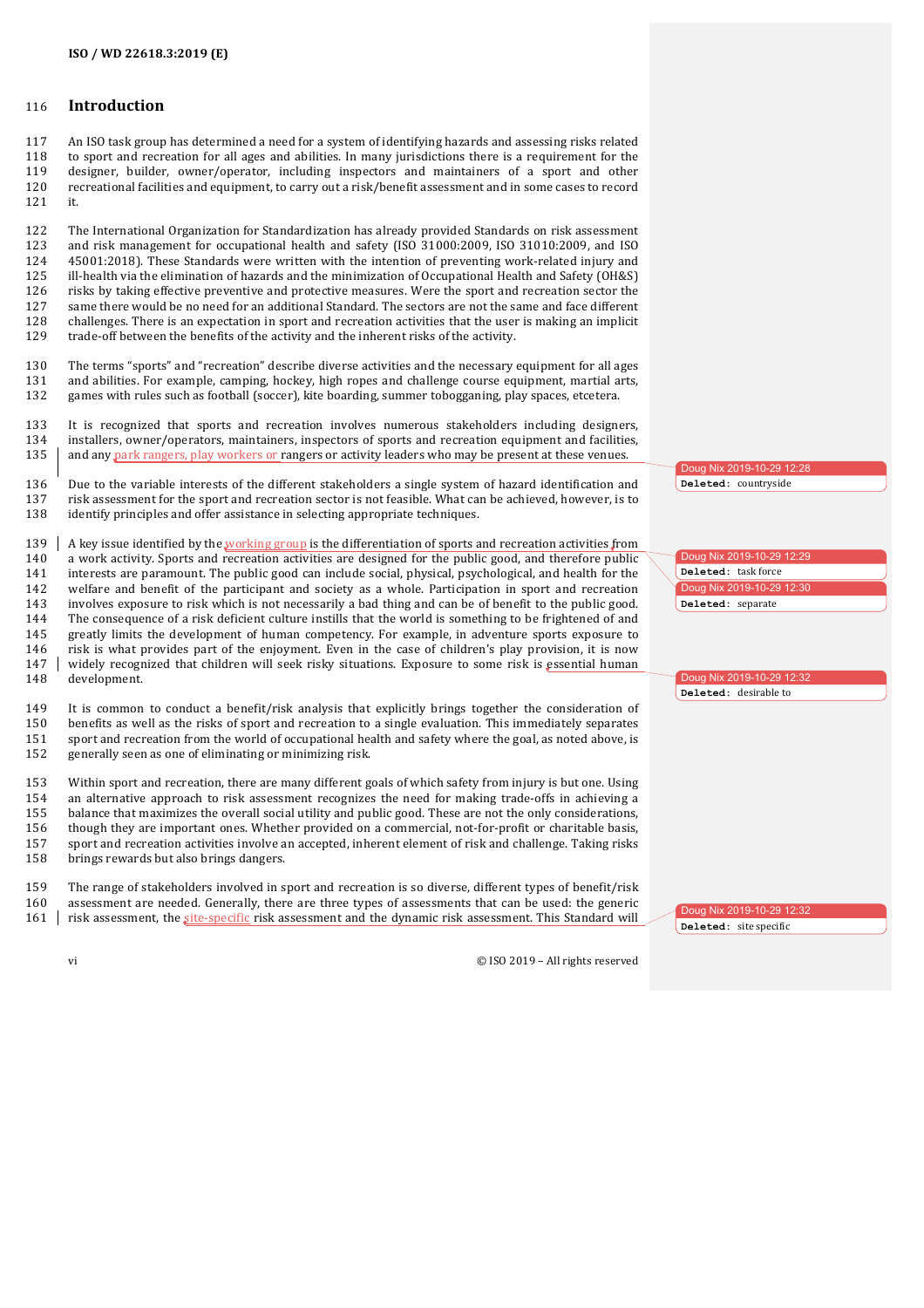### 116 **Introduction**

117 An ISO task group has determined a need for a system of identifying hazards and assessing risks related 118 to sport and recreation for all ages and abilities. In many jurisdictions there is a requirement for the 119 designer, builder, owner/operator, including inspectors and maintainers of a sport and other 120 recreational facilities and equipment, to carry out a risk/benefit assessment and in some cases to record 121 it.

122 The International Organization for Standardization has already provided Standards on risk assessment 123 and risk management for occupational health and safety (ISO 31000:2009, ISO 31010:2009, and ISO 124 45001:2018). These Standards were written with the intention of preventing work-related injury and 125 ill-health via the elimination of hazards and the minimization of Occupational Health and Safety (OH&S) 126 risks by taking effective preventive and protective measures. Were the sport and recreation sector the 127 same there would be no need for an additional Standard. The sectors are not the same and face different 128 challenges. There is an expectation in sport and recreation activities that the user is making an implicit 129 trade-off between the benefits of the activity and the inherent risks of the activity.

130 The terms "sports" and "recreation" describe diverse activities and the necessary equipment for all ages 131 and abilities. For example, camping, hockey, high ropes and challenge course equipment, martial arts, 132 games with rules such as football (soccer), kite boarding, summer tobogganing, play spaces, etcetera.

133 It is recognized that sports and recreation involves numerous stakeholders including designers, 134 installers, owner/operators, maintainers, inspectors of sports and recreation equipment and facilities,<br>135 and any park rangers, play workers or rangers or activity leaders who may be present at these venues. and any park rangers, play workers or rangers or activity leaders who may be present at these venues.

136 Due to the variable interests of the different stakeholders a single system of hazard identification and 137 risk assessment for the sport and recreation sector is not feasible. What can be achieved, however, is to 138 identify principles and offer assistance in selecting appropriate techniques.

139  $\parallel$  A key issue identified by the *working group* is the differentiation of sports and recreation activities from

140 a work activity. Sports and recreation activities are designed for the public good, and therefore public 141 interests are paramount. The public good can include social, physical, psychological, and health for the 142 welfare and benefit of the participant and society as a whole. Participation in sport and recreation 143 involves exposure to risk which is not necessarily a bad thing and can be of benefit to the public good.<br>144 The consequence of a risk deficient culture instills that the world is something to be frightened of and The consequence of a risk deficient culture instills that the world is something to be frightened of and 145 greatly limits the development of human competency. For example, in adventure sports exposure to 146 risk is what provides part of the enjoyment. Even in the case of children's play provision, it is now 147 widely recognized that children will seek risky situations. Exposure to some risk is essential human 148 development. 

149 It is common to conduct a benefit/risk analysis that explicitly brings together the consideration of 150 benefits as well as the risks of sport and recreation to a single evaluation. This immediately separates benefits as well as the risks of sport and recreation to a single evaluation. This immediately separates 151 sport and recreation from the world of occupational health and safety where the goal, as noted above, is 152 generally seen as one of eliminating or minimizing risk.

153 Within sport and recreation, there are many different goals of which safety from injury is but one. Using 154 an alternative approach to risk assessment recognizes the need for making trade-offs in achieving a 155 balance that maximizes the overall social utility and public good. These are not the only considerations, 156 though they are important ones. Whether provided on a commercial, not-for-profit or charitable basis, 157 sport and recreation activities involve an accepted, inherent element of risk and challenge. Taking risks 158 brings rewards but also brings dangers.

159 The range of stakeholders involved in sport and recreation is so diverse, different types of benefit/risk 160 assessment are needed. Generally, there are three types of assessments that can be used: the generic 161 risk assessment, the site-specific risk assessment and the dynamic risk assessment. This Standard will

vi © ISO 2019 – All rights reserved

Doug Nix 2019-10-29 12:2 Deleted: countryside

Doug Nix 2019-10-29 12:2 Deleted: task force Doug Nix 2019-10-29 12 164 **Deleted:** separate 

Doug Nix 2019-10-29 12 Deleted: desirable to

Doug Nix 2019-10-29 12 Deleted: site specific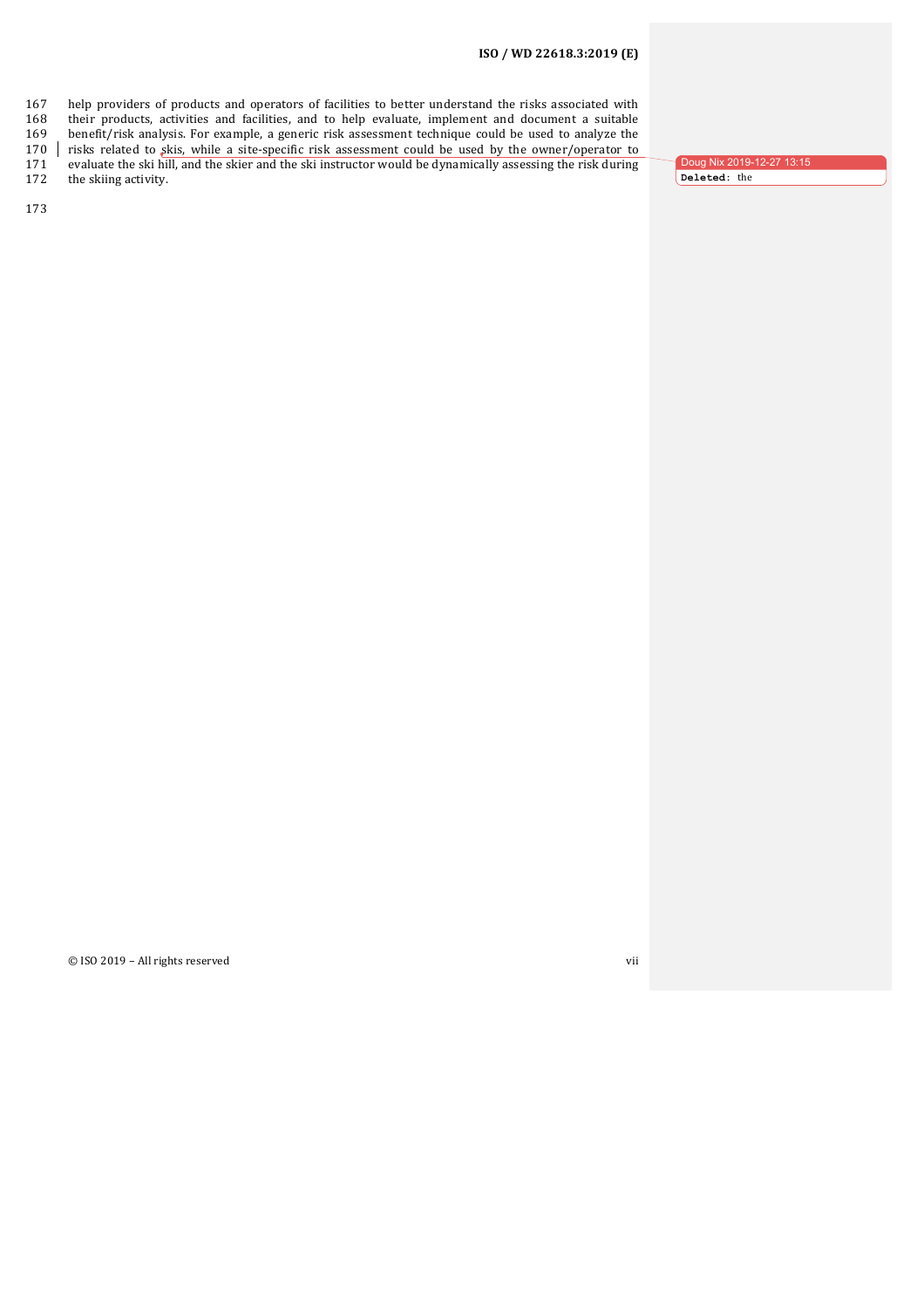167 help providers of products and operators of facilities to better understand the risks associated with 168 their products, activities and facilities, and to help evaluate, implement and document a suitable

their products, activities and facilities, and to help evaluate, implement and document a suitable

169 benefit/risk analysis. For example, a generic risk assessment technique could be used to analyze the 170  $\vert$  risks related to *skis*, while a site-specific risk assessment could be used by the owner/operator to risks related to skis, while a site-specific risk assessment could be used by the owner/operator to

171 evaluate the ski hill, and the skier and the ski instructor would be dynamically assessing the risk during<br>172 the skiing activity. the skiing activity.

Doug Nix 2019-12-27 13:1 Deleted: the

173

© ISO 2019 – All rights reserved vii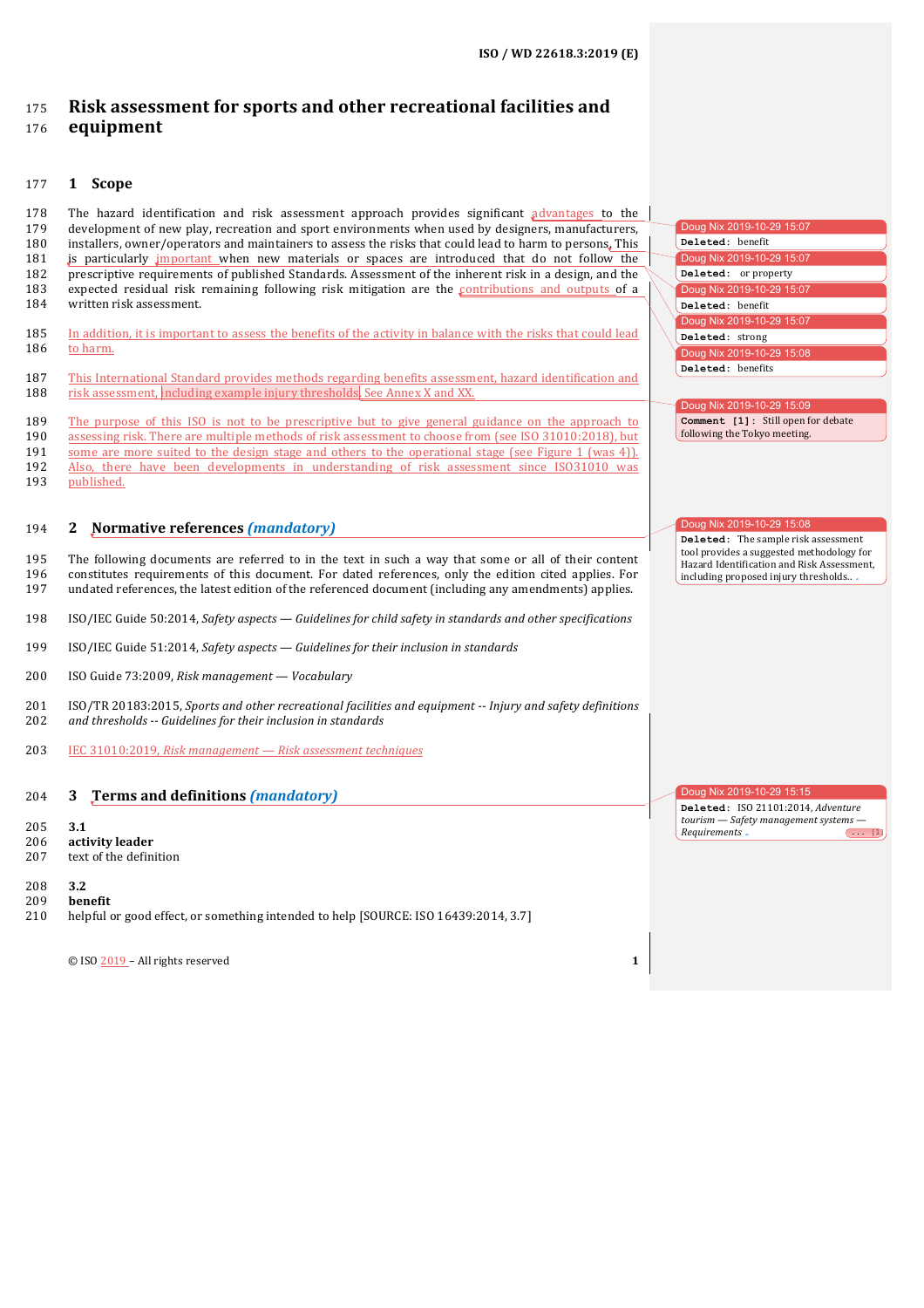# 175 Risk assessment for sports and other recreational facilities and <sup>176</sup> **equipment**

# 177 **1 Scope**

| 178<br>179<br>180<br>181<br>182<br>183<br>184<br>185<br>186<br>187<br>188 | The hazard identification and risk assessment approach provides significant advantages to the<br>development of new play, recreation and sport environments when used by designers, manufacturers,<br>installers, owner/operators and maintainers to assess the risks that could lead to harm to persons. This<br>is particularly important when new materials or spaces are introduced that do not follow the<br>prescriptive requirements of published Standards. Assessment of the inherent risk in a design, and the<br>expected residual risk remaining following risk mitigation are the contributions and outputs of a<br>written risk assessment.<br>In addition, it is important to assess the benefits of the activity in balance with the risks that could lead<br>to harm.<br>This International Standard provides methods regarding benefits assessment, hazard identification and<br>risk assessment, including example injury thresholds. See Annex X and XX. | Doug Nix 2019-10-29 15:07<br>Deleted: benefit<br>Doug Nix 2019-10-29 15:07<br>Deleted: or property<br>Doug Nix 2019-10-29 15:07<br>Deleted: benefit<br>Doug Nix 2019-10-29 15:07<br>Deleted: strong<br>Doug Nix 2019-10-29 15:08<br>Deleted: benefits |
|---------------------------------------------------------------------------|------------------------------------------------------------------------------------------------------------------------------------------------------------------------------------------------------------------------------------------------------------------------------------------------------------------------------------------------------------------------------------------------------------------------------------------------------------------------------------------------------------------------------------------------------------------------------------------------------------------------------------------------------------------------------------------------------------------------------------------------------------------------------------------------------------------------------------------------------------------------------------------------------------------------------------------------------------------------------|-------------------------------------------------------------------------------------------------------------------------------------------------------------------------------------------------------------------------------------------------------|
| 189<br>190<br>191<br>192<br>193                                           | The purpose of this ISO is not to be prescriptive but to give general guidance on the approach to<br>assessing risk. There are multiple methods of risk assessment to choose from (see ISO 31010:2018), but<br>some are more suited to the design stage and others to the operational stage (see Figure 1 (was 4)).<br>Also, there have been developments in understanding of risk assessment since ISO31010 was<br>published.                                                                                                                                                                                                                                                                                                                                                                                                                                                                                                                                               | Doug Nix 2019-10-29 15:09<br>Comment [1]: Still open for debate<br>following the Tokyo meeting.                                                                                                                                                       |
| 194                                                                       | Normative references (mandatory)<br>$\mathbf{2}$                                                                                                                                                                                                                                                                                                                                                                                                                                                                                                                                                                                                                                                                                                                                                                                                                                                                                                                             | Doug Nix 2019-10-29 15:08                                                                                                                                                                                                                             |
| 195<br>196<br>197<br>198                                                  | The following documents are referred to in the text in such a way that some or all of their content<br>constitutes requirements of this document. For dated references, only the edition cited applies. For<br>undated references, the latest edition of the referenced document (including any amendments) applies.<br>ISO/IEC Guide 50:2014, Safety aspects - Guidelines for child safety in standards and other specifications                                                                                                                                                                                                                                                                                                                                                                                                                                                                                                                                            | Deleted: The sample risk assessment<br>tool provides a suggested methodology for<br>Hazard Identification and Risk Assessment,<br>including proposed injury thresholds                                                                                |
| 199                                                                       | ISO/IEC Guide 51:2014, Safety aspects - Guidelines for their inclusion in standards                                                                                                                                                                                                                                                                                                                                                                                                                                                                                                                                                                                                                                                                                                                                                                                                                                                                                          |                                                                                                                                                                                                                                                       |
| 200                                                                       | ISO Guide 73:2009, Risk management - Vocabulary                                                                                                                                                                                                                                                                                                                                                                                                                                                                                                                                                                                                                                                                                                                                                                                                                                                                                                                              |                                                                                                                                                                                                                                                       |
| 201<br>202                                                                | ISO/TR 20183:2015, Sports and other recreational facilities and equipment -- Injury and safety definitions<br>and thresholds -- Guidelines for their inclusion in standards                                                                                                                                                                                                                                                                                                                                                                                                                                                                                                                                                                                                                                                                                                                                                                                                  |                                                                                                                                                                                                                                                       |
| 203                                                                       | IEC 31010:2019, Risk management - Risk assessment techniques                                                                                                                                                                                                                                                                                                                                                                                                                                                                                                                                                                                                                                                                                                                                                                                                                                                                                                                 |                                                                                                                                                                                                                                                       |
| 204<br>205<br>206                                                         | <b>Terms and definitions (mandatory)</b><br>3<br>3.1<br>activity leader                                                                                                                                                                                                                                                                                                                                                                                                                                                                                                                                                                                                                                                                                                                                                                                                                                                                                                      | Doug Nix 2019-10-29 15:15<br>Deleted: ISO 21101:2014, Adventure<br>$tourism - Safety$ management systems $-$<br>Requirements.<br>$\left( \cdots \right)$ [1]                                                                                          |
| 207                                                                       | text of the definition                                                                                                                                                                                                                                                                                                                                                                                                                                                                                                                                                                                                                                                                                                                                                                                                                                                                                                                                                       |                                                                                                                                                                                                                                                       |
| 208<br>209<br>210                                                         | 3.2<br>benefit<br>helpful or good effect, or something intended to help [SOURCE: ISO 16439:2014, 3.7]                                                                                                                                                                                                                                                                                                                                                                                                                                                                                                                                                                                                                                                                                                                                                                                                                                                                        |                                                                                                                                                                                                                                                       |

© ISO <u>2019</u> – All rights reserved **1**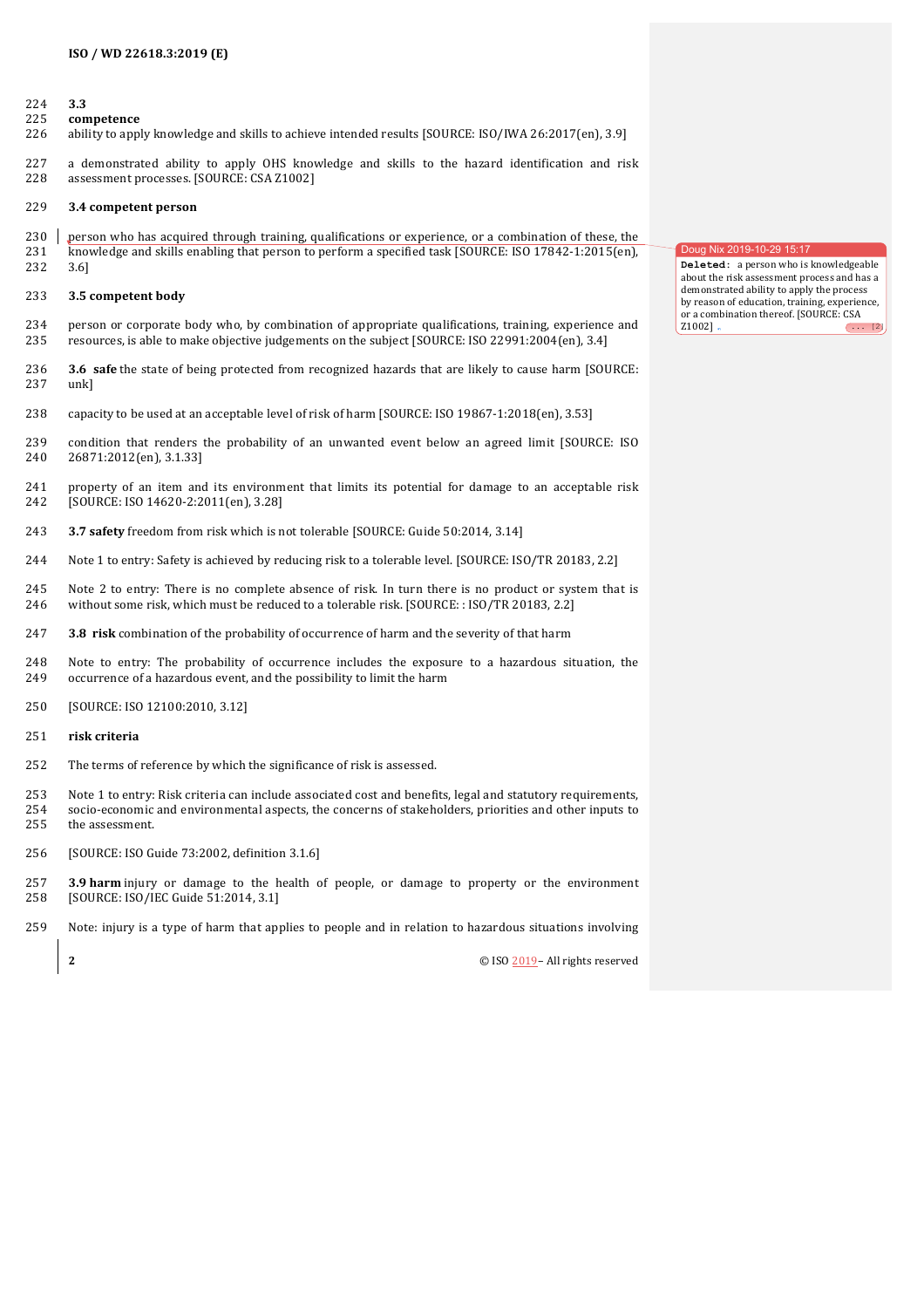#### 224 **3.3**

#### 225 **competence**

226 ability to apply knowledge and skills to achieve intended results [SOURCE: ISO/IWA 26:2017(en), 3.9]

227 a demonstrated ability to apply OHS knowledge and skills to the hazard identification and risk 228 assessment processes. [SOURCE: CSA Z1002]

#### 229 **3.4 competent person**

230 person who has acquired through training, qualifications or experience, or a combination of these, the 231 knowledge and skills enabling that person to perform a specified task [SOURCE: ISO 17842-1:2015(en), 232 3.6]

#### 233 3.5 competent body

- 234 person or corporate body who, by combination of appropriate qualifications, training, experience and 235 resources, is able to make objective judgements on the subject [SOURCE: ISO 22991:2004(en), 3.4]
- 236 **3.6 safe** the state of being protected from recognized hazards that are likely to cause harm [SOURCE: 237 unk] unk]
- 238 capacity to be used at an acceptable level of risk of harm [SOURCE: ISO 19867-1:2018(en), 3.53]
- 239 condition that renders the probability of an unwanted event below an agreed limit [SOURCE: ISO 240 26871:2012(en), 3.1.33]
- 241 property of an item and its environment that limits its potential for damage to an acceptable risk 242 [SOURCE: ISO 14620-2:2011(en), 3.28]
- 243 **3.7 safety** freedom from risk which is not tolerable [SOURCE: Guide 50:2014, 3.14]
- 244 Note 1 to entry: Safety is achieved by reducing risk to a tolerable level. [SOURCE: ISO/TR 20183, 2.2]
- 245 Note 2 to entry: There is no complete absence of risk. In turn there is no product or system that is 246 without some risk, which must be reduced to a tolerable risk. [SOURCE:: ISO/TR 20183, 2.2]
- 247 **3.8 risk** combination of the probability of occurrence of harm and the severity of that harm
- 248 Note to entry: The probability of occurrence includes the exposure to a hazardous situation, the 249 occurrence of a hazardous event, and the possibility to limit the harm
- 250 [SOURCE: ISO 12100:2010, 3.12]
- 251 **risk criteria**
- 252 The terms of reference by which the significance of risk is assessed.
- 253 Note 1 to entry: Risk criteria can include associated cost and benefits, legal and statutory requirements, 254 socio-economic and environmental aspects, the concerns of stakeholders, priorities and other inputs to 255 the assessment.
- 256 [SOURCE: ISO Guide 73:2002, definition 3.1.6]
- 257 **3.9 harm** injury or damage to the health of people, or damage to property or the environment 258 [SOURCE: ISO/IEC Guide 51:2014, 3.1]
- 259 Note: injury is a type of harm that applies to people and in relation to hazardous situations involving

**2** © ISO 2019– All rights reserved

#### Doug Nix 2019-10-29

Deleted: a person who is knowledgeable about the risk assessment process and has a demonstrated ability to apply the process by reason of education, training, experience, or a combination thereof. [SOURCE: CSA Z1002]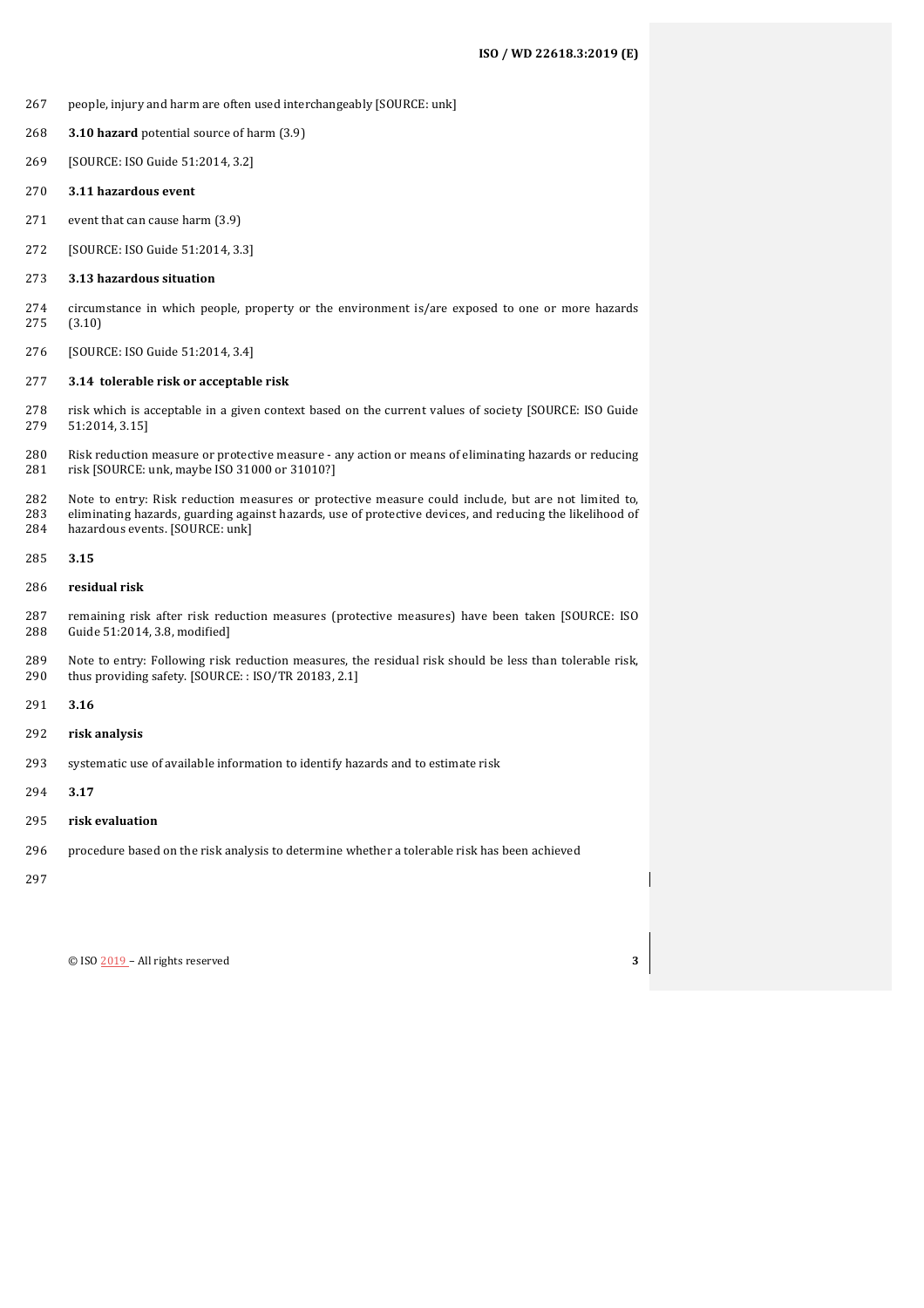- 267 people, injury and harm are often used interchangeably [SOURCE: unk]
- 268 **3.10 hazard** potential source of harm (3.9)
- 269 [SOURCE: ISO Guide 51:2014, 3.2]
- 270 3.11 hazardous event
- 271 event that can cause harm (3.9)
- 272 [SOURCE: ISO Guide 51:2014, 3.3]
- 273 **3.13 hazardous situation**
- 274 circumstance in which people, property or the environment is/are exposed to one or more hazards 275 (3.10)
- 276 [SOURCE: ISO Guide 51:2014, 3.4]

# 277 **3.14 tolerable risk or acceptable risk**

- 278 risk which is acceptable in a given context based on the current values of society [SOURCE: ISO Guide 279 51:2014, 3.15]
- 280 Risk reduction measure or protective measure any action or means of eliminating hazards or reducing 281 risk [SOURCE: unk, maybe ISO 31000 or 31010?]
- 282 Note to entry: Risk reduction measures or protective measure could include, but are not limited to, 283 eliminating hazards, guarding against hazards, use of protective devices, and reducing the likelihood of 284 hazardous events. [SOURCE: unk]
- 285 **3.15**
- 286 **residual risk**
- 287 remaining risk after risk reduction measures (protective measures) have been taken [SOURCE: ISO 288 Guide 51:2014, 3.8, modified]
- 289 Note to entry: Following risk reduction measures, the residual risk should be less than tolerable risk,<br>290 thus providing safety. [SOURCE:: ISO/TR 20183, 2.1] thus providing safety.  $[SOURCE::ISO/TR 20183, 2.1]$
- 291 **3.16**
- 292 **risk analysis**
- 293 systematic use of available information to identify hazards and to estimate risk
- 294 **3.17**
- 295 **risk evaluation**
- 296 procedure based on the risk analysis to determine whether a tolerable risk has been achieved
- 297

© ISO 2019 – All rights reserved **3**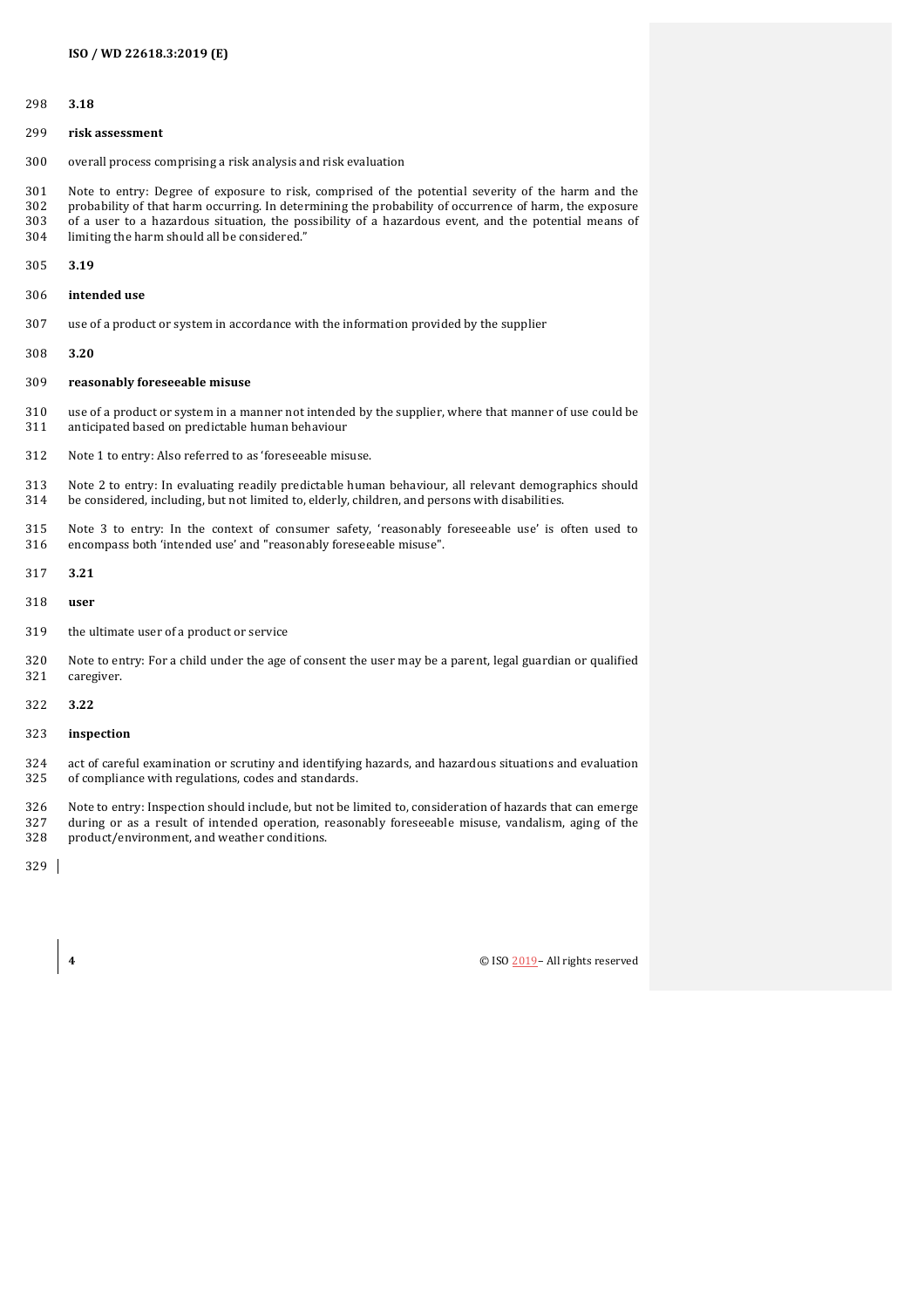298 **3.18** 

#### 299 **risk assessment**

300 overall process comprising a risk analysis and risk evaluation

301 Note to entry: Degree of exposure to risk, comprised of the potential severity of the harm and the 302 probability of that harm occurring. In determining the probability of occurrence of harm, the exposure 303 of a user to a hazardous situation, the possibility of a hazardous event, and the potential means of

- 304 limiting the harm should all be considered."
- 305 **3.19**
- 306 **intended use**
- 307 use of a product or system in accordance with the information provided by the supplier
- 308 **3.20**

#### 309 **reasonably foreseeable misuse**

310 use of a product or system in a manner not intended by the supplier, where that manner of use could be 311 anticipated based on predictable human behaviour

- 312 Note 1 to entry: Also referred to as 'foreseeable misuse.
- 313 Note 2 to entry: In evaluating readily predictable human behaviour, all relevant demographics should 314 be considered, including, but not limited to, elderly, children, and persons with disabilities.
- 315 Note 3 to entry: In the context of consumer safety, 'reasonably foreseeable use' is often used to 316 encompass both 'intended use' and "reasonably foreseeable misuse".
- 317 **3.21**
- 318 **user**
- 319 the ultimate user of a product or service
- 320 Note to entry: For a child under the age of consent the user may be a parent, legal guardian or qualified caregiver. caregiver.
- 322 **3.22**
- 323 **inspection**
- 324 act of careful examination or scrutiny and identifying hazards, and hazardous situations and evaluation 325 of compliance with regulations, codes and standards.
- 326 Note to entry: Inspection should include, but not be limited to, consideration of hazards that can emerge 327 during or as a result of intended operation, reasonably foreseeable misuse, vandalism, aging of the 328 product/environment, and weather conditions.
- 329

**4**  $\odot$  ISO 2019– All rights reserved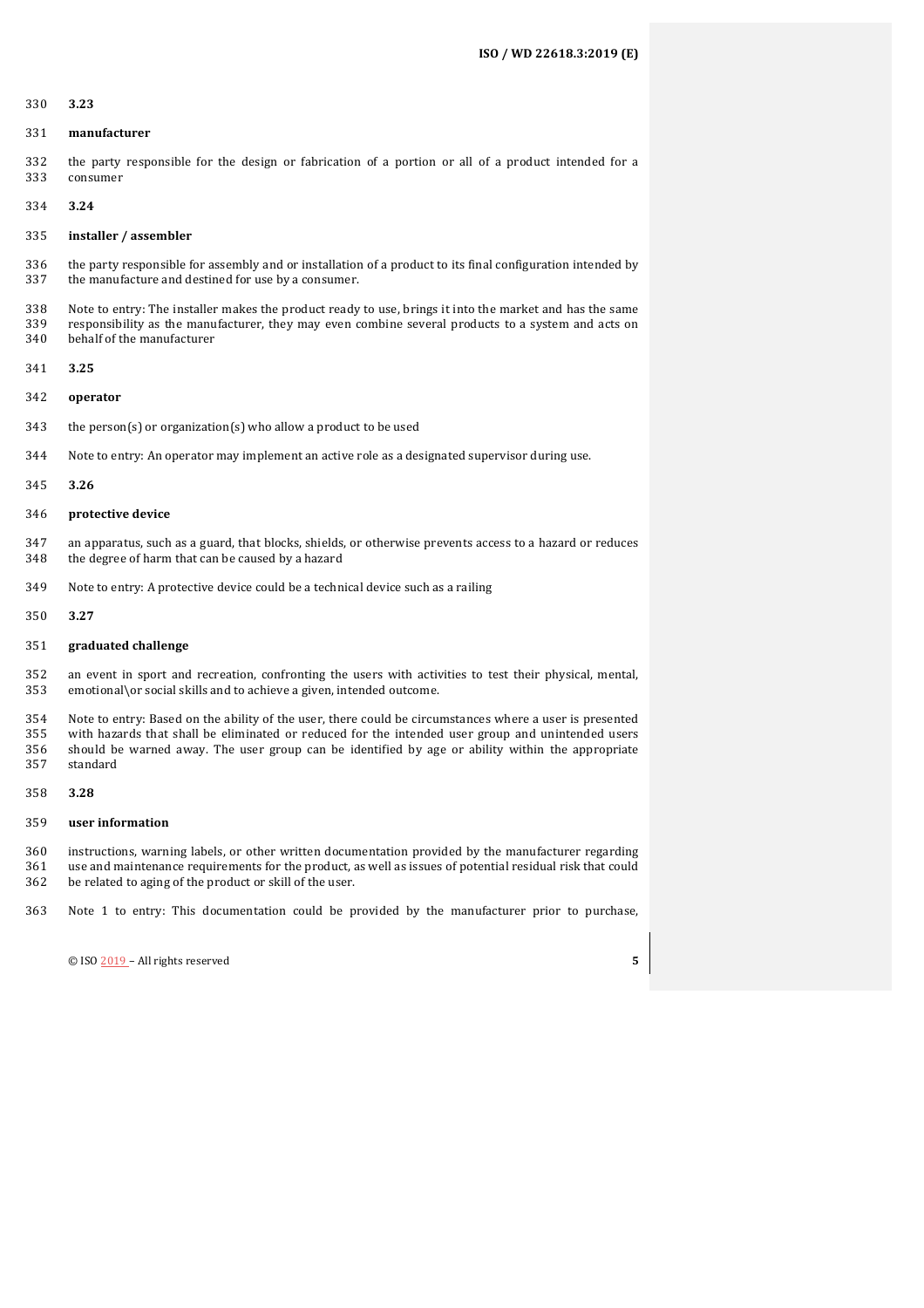#### 330 **3.23**

#### 331 **manufacturer**

332 the party responsible for the design or fabrication of a portion or all of a product intended for a 333 consumer

#### 334 **3.24**

#### 335 **installer** / assembler

336 the party responsible for assembly and or installation of a product to its final configuration intended by<br>337 the manufacture and destined for use by a consumer. the manufacture and destined for use by a consumer.

338 Note to entry: The installer makes the product ready to use, brings it into the market and has the same 339 responsibility as the manufacturer, they may even combine several products to a system and acts on 340 behalf of the manufacturer

341 **3.25** 

#### 342 **operator**

- 343 the person(s) or organization(s) who allow a product to be used
- 344 Note to entry: An operator may implement an active role as a designated supervisor during use.

345 **3.26**

#### 346 **protective device**

347 an apparatus, such as a guard, that blocks, shields, or otherwise prevents access to a hazard or reduces 348 the degree of harm that can be caused by a hazard

349 Note to entry: A protective device could be a technical device such as a railing

#### 350 **3.27**

#### 351 **graduated challenge**

352 an event in sport and recreation, confronting the users with activities to test their physical, mental,  $353$  emotional\or social skills and to achieve a given, intended outcome. emotional\or social skills and to achieve a given, intended outcome.

354 Note to entry: Based on the ability of the user, there could be circumstances where a user is presented 355 with hazards that shall be eliminated or reduced for the intended user group and unintended users 356 should be warned away. The user group can be identified by age or ability within the appropriate 357 standard

358 **3.28**

#### 359 **user information**

360 instructions, warning labels, or other written documentation provided by the manufacturer regarding 361 use and maintenance requirements for the product, as well as issues of potential residual risk that could 362 be related to aging of the product or skill of the user.

363 Note 1 to entry: This documentation could be provided by the manufacturer prior to purchase,

© ISO 2019 – All rights reserved **5**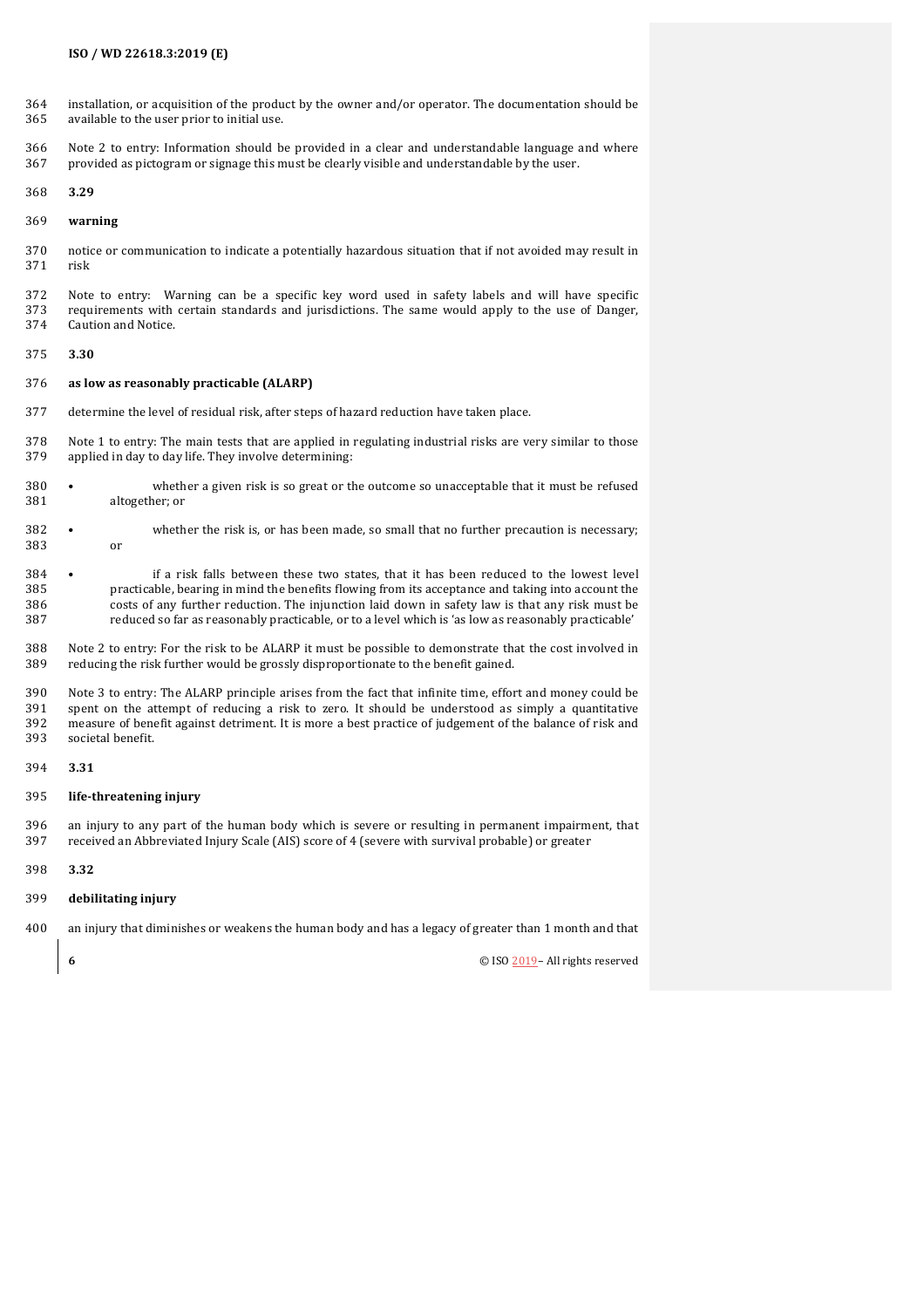364 installation, or acquisition of the product by the owner and/or operator. The documentation should be  $365$  available to the user prior to initial use.

366 Note 2 to entry: Information should be provided in a clear and understandable language and where 367 provided as pictogram or signage this must be clearly visible and understandable by the user.

368 **3.29** 

#### 369 **warning**

370 notice or communication to indicate a potentially hazardous situation that if not avoided may result in 371 risk

372 Note to entry: Warning can be a specific key word used in safety labels and will have specific 373 requirements with certain standards and jurisdictions. The same would apply to the use of Danger, 374 Caution and Notice.

#### 375 **3.30**

#### 376 **as low as reasonably practicable (ALARP)**

- 377 determine the level of residual risk, after steps of hazard reduction have taken place.
- 378 Note 1 to entry: The main tests that are applied in regulating industrial risks are very similar to those 379 applied in day to day life. They involve determining:
- $380$  whether a given risk is so great or the outcome so unacceptable that it must be refused 381 altogether; or
- 382 whether the risk is, or has been made, so small that no further precaution is necessary; 383 or
- 384 if a risk falls between these two states, that it has been reduced to the lowest level 385 practicable, bearing in mind the benefits flowing from its acceptance and taking into account the 386 costs of any further reduction. The injunction laid down in safety law is that any risk must be 387 reduced so far as reasonably practicable, or to a level which is 'as low as reasonably practicable'

388 Note 2 to entry: For the risk to be ALARP it must be possible to demonstrate that the cost involved in 389 reducing the risk further would be grossly disproportionate to the benefit gained.

390 Note 3 to entry: The ALARP principle arises from the fact that infinite time, effort and money could be 391 spent on the attempt of reducing a risk to zero. It should be understood as simply a quantitative 392 measure of benefit against detriment. It is more a best practice of judgement of the balance of risk and 393 societal benefit.

394 **3.31** 

#### 395 **life-threatening injury**

396 an injury to any part of the human body which is severe or resulting in permanent impairment, that 397 received an Abbreviated Injury Scale (AIS) score of 4 (severe with survival probable) or greater

- 398 **3.32**
- 399 **debilitating injury**

400 an injury that diminishes or weakens the human body and has a legacy of greater than 1 month and that

**6**  $\degree$  **6**  $\degree$  **6**  $\degree$  **6**  $\degree$  **6**  $\degree$  **6**  $\degree$  **6**  $\degree$  **6**  $\degree$  **6**  $\degree$  **6**  $\degree$  **6**  $\degree$  **6**  $\degree$  **6**  $\degree$  **6**  $\degree$  **6**  $\degree$  **6**  $\degree$  **6**  $\degree$  **6**  $\degree$  **6**  $\degree$  **6**  $\degree$  **6**  $\degree$  **6**  $\degree$  **6**  $\degree$  **6**  $\degree$  **6**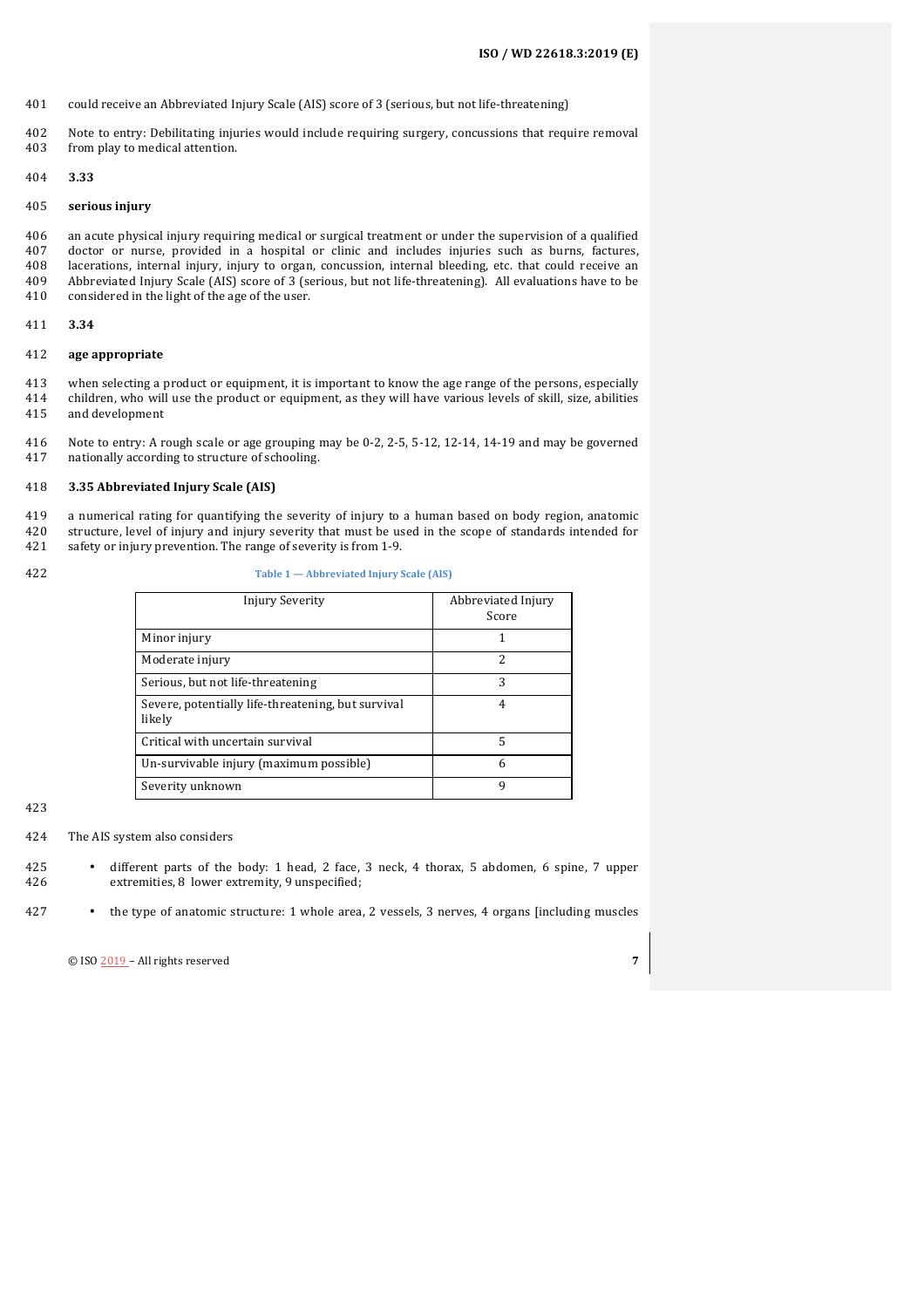- 401 could receive an Abbreviated Injury Scale (AIS) score of 3 (serious, but not life-threatening)
- 402 Note to entry: Debilitating injuries would include requiring surgery, concussions that require removal 403 from play to medical attention.
- 404 **3.33**

#### 405 **serious injury**

406 an acute physical injury requiring medical or surgical treatment or under the supervision of a qualified 407 doctor or nurse, provided in a hospital or clinic and includes injuries such as burns, factures, 408 lacerations, internal injury, injury to organ, concussion, internal bleeding, etc. that could receive an lacerations, internal injury, injury to organ, concussion, internal bleeding, etc. that could receive an 409 Abbreviated Injury Scale (AIS) score of 3 (serious, but not life-threatening). All evaluations have to be 410 considered in the light of the age of the user. considered in the light of the age of the user.

- 411 **3.34**
- 412 **age appropriate**

413 when selecting a product or equipment, it is important to know the age range of the persons, especially 414 children, who will use the product or equipment, as they will have various levels of skill, size, abilities 415 and development

416 Note to entry: A rough scale or age grouping may be 0-2, 2-5, 5-12, 12-14, 14-19 and may be governed 417 nationally according to structure of schooling.

#### 418 **3.35 Abbreviated Injury Scale (AIS)**

419 a numerical rating for quantifying the severity of injury to a human based on body region, anatomic 420 structure, level of injury and injury severity that must be used in the scope of standards intended for 421 safety or injury prevention. The range of severity is from 1-9.

# **Table 1** — **Abbreviated Injury Scale** (AIS)

| <b>Injury Severity</b>                                       | Abbreviated Injury<br>Score |
|--------------------------------------------------------------|-----------------------------|
| Minor injury                                                 | 1                           |
| Moderate injury                                              | $\overline{\mathcal{L}}$    |
| Serious, but not life-threatening                            | 3                           |
| Severe, potentially life-threatening, but survival<br>likely | 4                           |
| Critical with uncertain survival                             | 5                           |
| Un-survivable injury (maximum possible)                      | 6                           |
| Severity unknown                                             | q                           |

#### 423

424 The AIS system also considers

- 425 different parts of the body: 1 head, 2 face, 3 neck, 4 thorax, 5 abdomen, 6 spine, 7 upper 426 extremities, 8 lower extremity, 9 unspecified;
- 427 the type of anatomic structure: 1 whole area, 2 vessels, 3 nerves, 4 organs [including muscles

© ISO 2019 – All rights reserved **7**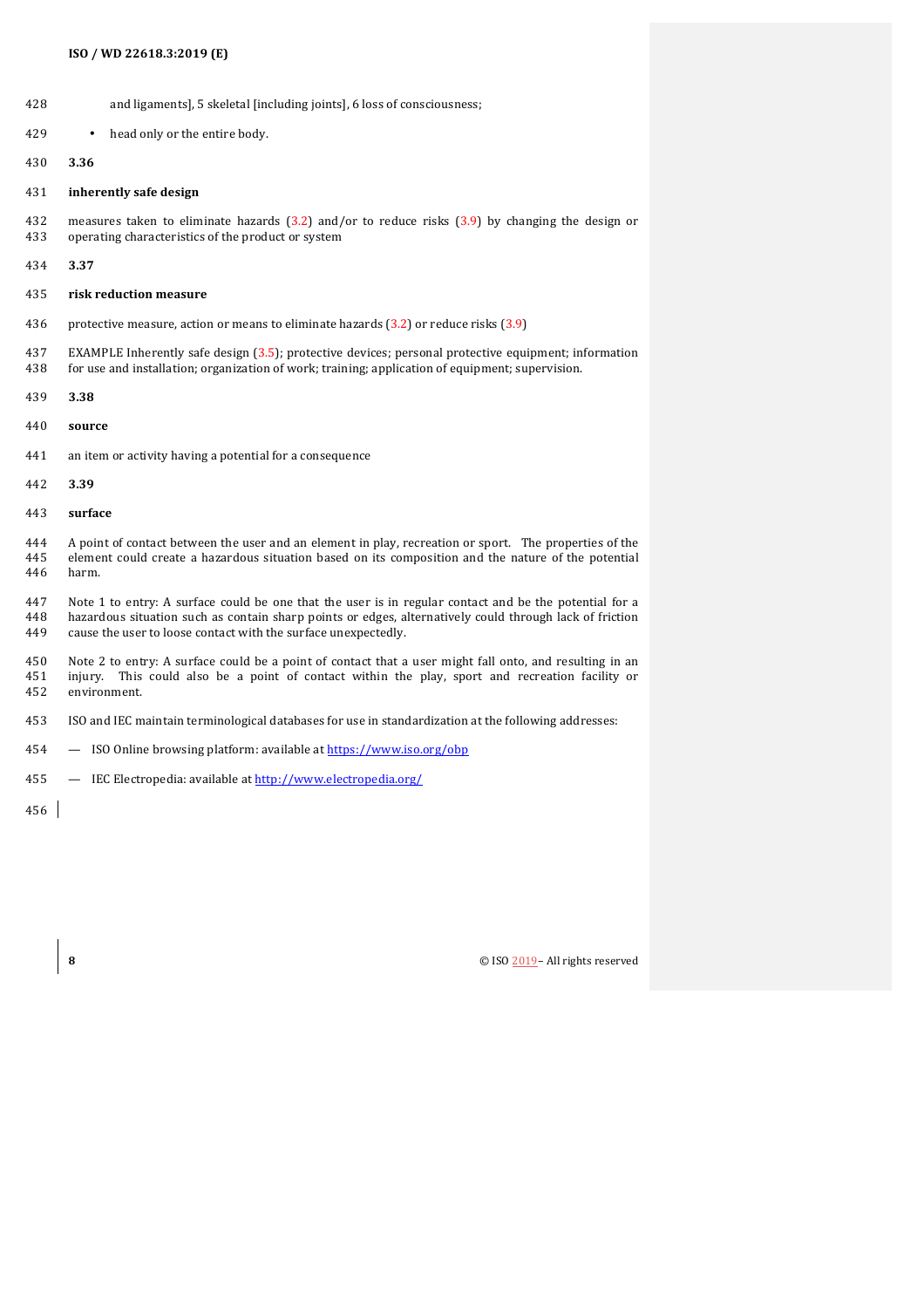- 428 and ligaments], 5 skeletal [including joints], 6 loss of consciousness;
- 429 head only or the entire body.
- 430 **3.36**
- 431 **inherently safe design**
- 432 measures taken to eliminate hazards  $(3.2)$  and/or to reduce risks  $(3.9)$  by changing the design or 433 operating characteristics of the product or system
- 434 **3.37**
- 435 **risk reduction measure**
- 436 protective measure, action or means to eliminate hazards  $(3.2)$  or reduce risks  $(3.9)$
- 437 EXAMPLE Inherently safe design (3.5); protective devices; personal protective equipment; information 438 for use and installation; organization of work; training; application of equipment; supervision.
- 439 **3.38**
- 440 **source**
- 441 an item or activity having a potential for a consequence
- 442 **3.39**
- 443 **surface**

444 A point of contact between the user and an element in play, recreation or sport. The properties of the 445 element could create a hazardous situation based on its composition and the nature of the potential 446 harm.

447 Note 1 to entry: A surface could be one that the user is in regular contact and be the potential for a 448 hazardous situation such as contain sharp points or edges, alternatively could through lack of friction 449 cause the user to loose contact with the surface unexpectedly.

450 Note 2 to entry: A surface could be a point of contact that a user might fall onto, and resulting in an 451 injury. This could also be a point of contact within the play, sport and recreation facility or 452 environment.

- 453 ISO and IEC maintain terminological databases for use in standardization at the following addresses:
- 454 ISO Online browsing platform: available at https://www.iso.org/obp
- 455 IEC Electropedia: available at http://www.electropedia.org/
- 456

**8**  $\bullet$  ISO 2019– All rights reserved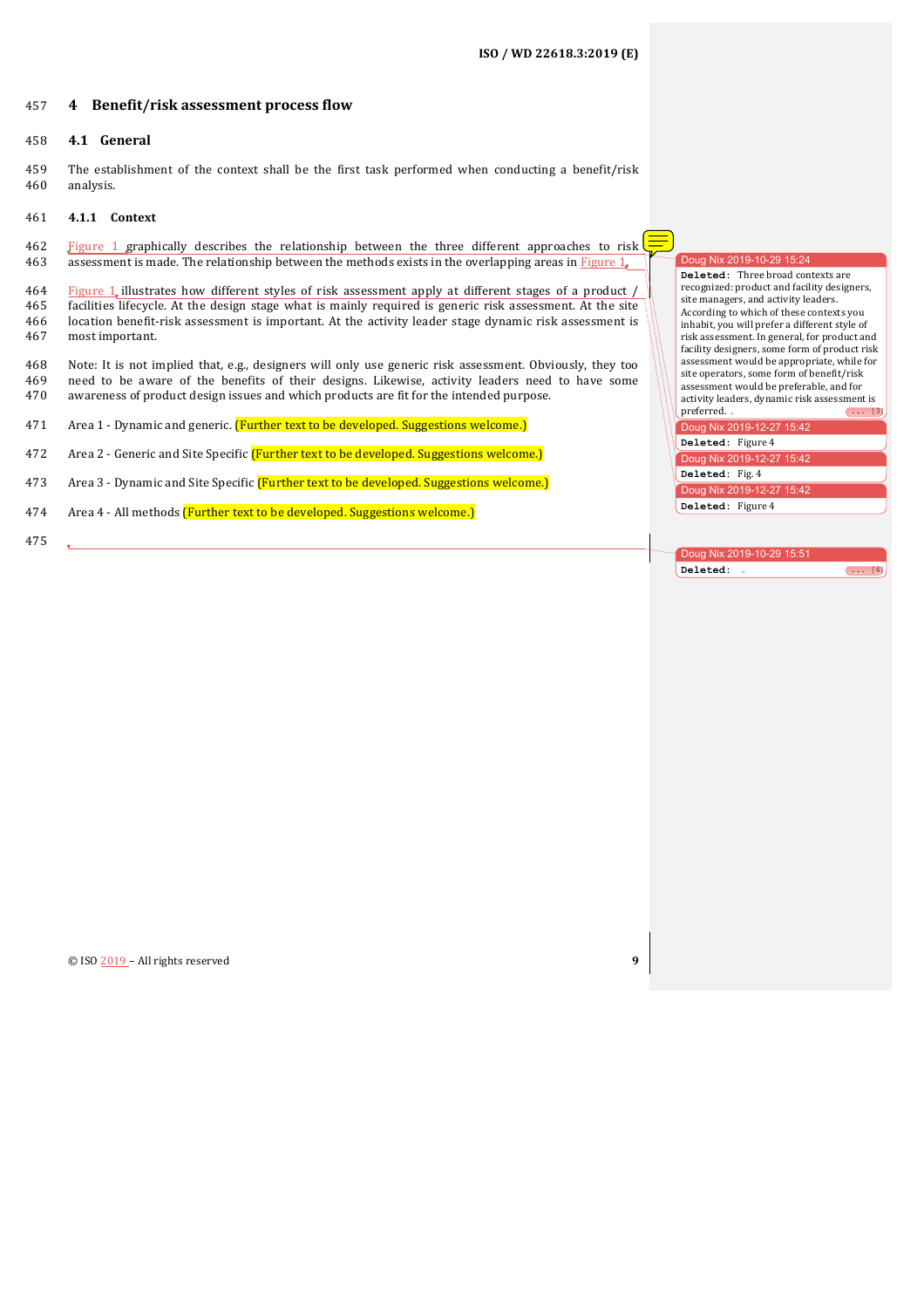#### 457 **4** Benefit/risk assessment process flow

#### 458 **4.1 General**

459 The establishment of the context shall be the first task performed when conducting a benefit/risk 460 analysis. 

#### 461 **4.1.1 Context**

462 Figure 1 graphically describes the relationship between the three different approaches to risk 463 assessment is made. The relationship between the methods exists in the overlapping areas in Figure  $1$ .

464 Figure 1 illustrates how different styles of risk assessment apply at different stages of a product  $/$ 465 facilities lifecycle. At the design stage what is mainly required is generic risk assessment. At the site 466 location benefit-risk assessment is important. At the activity leader stage dynamic risk assessment is 467 most important.

468 Note: It is not implied that, e.g., designers will only use generic risk assessment. Obviously, they too 469 need to be aware of the benefits of their designs. Likewise, activity leaders need to have some need to be aware of the benefits of their designs. Likewise, activity leaders need to have some 470 awareness of product design issues and which products are fit for the intended purpose.

- 471 Area 1 Dynamic and generic. **(Further text to be developed. Suggestions welcome.)**
- 472 Area 2 Generic and Site Specific *(Further text to be developed. Suggestions welcome.)*
- 473 Area 3 Dynamic and Site Specific *(Further text to be developed. Suggestions welcome.)*
- 474 Area 4 All methods (Further text to be developed. Suggestions welcome.)
- 475

#### Doug Nix 2019-10-29 15:24

**Deleted:** Three broad contexts are recognized: product and facility designers, site managers, and activity leaders. According to which of these contexts you inhabit, you will prefer a different style of risk assessment. In general, for product and facility designers, some form of product risk assessment would be appropriate, while for site operators, some form of benefit/risk assessment would be preferable, and for activity leaders, dynamic risk assessment is preferred. Doug Nix 2019-12-27 15:42

# **Deleted:** Figure 4

Doug Nix 2019-12-27

Deleted: Fig. 4

Doug Nix 2019-12-27

**Deleted:** Figure 4

Doug Nix 2019-10-29 15:51 Deleted:

© ISO 2019 – All rights reserved **9**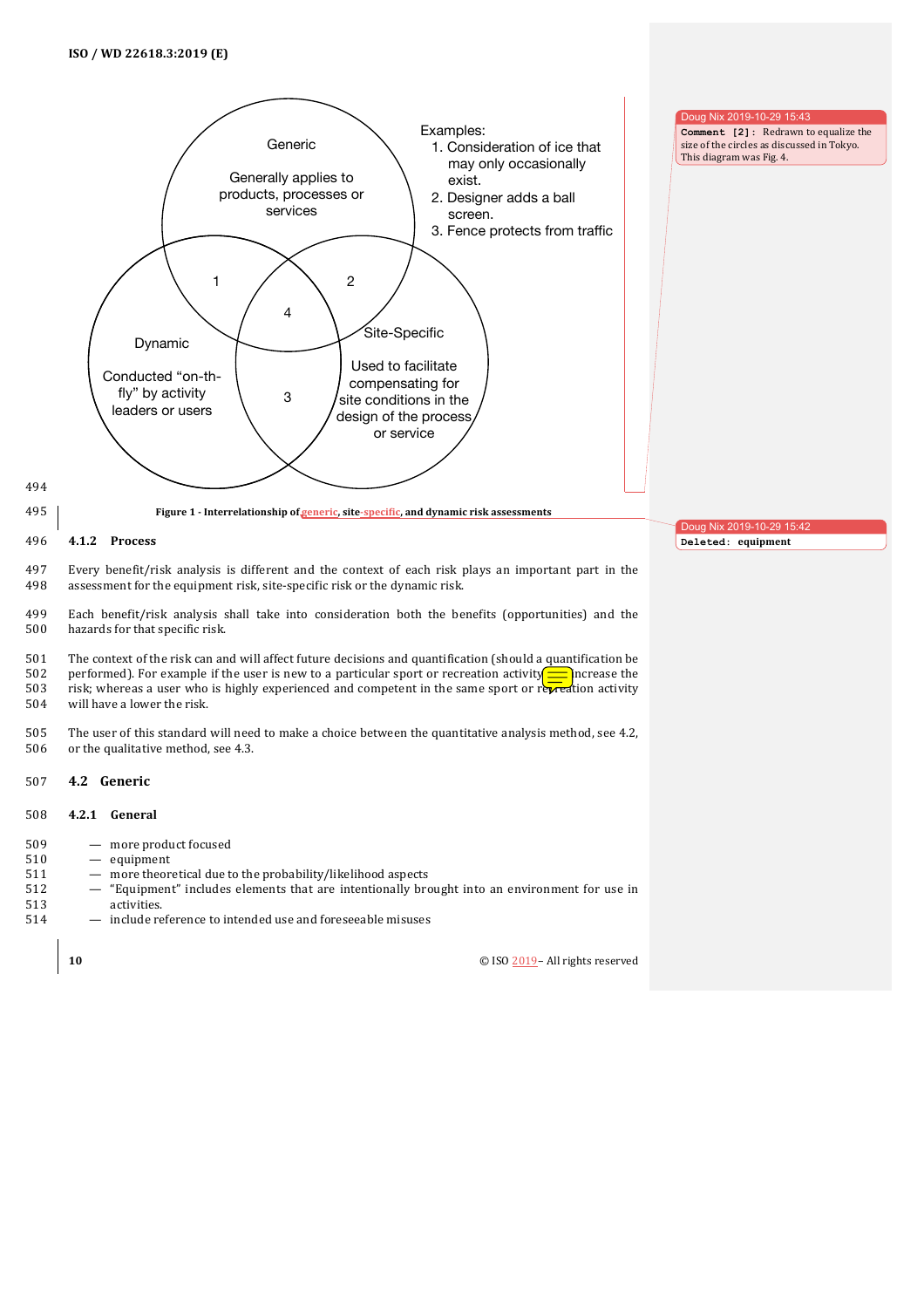

- 509 more product focused<br>510 equipment
- $-$  equipment
- 511 more theoretical due to the probability/likelihood aspects
- 512 "Equipment" includes elements that are intentionally brought into an environment for use in 513 activities.
- 514 include reference to intended use and foreseeable misuses

**10**  $\odot$  ISO 2019– All rights reserved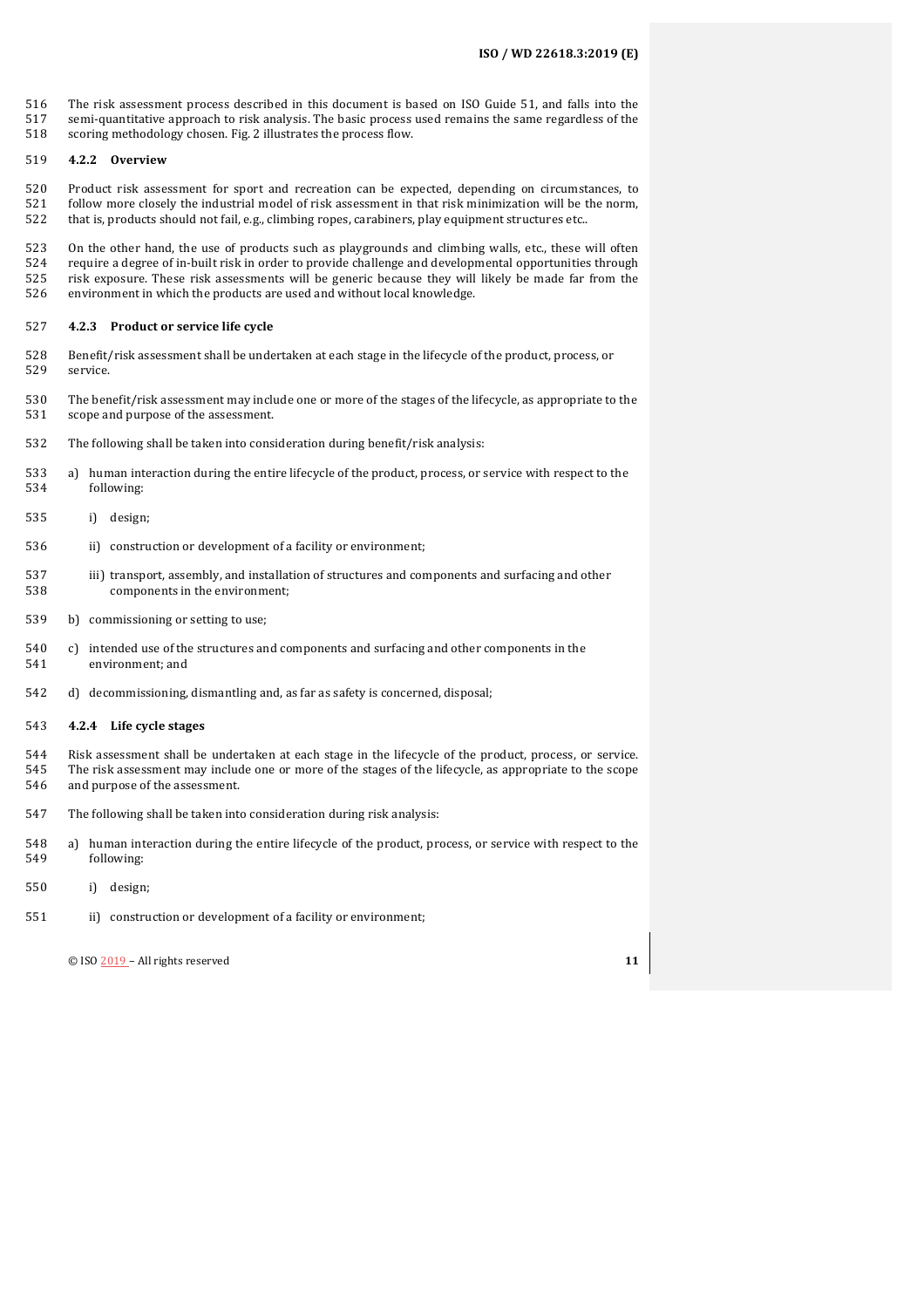- 516 The risk assessment process described in this document is based on ISO Guide 51, and falls into the
- 517 semi-quantitative approach to risk analysis. The basic process used remains the same regardless of the
- 518 scoring methodology chosen. Fig. 2 illustrates the process flow.

#### 519 **4.2.2 Overview**

- 520 Product risk assessment for sport and recreation can be expected, depending on circumstances, to 521 follow more closely the industrial model of risk assessment in that risk minimization will be the norm, 522 that is, products should not fail, e.g., climbing ropes, carabiners, play equipment structures etc..
- 523 On the other hand, the use of products such as playgrounds and climbing walls, etc., these will often 524 require a degree of in-built risk in order to provide challenge and developmental opportunities through 525 risk exposure. These risk assessments will be generic because they will likely be made far from the 526 environment in which the products are used and without local knowledge.

#### 527 **4.2.3** Product or service life cycle

- 528 Benefit/risk assessment shall be undertaken at each stage in the lifecycle of the product, process, or 529 service.
- 530 The benefit/risk assessment may include one or more of the stages of the lifecycle, as appropriate to the 531 scope and purpose of the assessment.
- 532 The following shall be taken into consideration during benefit/risk analysis:
- 533 a) human interaction during the entire lifecycle of the product, process, or service with respect to the 534 following:
- 535 i) design;
- 536 ii) construction or development of a facility or environment;
- 537 iii) transport, assembly, and installation of structures and components and surfacing and other 538 components in the environment;
- 539 b) commissioning or setting to use;
- 540 c) intended use of the structures and components and surfacing and other components in the 541 environment; and
- 542 d) decommissioning, dismantling and, as far as safety is concerned, disposal;

#### 543 **4.2.4 Life cycle stages**

- 544 Risk assessment shall be undertaken at each stage in the lifecycle of the product, process, or service. 545 The risk assessment may include one or more of the stages of the lifecycle, as appropriate to the scope
- 546 and purpose of the assessment.
- 547 The following shall be taken into consideration during risk analysis:
- 548 a) human interaction during the entire lifecycle of the product, process, or service with respect to the 549 following:
- 550 i) design;
- 551 ii) construction or development of a facility or environment;

 $\odot$  ISO <u>2019</u> – All rights reserved **11**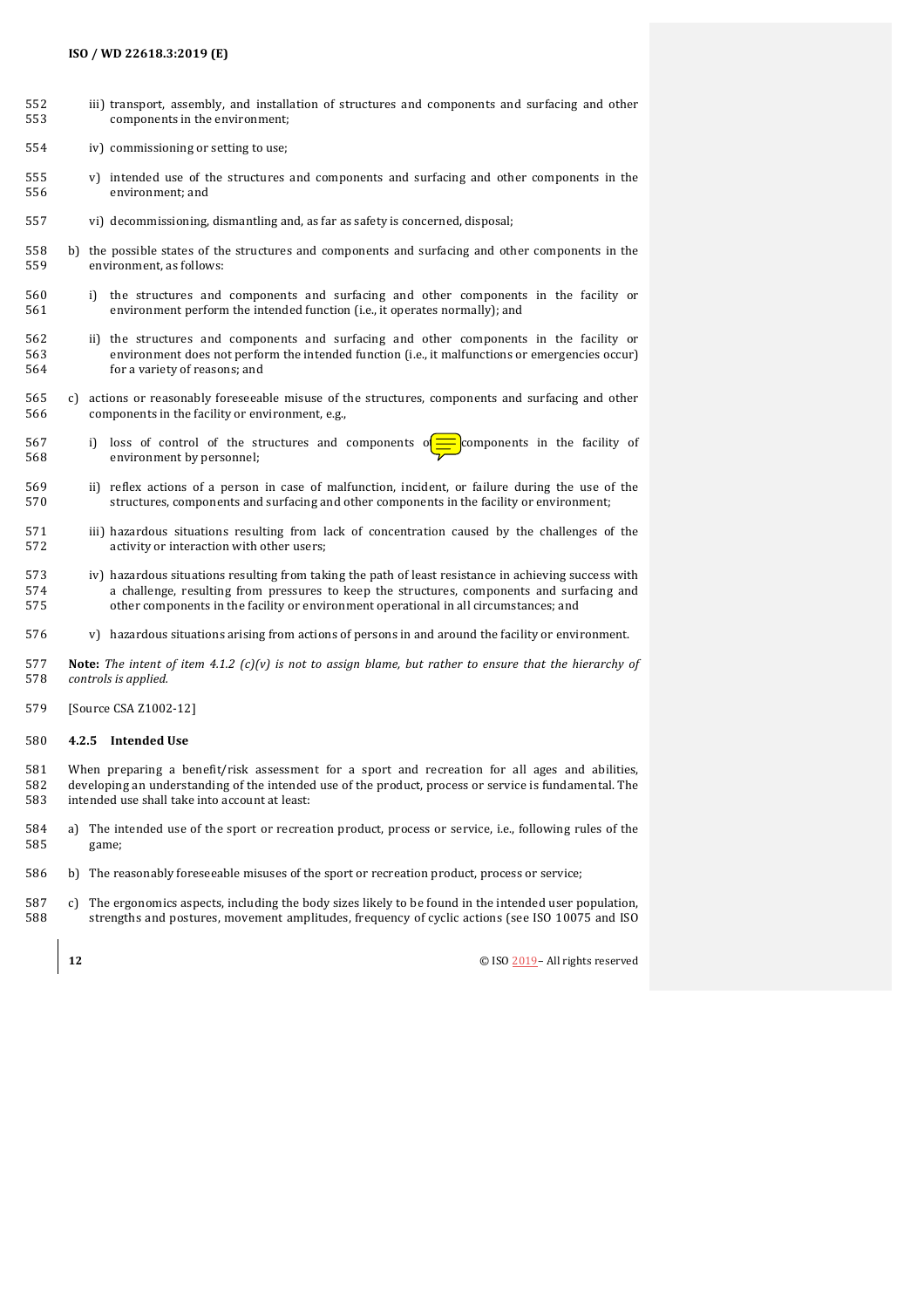- 552 iii) transport, assembly, and installation of structures and components and surfacing and other 553 components in the environment:
- 554 iv) commissioning or setting to use;
- 555 v) intended use of the structures and components and surfacing and other components in the 556 environment: and
- 557 vi) decommissioning, dismantling and, as far as safety is concerned, disposal;
- 558 b) the possible states of the structures and components and surfacing and other components in the 559 environment, as follows:
- 560 i) the structures and components and surfacing and other components in the facility or 561 environment perform the intended function (i.e., it operates normally); and
- 562 ii) the structures and components and surfacing and other components in the facility or 563 environment does not perform the intended function (i.e., it malfunctions or emergencies occur) 564 for a variety of reasons: and
- 565 c) actions or reasonably foreseeable misuse of the structures, components and surfacing and other 566 components in the facility or environment, e.g.,
- 567 i) loss of control of the structures and components of  $\frac{1}{\sqrt{1-\epsilon}}$  components in the facility of 568 environment by personnel;
- 569 ii) reflex actions of a person in case of malfunction, incident, or failure during the use of the 570 structures, components and surfacing and other components in the facility or environment;
- 571 iii) hazardous situations resulting from lack of concentration caused by the challenges of the 572 **activity** or interaction with other users;
- 573 iv) hazardous situations resulting from taking the path of least resistance in achieving success with 574 a challenge, resulting from pressures to keep the structures, components and surfacing and 575 other components in the facility or environment operational in all circumstances; and
- 576 v) hazardous situations arising from actions of persons in and around the facility or environment.
- 577 **Note:** The intent of item 4.1.2 (c)(v) is not to assign blame, but rather to ensure that the hierarchy of 578 *controls is applied.*
- 579 [Source CSA Z1002-12]

#### 580 **4.2.5 Intended Use**

- 581 When preparing a benefit/risk assessment for a sport and recreation for all ages and abilities, 582 developing an understanding of the intended use of the product, process or service is fundamental. The 583 intended use shall take into account at least:
- 584 a) The intended use of the sport or recreation product, process or service, i.e., following rules of the 585 game;
- 586 b) The reasonably foreseeable misuses of the sport or recreation product, process or service;
- 587 c) The ergonomics aspects, including the body sizes likely to be found in the intended user population, 588 strengths and postures, movement amplitudes, frequency of cyclic actions (see ISO 10075 and ISO

**12**  $\odot$  ISO 2019– All rights reserved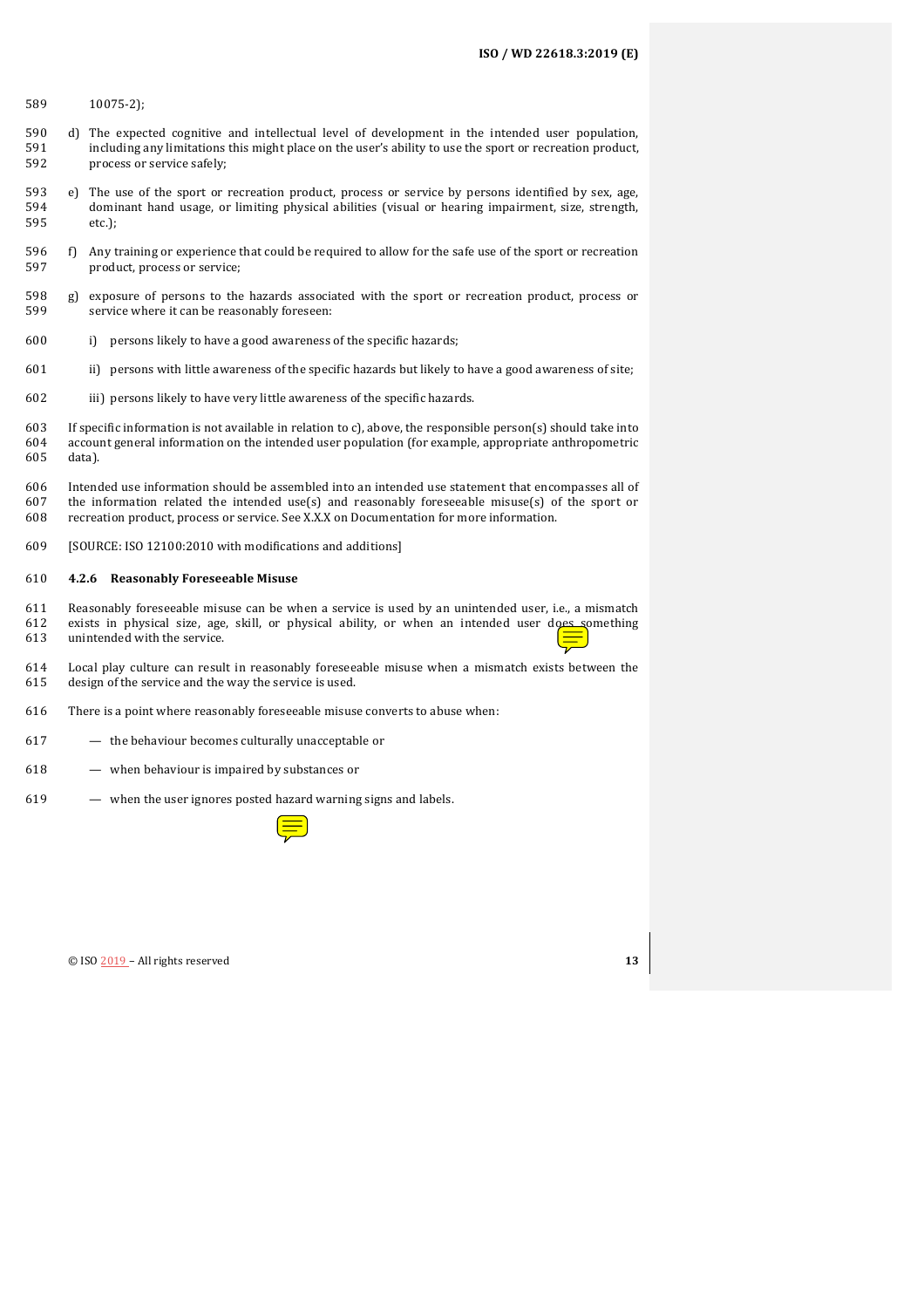#### 589 10075-2);

- 590 d) The expected cognitive and intellectual level of development in the intended user population, 591 including any limitations this might place on the user's ability to use the sport or recreation product, 592 process or service safely;
- 593 e) The use of the sport or recreation product, process or service by persons identified by sex, age, 594 dominant hand usage, or limiting physical abilities (visual or hearing impairment, size, strength, 595 etc.);
- 596 f) Any training or experience that could be required to allow for the safe use of the sport or recreation 597 product, process or service:
- 598 g) exposure of persons to the hazards associated with the sport or recreation product, process or 599 service where it can be reasonably foreseen:
- 600 i) persons likely to have a good awareness of the specific hazards;
- 601 ii) persons with little awareness of the specific hazards but likely to have a good awareness of site;
- 602 iii) persons likely to have very little awareness of the specific hazards.
- 603 If specific information is not available in relation to c), above, the responsible person(s) should take into 604 account general information on the intended user population (for example, appropriate anthropometric 605 data).
- 606 Intended use information should be assembled into an intended use statement that encompasses all of 607 the information related the intended use(s) and reasonably foreseeable misuse(s) of the sport or 608 recreation product, process or service. See X.X.X on Documentation for more information.
- 609 [SOURCE: ISO 12100:2010 with modifications and additions]

#### 610 **4.2.6 Reasonably Foreseeable Misuse**

- 611 Reasonably foreseeable misuse can be when a service is used by an unintended user, i.e., a mismatch 612 exists in physical size, age, skill, or physical ability, or when an intended user does something  $613$  unintended with the service.
- 614 Local play culture can result in reasonably foreseeable misuse when a mismatch exists between the 615 design of the service and the way the service is used.
- 616 There is a point where reasonably foreseeable misuse converts to abuse when:
- 617 the behaviour becomes culturally unacceptable or
- $618$  when behaviour is impaired by substances or
- 619 when the user ignores posted hazard warning signs and labels.

© ISO <u>2019</u> – All rights reserved **13**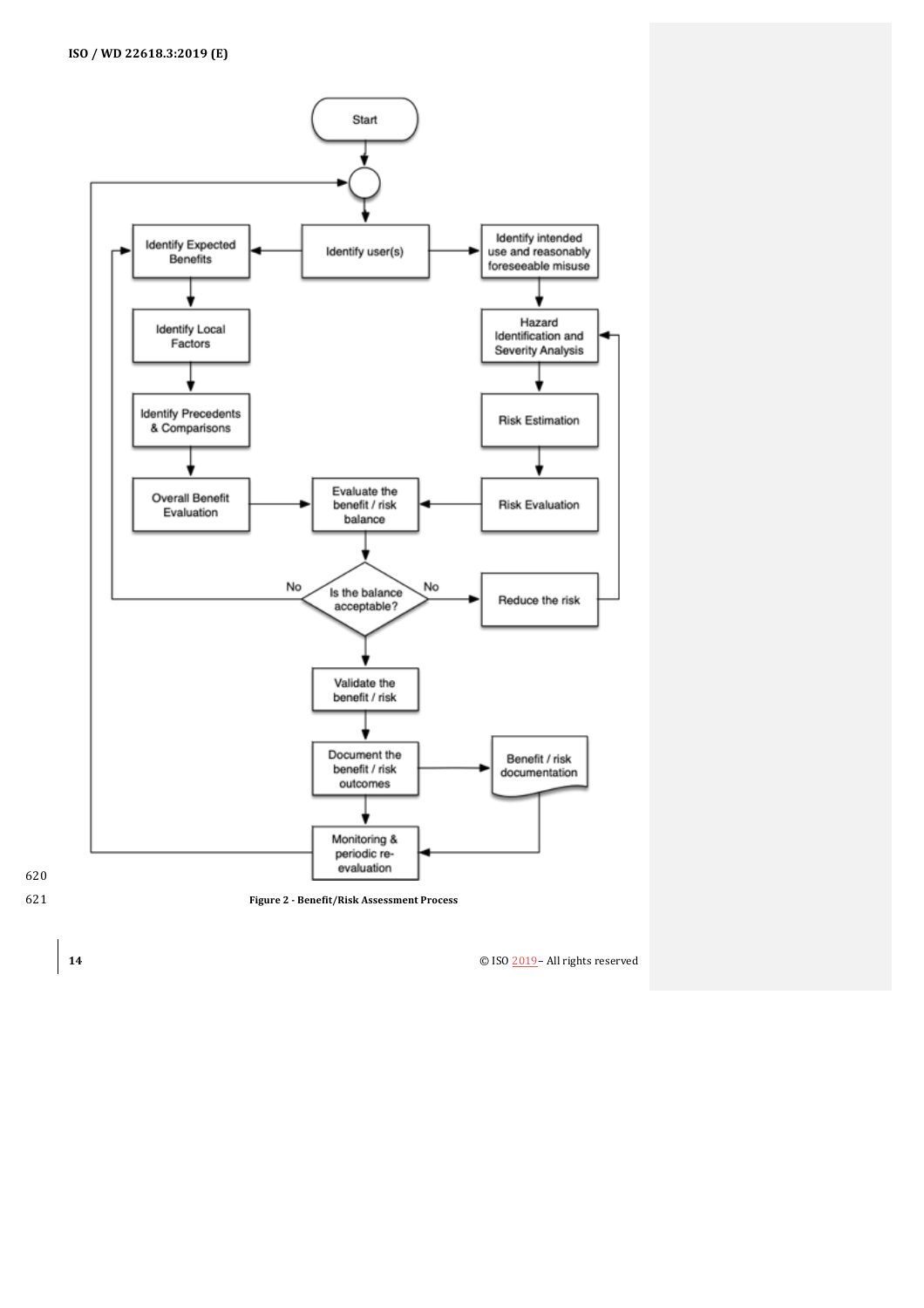

**14** © ISO <u>2019</u> - All rights reserved

620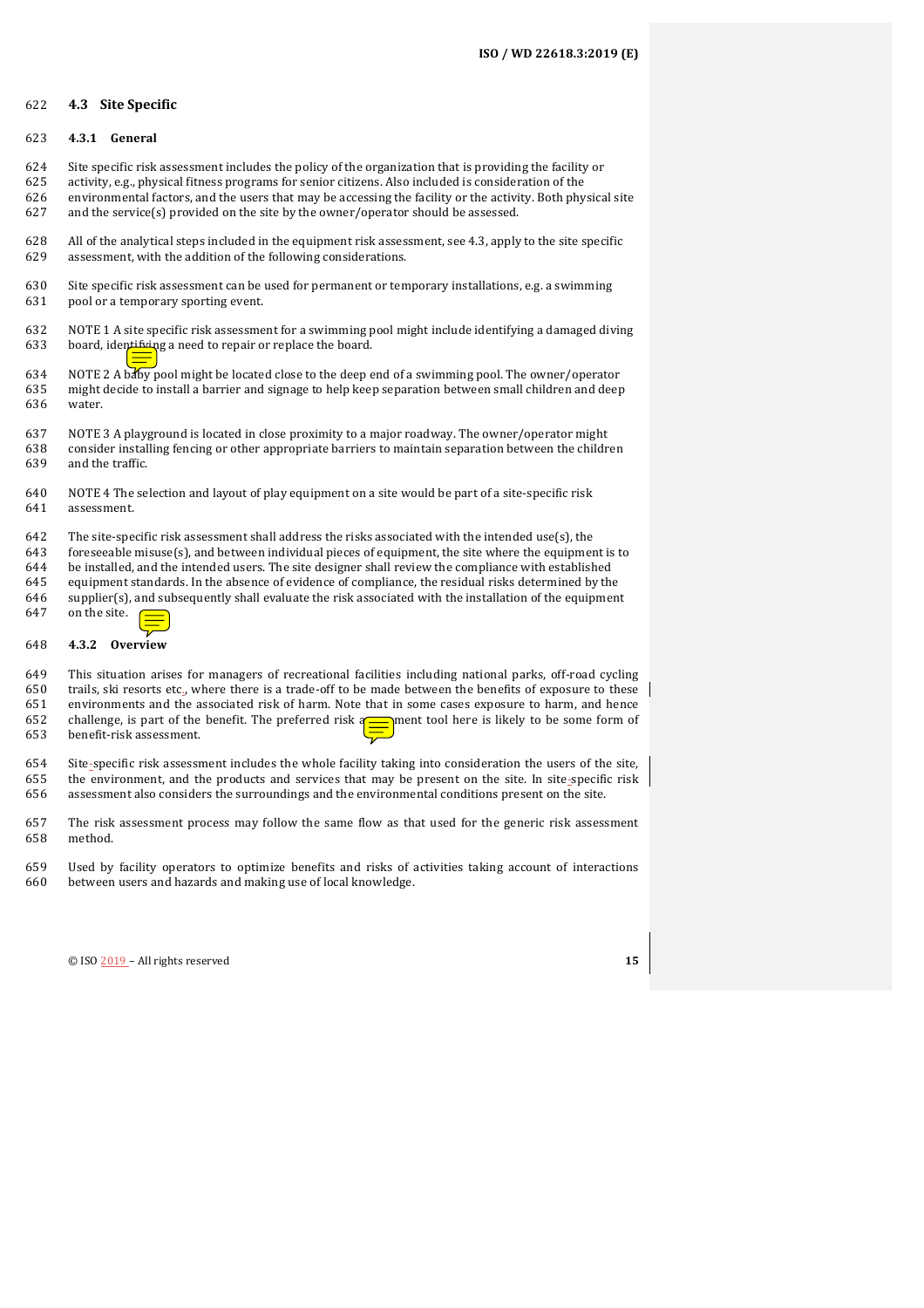#### 622 **4.3 Site Specific**

- 623 **4.3.1 General**
- 624 Site specific risk assessment includes the policy of the organization that is providing the facility or
- 625 activity, e.g., physical fitness programs for senior citizens. Also included is consideration of the 626 environmental factors, and the users that may be accessing the facility or the activity. Both physical site
- 627 and the service(s) provided on the site by the owner/operator should be assessed.
- 628 All of the analytical steps included in the equipment risk assessment, see 4.3, apply to the site specific 629 assessment, with the addition of the following considerations.
- 630 Site specific risk assessment can be used for permanent or temporary installations, e.g. a swimming 631 pool or a temporary sporting event.
- 632 NOTE 1 A site specific risk assessment for a swimming pool might include identifying a damaged diving 633 board, identifying a need to repair or replace the board.
- 634 NOTE 2 A baby pool might be located close to the deep end of a swimming pool. The owner/operator 635 might decide to install a barrier and signage to help keep separation between small children and deep 636 water.
- 637 NOTE 3 A playground is located in close proximity to a major roadway. The owner/operator might 638 consider installing fencing or other appropriate barriers to maintain separation between the children 639 and the traffic.
- 640 NOTE 4 The selection and layout of play equipment on a site would be part of a site-specific risk 641 assessment.

642 The site-specific risk assessment shall address the risks associated with the intended use(s), the

643 foreseeable misuse(s), and between individual pieces of equipment, the site where the equipment is to

- 644 be installed, and the intended users. The site designer shall review the compliance with established
- 645 equipment standards. In the absence of evidence of compliance, the residual risks determined by the 646 supplier(s), and subsequently shall evaluate the risk associated with the installation of the equipment
- 647 on the site.

#### 648 **4.3.2 Overview**

649 This situation arises for managers of recreational facilities including national parks, off-road cycling 650 trails, ski resorts etc., where there is a trade-off to be made between the benefits of exposure to these 651 environments and the associated risk of harm. Note that in some cases exposure to harm, and hence 652 challenge, is part of the benefit. The preferred risk  $\frac{1}{\sqrt{2}}$  ment tool here is likely to be some form of 653 benefit-risk assessment.

654 Site-specific risk assessment includes the whole facility taking into consideration the users of the site, 655 the environment, and the products and services that may be present on the site. In site-specific risk 656 assessment also considers the surroundings and the environmental conditions present on the site.

- 657 The risk assessment process may follow the same flow as that used for the generic risk assessment 658 method.
- 659 Used by facility operators to optimize benefits and risks of activities taking account of interactions 660 between users and hazards and making use of local knowledge.

© ISO 2019 – All rights reserved **15**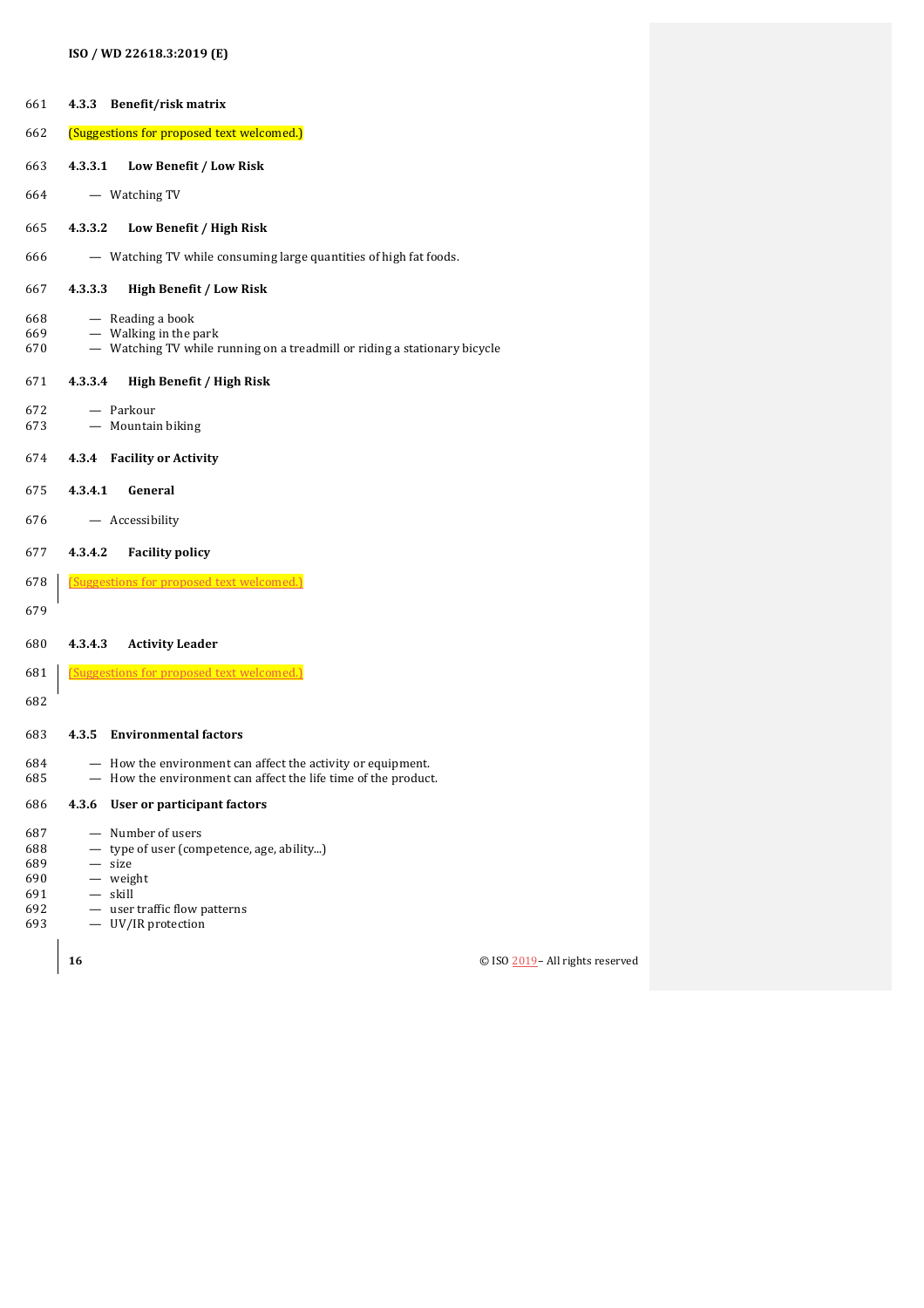- 661 **4.3.3 Benefit/risk matrix** 662 (Suggestions for proposed text welcomed.) 663 **4.3.3.1 Low Benefit / Low Risk** 664 — Watching TV 665 **4.3.3.2 Low Benefit / High Risk** 666 – Watching TV while consuming large quantities of high fat foods. 667 **4.3.3.3 High Benefit / Low Risk** 668 — Reading a book 669 — Walking in the park<br>670 — Watching TV while r  $-$  Watching TV while running on a treadmill or riding a stationary bicycle 671 **4.3.3.4 High Benefit / High Risk** 672 — Parkour 673 - Mountain biking 674 **4.3.4 Facility or Activity** 675 **4.3.4.1 General** 676 — Accessibility 677 **4.3.4.2 Facility policy** 678 (Suggestions for proposed text welcomed.) 679 680 **4.3.4.3 Activity Leader** 681 (Suggestions for proposed text welcomed.) 682 683 **4.3.5 Environmental factors**  $684 -$  How the environment can affect the activity or equipment. 685 – How the environment can affect the life time of the product. 686 **4.3.6** User or participant factors 687 — Number of users  $688$  - type of user (competence, age, ability...)<br> $689$  - size 689 — size
	- 690 weight
	- $691$   $-$  skill<br> $692$   $-$  user
		- user traffic flow patterns
	- $693$  UV/IR protection

**16** © ISO <u>2019</u>- All rights reserved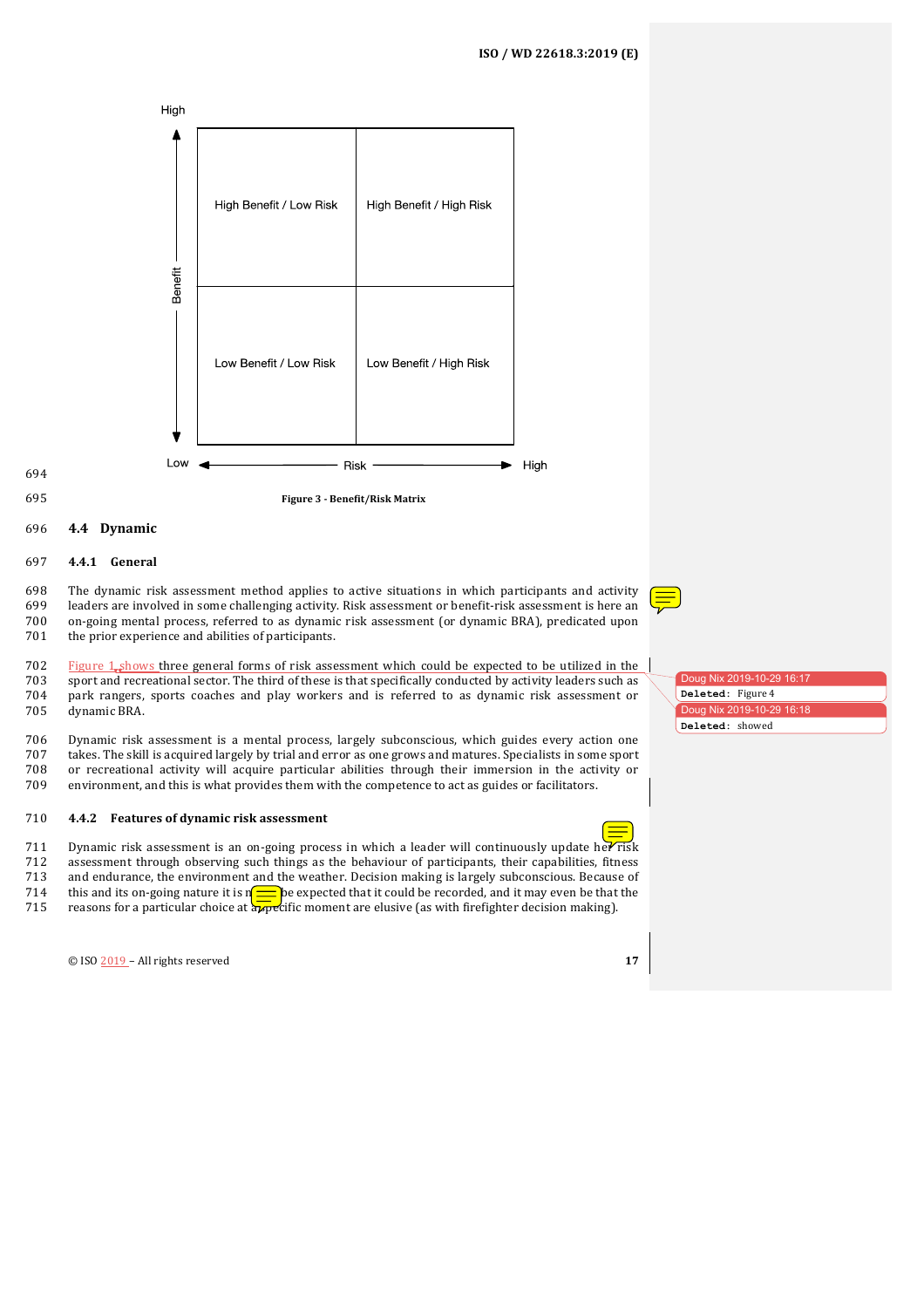



695 **Figure 3 - Benefit/Risk Matrix**



#### 697 **4.4.1 General**

698 The dynamic risk assessment method applies to active situations in which participants and activity 699 leaders are involved in some challenging activity. Risk assessment or benefit-risk assessment is here an 699 leaders are involved in some challenging activity. Risk assessment or benefit-risk assessment is here an <br>700 on-going mental process referred to as dynamic risk assessment (or dynamic RRA) predicated upon 700 on-going mental process, referred to as dynamic risk assessment (or dynamic BRA), predicated upon <br>701 the prior experience and abilities of participants. the prior experience and abilities of participants.

702 Figure  $1$ <sub>s</sub>hows three general forms of risk assessment which could be expected to be utilized in the 703 sport and recreational sector. The third of these is that specifically conducted by activity leaders such as 704 park rangers, sports coaches and play workers and is referred to as dynamic risk assessment or 705 dynamic BRA.

706 Dynamic risk assessment is a mental process, largely subconscious, which guides every action one<br>707 takes. The skill is acquired largely by trial and error as one grows and matures. Specialists in some sport takes. The skill is acquired largely by trial and error as one grows and matures. Specialists in some sport 708 or recreational activity will acquire particular abilities through their immersion in the activity or 709 environment, and this is what provides them with the competence to act as guides or facilitators.

#### 710 4.4.2 Features of dynamic risk assessment

711 Dynamic risk assessment is an on-going process in which a leader will continuously update here risk 712 assessment through observing such things as the behaviour of participants, their capabilities, fitness 713 and endurance, the environment and the weather. Decision making is largely subconscious. Because of 714 this and its on-going nature it is  $\sqrt{ }$  be expected that it could be recorded, and it may even be that the 715 reasons for a particular choice at  $\frac{1}{2}$  registic moment are elusive (as with firefighter decision making).

 $\odot$  ISO <u>2019</u> – All rights reserved **17** 

Doug Nix 2019-10-29 Deleted: Figure 4 Doug Nix 2019-10-29 16 Deleted: showed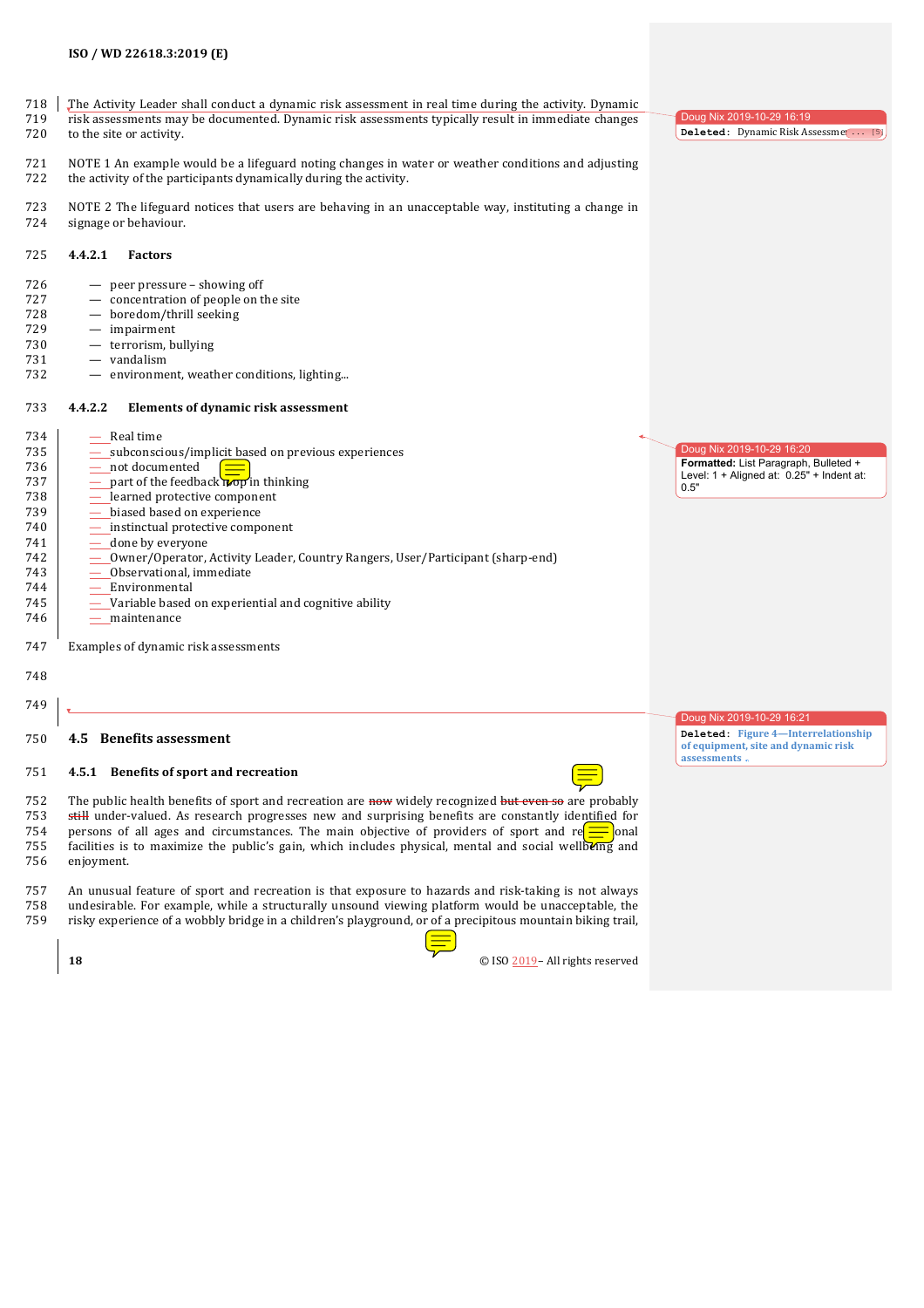#### **ISO / WD 22618.3:2019 (E)**

- 718 The Activity Leader shall conduct a dynamic risk assessment in real time during the activity. Dynamic Doug Nix 2019-10-29 16:19
- 719 risk assessments may be documented. Dynamic risk assessments typically result in immediate changes
- 720 to the site or activity.
- 721 NOTE 1 An example would be a lifeguard noting changes in water or weather conditions and adjusting 722 the activity of the participants dynamically during the activity.
- 723 NOTE 2 The lifeguard notices that users are behaving in an unacceptable way, instituting a change in 724 signage or behaviour.

#### 725 **4.4.2.1 Factors**

- $726$  peer pressure showing off
- 727 concentration of people on the site
- 728 boredom/thrill seeking
- 729 impairment
- 730 terrorism, bullying
- 731 vandalism
- 732 environment, weather conditions, lighting...

#### 733 4.4.2.2 Elements of dynamic risk assessment

734  $-$  Real time

## 735 | \_\_ subconscious/implicit based on previous experiences

- 736 not documented 737  $\Box$  part of the feedback  $\overline{wop}$  in thinking
- 738 learned protective component
- 739 biased based on experience
- 740 instinctual protective component
- $741$   $-$  done by everyone
- 742 Owner/Operator, Activity Leader, Country Rangers, User/Participant (sharp-end)<br>743 Observational, immediate
- Observational, immediate
- $\begin{array}{|c|c|}\n 744 & \text{Exponential} \\
 \hline\n 745 & \text{Variable based}\n \end{array}$ 
	- Variable based on experiential and cognitive ability
- 746 maintenance
- 747 Examples of dynamic risk assessments
- 748
- 749

#### 750 **4.5 Benefits assessment**

#### 751 **4.5.1 Benefits of sport and recreation**

752 The public health benefits of sport and recreation are now widely recognized but even so are probably 753 still under-valued. As research progresses new and surprising benefits are constantly identified for 754 persons of all ages and circumstances. The main objective of providers of sport and re $\frac{1}{\sqrt{2}}$  onal 755 facilities is to maximize the public's gain, which includes physical, mental and social wellbeing and facilities is to maximize the public's gain, which includes physical, mental and social wellbeing and 756 enjoyment. 

757 An unusual feature of sport and recreation is that exposure to hazards and risk-taking is not always 758 undesirable. For example, while a structurally unsound viewing platform would be unacceptable, the 759 risky experience of a wobbly bridge in a children's playground, or of a precipitous mountain biking trail,

**18**  $\qquad \qquad \bullet$  **18 C** 150 2019– All rights reserved

ug Nix 2019-10-29 16:20 **Formatted:** List Paragraph, Bulleted + Level: 1 + Aligned at: 0.25" + Indent at: 0.5"

**Deleted: Dynamic Risk Assessme** 

Doug Nix 2019-10-29 16:21

**Deleted: Figure 4—Interrelationship** of equipment, site and dynamic risk 764 **assessments**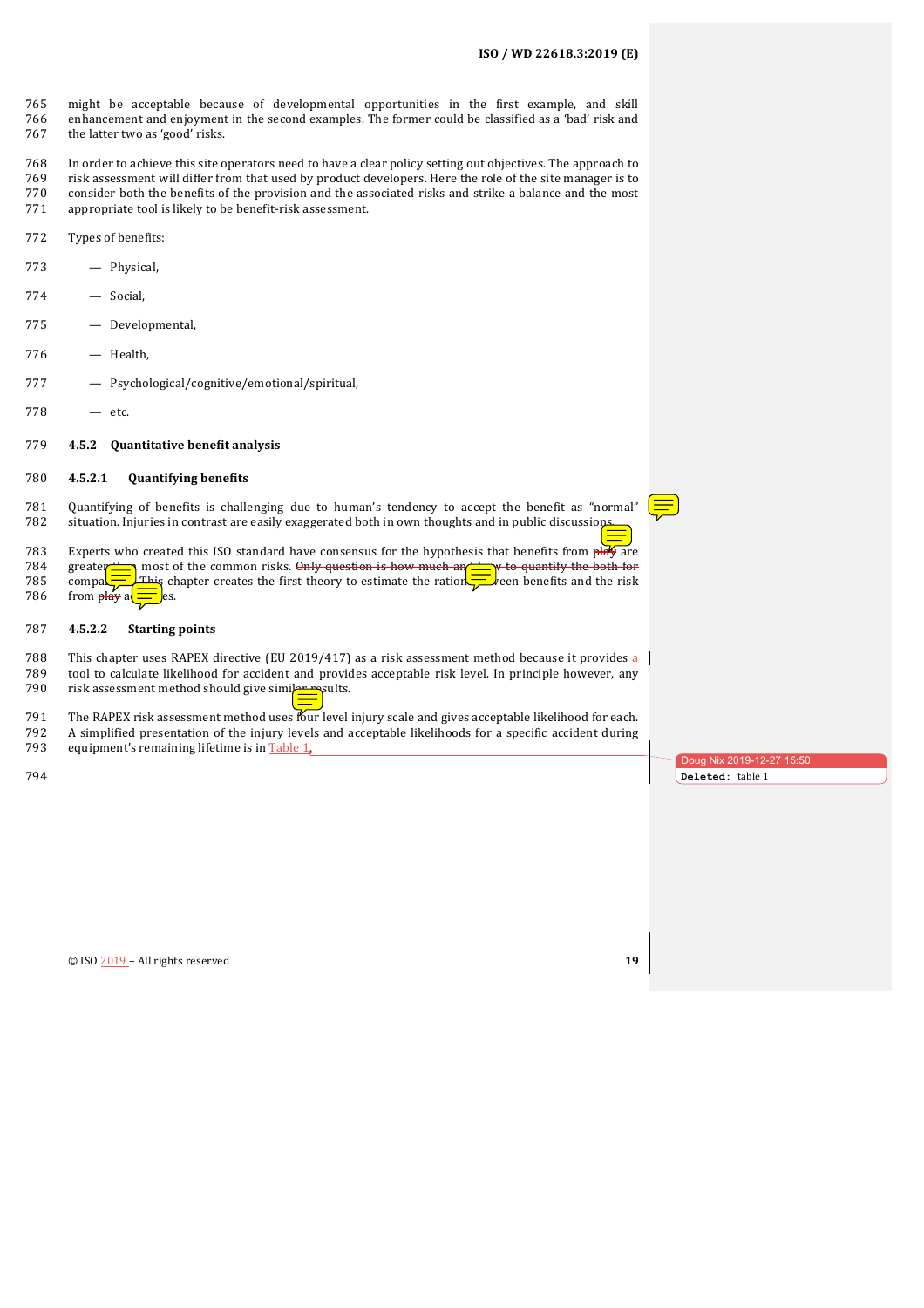765 might be acceptable because of developmental opportunities in the first example, and skill 766 enhancement and enjoyment in the second examples. The former could be classified as a 'bad' risk and 767 the latter two as 'good' risks.

768 In order to achieve this site operators need to have a clear policy setting out objectives. The approach to 769 risk assessment will differ from that used by product developers. Here the role of the site manager is to 769 risk assessment will differ from that used by product developers. Here the role of the site manager is to<br>770 consider both the benefits of the provision and the associated risks and strike a balance and the most consider both the benefits of the provision and the associated risks and strike a balance and the most 771 appropriate tool is likely to be benefit-risk assessment.

- 772 Types of benefits:
- 773 Physical,
- 774 Social,
- 775 Developmental,
- 776 Health,
- 777 Psychological/cognitive/emotional/spiritual,
- 778 etc.

#### 779 **4.5.2 Quantitative benefit analysis**

#### 780 **4.5.2.1 Quantifying benefits**

781 Quantifying of benefits is challenging due to human's tendency to accept the benefit as "normal" 782 situation. Injuries in contrast are easily exaggerated both in own thoughts and in public discussions

783 Experts who created this ISO standard have consensus for the hypothesis that benefits from  $\frac{1}{2}$  are 783 Experts who created this iso standard have consensus for the *sypement* and the poth for 784 greater  $\frac{1}{\sqrt{2}}$  most of the common risks. Only question is how much and  $\frac{1}{\sqrt{2}}$  we to quantify the both for 785 comparing the chapter creates the first theory to estimate the ration  $\frac{1}{\sqrt{1-\lambda}}$  een benefits and the risk 786 from  $\frac{\partial u}{\partial x}$  at  $\frac{\partial u}{\partial y}$  es.

#### 787 **4.5.2.2 Starting points**

788 This chapter uses RAPEX directive (EU 2019/417) as a risk assessment method because it provides a 789 tool to calculate likelihood for accident and provides acceptable risk level. In principle however, any 790 risk assessment method should give similar results.

791 The RAPEX risk assessment method uses four level injury scale and gives acceptable likelihood for each. 792 A simplified presentation of the injury levels and acceptable likelihoods for a specific accident during

793 equipment's remaining lifetime is in  $Table 1$ .

794

© ISO <u>2019</u> – All rights reserved **19** 



Doug Nix 2019-12 Deleted: table 1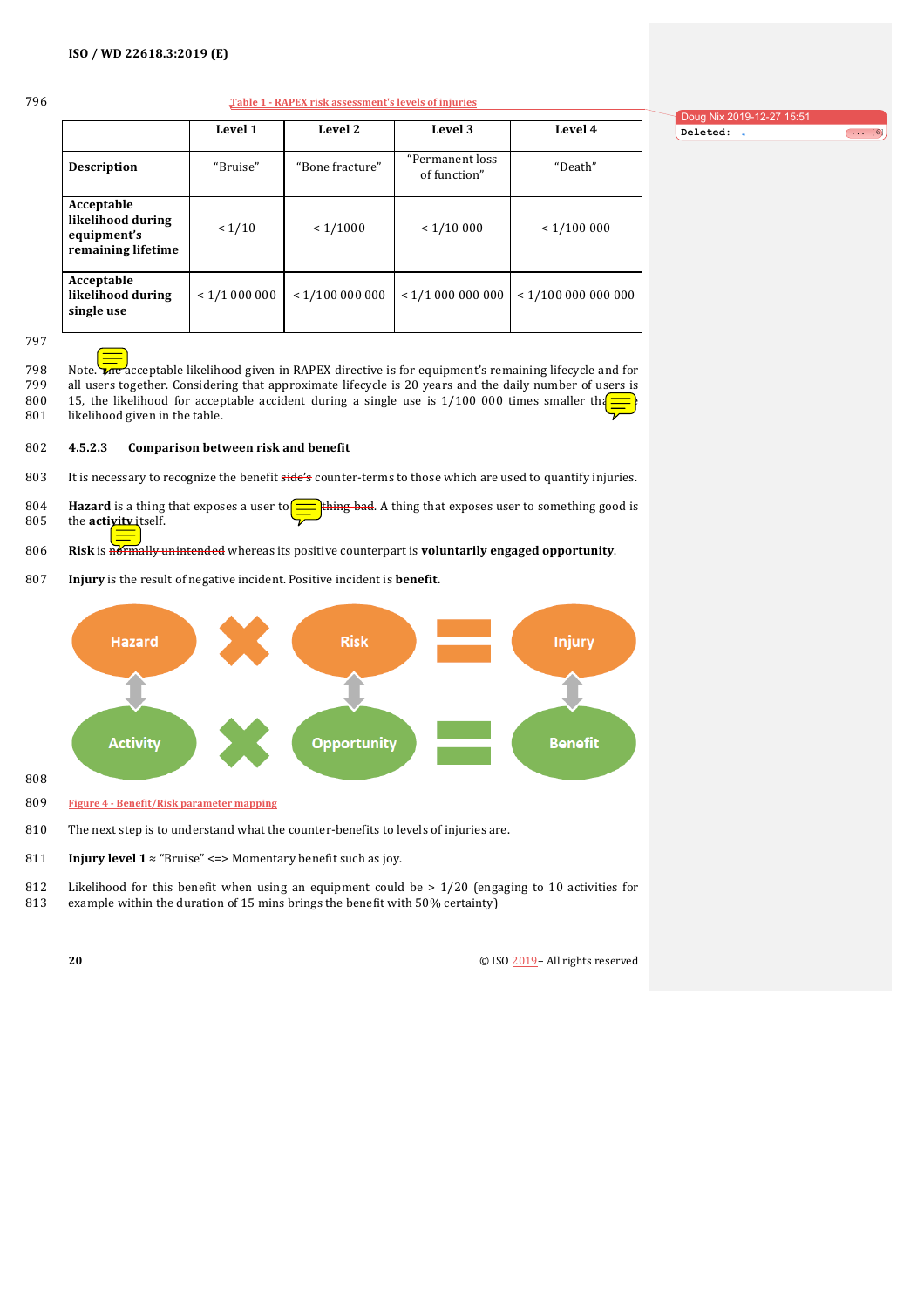#### **Table 1 - RAPEX** risk assessment's levels of injuries

|                                                                      | Level 1     | Level 2         | Level 3                         | Level 4           |
|----------------------------------------------------------------------|-------------|-----------------|---------------------------------|-------------------|
| <b>Description</b>                                                   | "Bruise"    | "Bone fracture" | "Permanent loss<br>of function" | "Death"           |
| Acceptable<br>likelihood during<br>equipment's<br>remaining lifetime | 1/10        | 1/1000          | < 1/10000                       | < 1/100000        |
| Acceptable<br>likelihood during<br>single use                        | < 1/1000000 | < 1/100000000   | $< 1/1$ 000 000 000             | < 1/1000000000000 |

797

798 Note.  $\overline{M}$  acceptable likelihood given in RAPEX directive is for equipment's remaining lifecycle and for 799 all users together. Considering that approximate lifecycle is 20 years and the daily number of users is all users together. Considering that approximate lifecycle is 20 years and the daily number of users is 800 15, the likelihood for acceptable accident during a single use is  $1/100\ 000$  times smaller the smaller the table. likelihood given in the table.

#### 802 **4.5.2.3 Comparison between risk and benefit**

803 It is necessary to recognize the benefit side's counter-terms to those which are used to quantify injuries.

- 804 **Hazard** is a thing that exposes a user to  $\frac{1}{\sqrt{2}}$  thing bad. A thing that exposes user to something good is the **activity** itself. the **activity** itself.
- 806 Risk is nothing unintended whereas its positive counterpart is **voluntarily engaged opportunity**.
- 807 **Injury** is the result of negative incident. Positive incident is **benefit.**



- 810 The next step is to understand what the counter-benefits to levels of injuries are.
- 811 **Injury level 1**  $\approx$  "Bruise" <=> Momentary benefit such as joy.
- 812 Likelihood for this benefit when using an equipment could be  $> 1/20$  (engaging to 10 activities for 813 example within the duration of 15 mins brings the benefit with 50% certainty)

**20**  $\degree$  ISO 2019– All rights reserved

Doug Nix 2019-12-27 15:51 **Deleted:** . 2014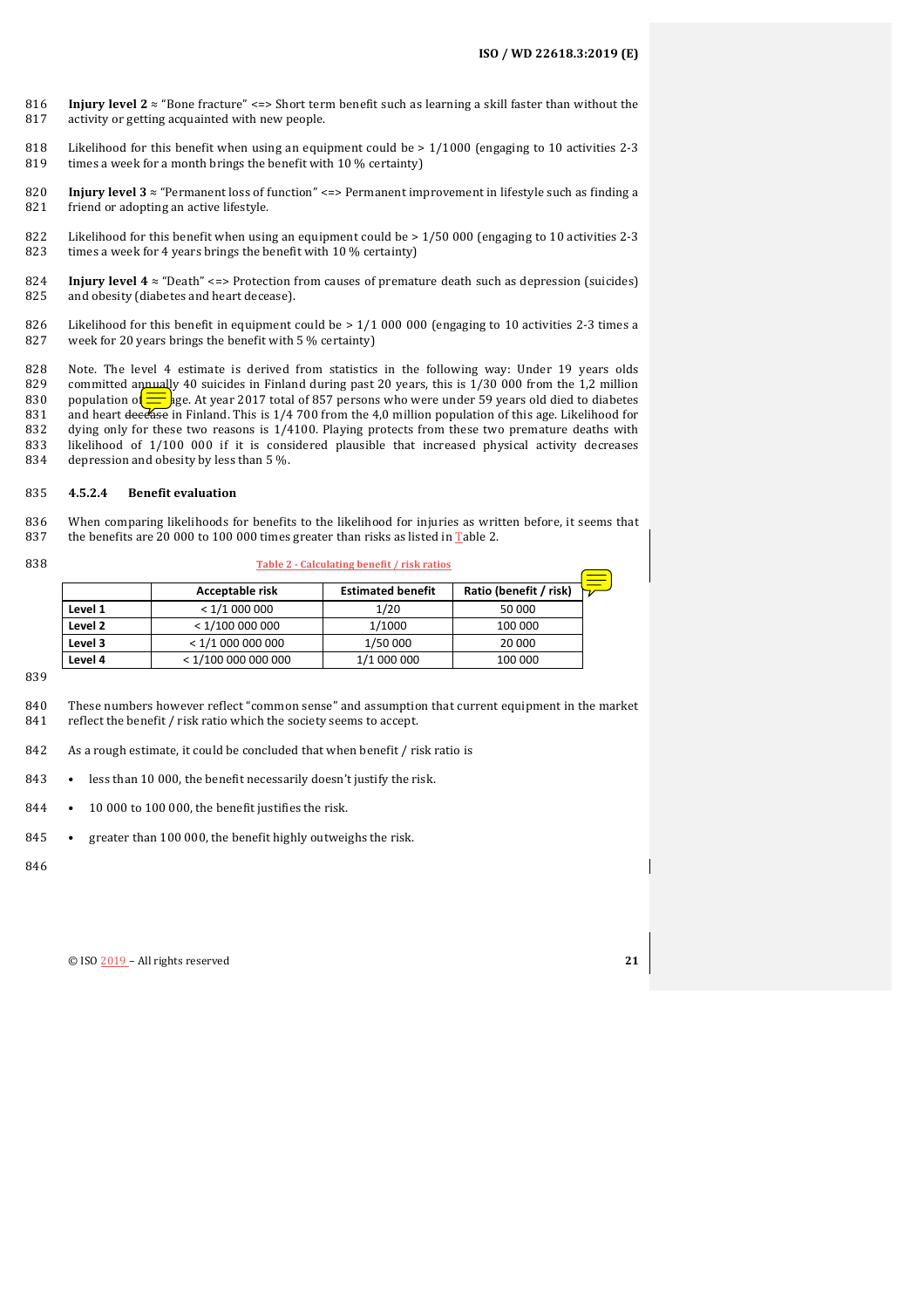- 816 **Injury level 2**  $\approx$  "Bone fracture" <=> Short term benefit such as learning a skill faster than without the 817 activity or getting acquainted with new people.
- 818 Likelihood for this benefit when using an equipment could be  $> 1/1000$  (engaging to 10 activities 2-3 819 times a week for a month brings the benefit with  $10\%$  certainty)
- 820 **Injury level 3**  $\approx$  "Permanent loss of function" <=> Permanent improvement in lifestyle such as finding a 821 friend or adopting an active lifestyle.
- 822 Likelihood for this benefit when using an equipment could be > 1/50 000 (engaging to 10 activities 2-3 823 times a week for 4 years brings the benefit with  $10\%$  certainty)
- 824 **Injury level 4** ≈ "Death" <=> Protection from causes of premature death such as depression (suicides) and obesity (diabetes and heart decease). and obesity (diabetes and heart decease).
- 826 Likelihood for this benefit in equipment could be  $> 1/1000000$  (engaging to 10 activities 2-3 times a 827 week for 20 years brings the benefit with 5 % certainty)

828 Note. The level 4 estimate is derived from statistics in the following way: Under 19 years olds committed annually 40 suicides in Finland during past 20 years, this is 1/30 000 from the 1,2 million committed annually 40 suicides in Finland during past 20 years, this is  $1/30000$  from the 1,2 million 830 population of  $\frac{1}{\sqrt{1-\theta}}$  age. At year 2017 total of 857 persons who were under 59 years old died to diabetes 831 and heart decease in Finland. This is 1/4 700 from the 4,0 million population of this age. Likelihood for 832 dying only for these two reasons is 1/4100. Playing protects from these two premature deaths with 833 likelihood of 1/100 000 if it is considered plausible that increased physical activity decreases 834 depression and obesity by less than 5 %.

#### 835 **4.5.2.4 Benefit evaluation**

836 When comparing likelihoods for benefits to the likelihood for injuries as written before, it seems that 837 the benefits are 20 000 to 100 000 times greater than risks as listed in Table 2.

**Table 2 - Calculating benefit** / **risk ratios** 

|         | Acceptable risk       | <b>Estimated benefit</b> | Ratio (benefit / risk) |  |
|---------|-----------------------|--------------------------|------------------------|--|
| Level 1 | < 1/1000000           | 1/20                     | 50 000                 |  |
| Level 2 | < 1/100000000         | 1/1000                   | 100 000                |  |
| Level 3 | < 1/1000000000        | 1/50 000                 | 20 000                 |  |
| Level 4 | $<$ 1/100 000 000 000 | 1/1 000 000              | 100 000                |  |

839

840 These numbers however reflect "common sense" and assumption that current equipment in the market 841 reflect the benefit / risk ratio which the society seems to accept.

842 As a rough estimate, it could be concluded that when benefit / risk ratio is

843 • less than 10 000, the benefit necessarily doesn't justify the risk.

844 • 10 000 to 100 000, the benefit justifies the risk.

845 • greater than 100 000, the benefit highly outweighs the risk.

846

 $\odot$  ISO <u>2019</u> – All rights reserved **21**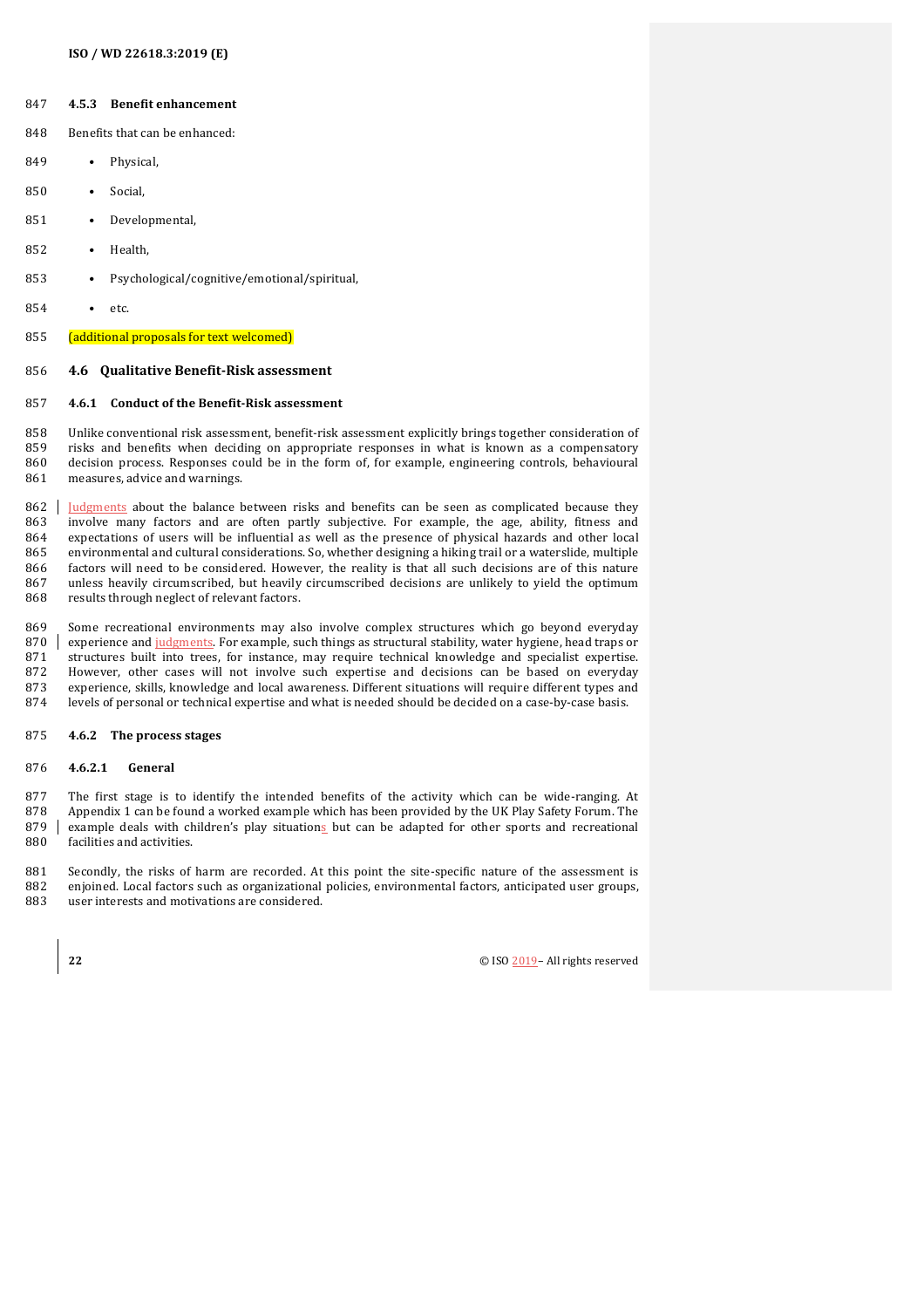#### 847 **4.5.3** Benefit enhancement

- 848 Benefits that can be enhanced:
- 849 Physical,
- 850 Social,
- 851 Developmental,
- 852 Health,
- 853 Psychological/cognitive/emotional/spiritual,
- 854 etc.

855 (additional proposals for text welcomed)

#### 856 **4.6 Oualitative Benefit-Risk assessment**

#### 857 **4.6.1 Conduct of the Benefit-Risk assessment**

858 Unlike conventional risk assessment, benefit-risk assessment explicitly brings together consideration of 859 risks and benefits when deciding on appropriate responses in what is known as a compensatory 860 decision process. Responses could be in the form of, for example, engineering controls, behavioural 861 measures, advice and warnings.

862  $\parallel$  Judgments about the balance between risks and benefits can be seen as complicated because they 863 involve many factors and are often partly subjective. For example, the age, ability, fitness and 864 expectations of users will be influential as well as the presence of physical hazards and other local 865 environmental and cultural considerations. So, whether designing a hiking trail or a waterslide, multiple 866 factors will need to be considered. However, the reality is that all such decisions are of this nature factors will need to be considered. However, the reality is that all such decisions are of this nature 867 unless heavily circumscribed, but heavily circumscribed decisions are unlikely to yield the optimum 868 results through neglect of relevant factors.

869 Some recreational environments may also involve complex structures which go beyond everyday 870  $\vert$  experience and judgments. For example, such things as structural stability, water hygiene, head traps or experience and judgments. For example, such things as structural stability, water hygiene, head traps or 871 structures built into trees, for instance, may require technical knowledge and specialist expertise. 872 However, other cases will not involve such expertise and decisions can be based on everyday 873 experience, skills, knowledge and local awareness. Different situations will require different types and 874 levels of personal or technical expertise and what is needed should be decided on a case-by-case basis.

#### 875 4.6.2 The process stages

#### 876 **4.6.2.1 General**

877 The first stage is to identify the intended benefits of the activity which can be wide-ranging. At 878 Appendix 1 can be found a worked example which has been provided by the UK Play Safety Forum. The Appendix 1 can be found a worked example which has been provided by the UK Play Safety Forum. The 879 example deals with children's play situations but can be adapted for other sports and recreational 880 facilities and activities.

881 Secondly, the risks of harm are recorded. At this point the site-specific nature of the assessment is 882 enjoined. Local factors such as organizational policies, environmental factors, anticipated user groups, 883 user interests and motivations are considered.

**22**  $\odot$  ISO  $\frac{2019}{-}$  All rights reserved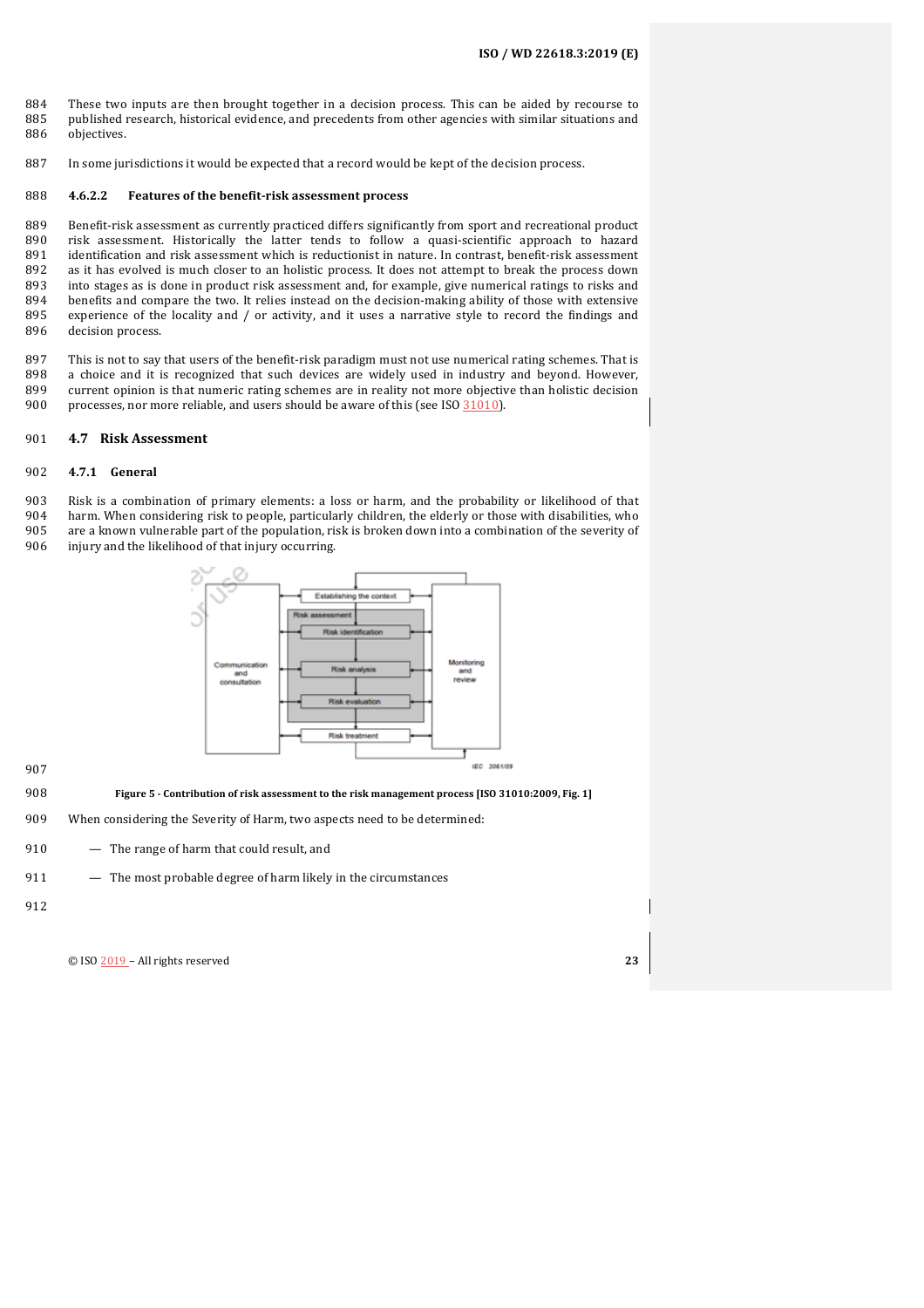884 These two inputs are then brought together in a decision process. This can be aided by recourse to a set on the second to the product of the published research, historical evidence, and precedents from other agencies w published research, historical evidence, and precedents from other agencies with similar situations and 886 objectives.

887 In some jurisdictions it would be expected that a record would be kept of the decision process.

### 888 **4.6.2.2 Features of the benefit-risk assessment process**

889 Benefit-risk assessment as currently practiced differs significantly from sport and recreational product 890 risk assessment. Historically the latter tends to follow a quasi-scientific approach to hazard 891 identification and risk assessment which is reductionist in nature. In contrast, benefit-risk assessment 892 as it has evolved is much closer to an holistic process. It does not attempt to break the process down 893 into stages as is done in product risk assessment and, for example, give numerical ratings to risks and 894 benefits and compare the two. It relies instead on the decision-making ability of those with extensive 895 experience of the locality and / or activity, and it uses a narrative style to record the findings and 896 decision process.

897 This is not to say that users of the benefit-risk paradigm must not use numerical rating schemes. That is 898 a choice and it is recognized that such devices are widely used in industry and beyond. However, 899 current opinion is that numeric rating schemes are in reality not more objective than holistic decision 900 processes, nor more reliable, and users should be aware of this (see ISO  $31010$ ).

#### 901 **4.7 Risk Assessment**

#### 902 **4.7.1 General**

903 Risk is a combination of primary elements: a loss or harm, and the probability or likelihood of that 904 harm. When considering risk to people, particularly children, the elderly or those with disabilities, who 905 are a known vulnerable part of the population, risk is broken down into a combination of the severity of 906 injury and the likelihood of that injury occurring.



907

908 **Figure 5** - Contribution of risk assessment to the risk management process [ISO 31010:2009, Fig. 1]

909 When considering the Severity of Harm, two aspects need to be determined:

- 910 The range of harm that could result, and
- $911 -$ The most probable degree of harm likely in the circumstances
- 912

 $\odot$  ISO <u>2019</u> – All rights reserved **23**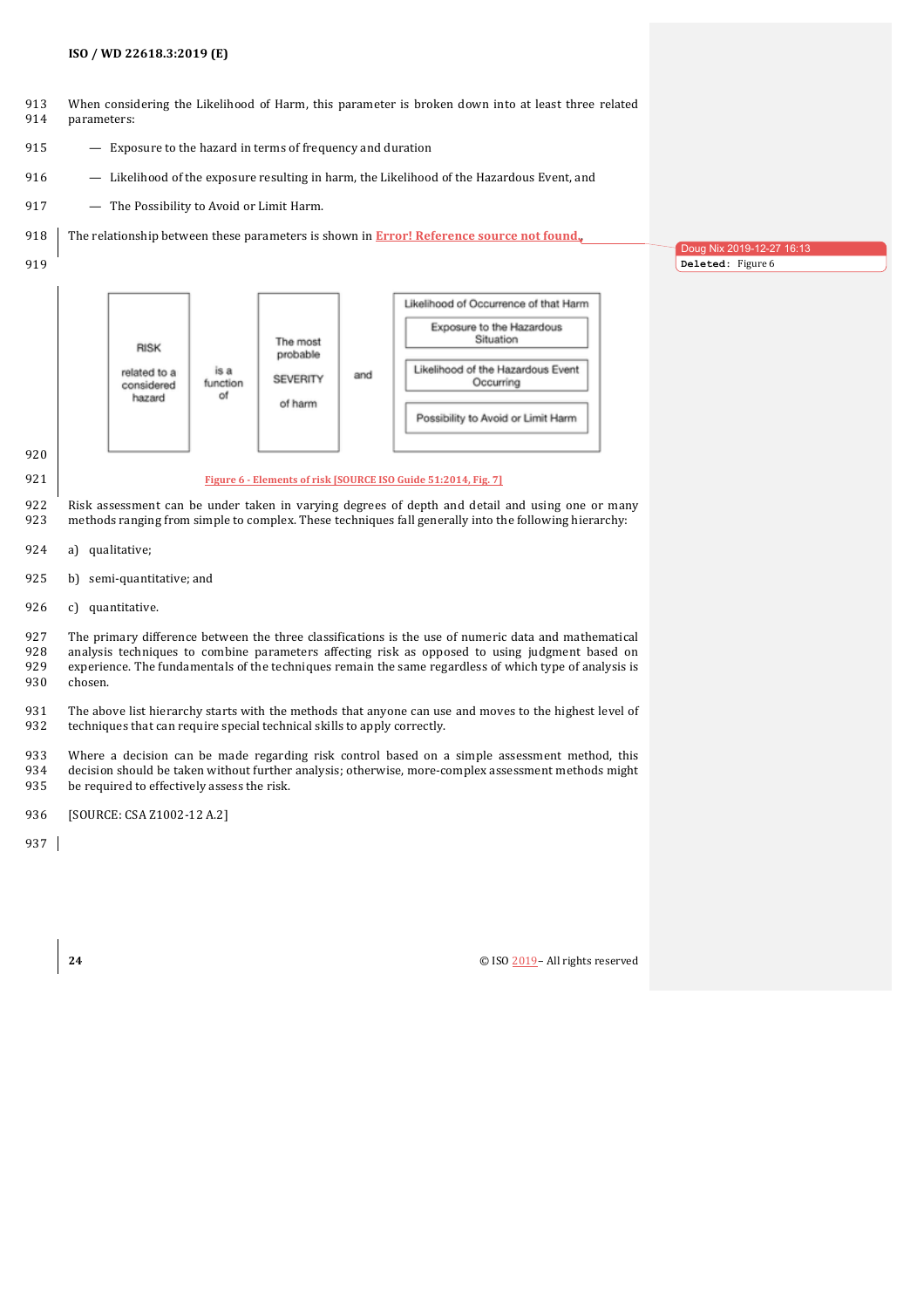#### **ISO / WD 22618.3:2019 (E)**

- 913 When considering the Likelihood of Harm, this parameter is broken down into at least three related
- 914 parameters:
- $915$  Exposure to the hazard in terms of frequency and duration
- 916 Likelihood of the exposure resulting in harm, the Likelihood of the Hazardous Event, and
- 917 The Possibility to Avoid or Limit Harm.
- 918 The relationship between these parameters is shown in **Error! Reference source not found.**
- 919



- 925 b) semi-quantitative; and
- 926 c) quantitative.

927 The primary difference between the three classifications is the use of numeric data and mathematical 928 analysis techniques to combine parameters affecting risk as opposed to using judgment based on 929 experience. The fundamentals of the techniques remain the same regardless of which type of analysis is chosen. chosen.

931 The above list hierarchy starts with the methods that anyone can use and moves to the highest level of 932 techniques that can require special technical skills to apply correctly.

933 Where a decision can be made regarding risk control based on a simple assessment method, this 934 decision should be taken without further analysis; otherwise, more-complex assessment methods might 935 be required to effectively assess the risk.

- 936 [SOURCE: CSA Z1002-12 A.2]
- 937

**24**  $\odot$  ISO  $\frac{2019}{-}$  All rights reserved

Doug Nix 2019-12-27 16:13 Deleted: Figure 6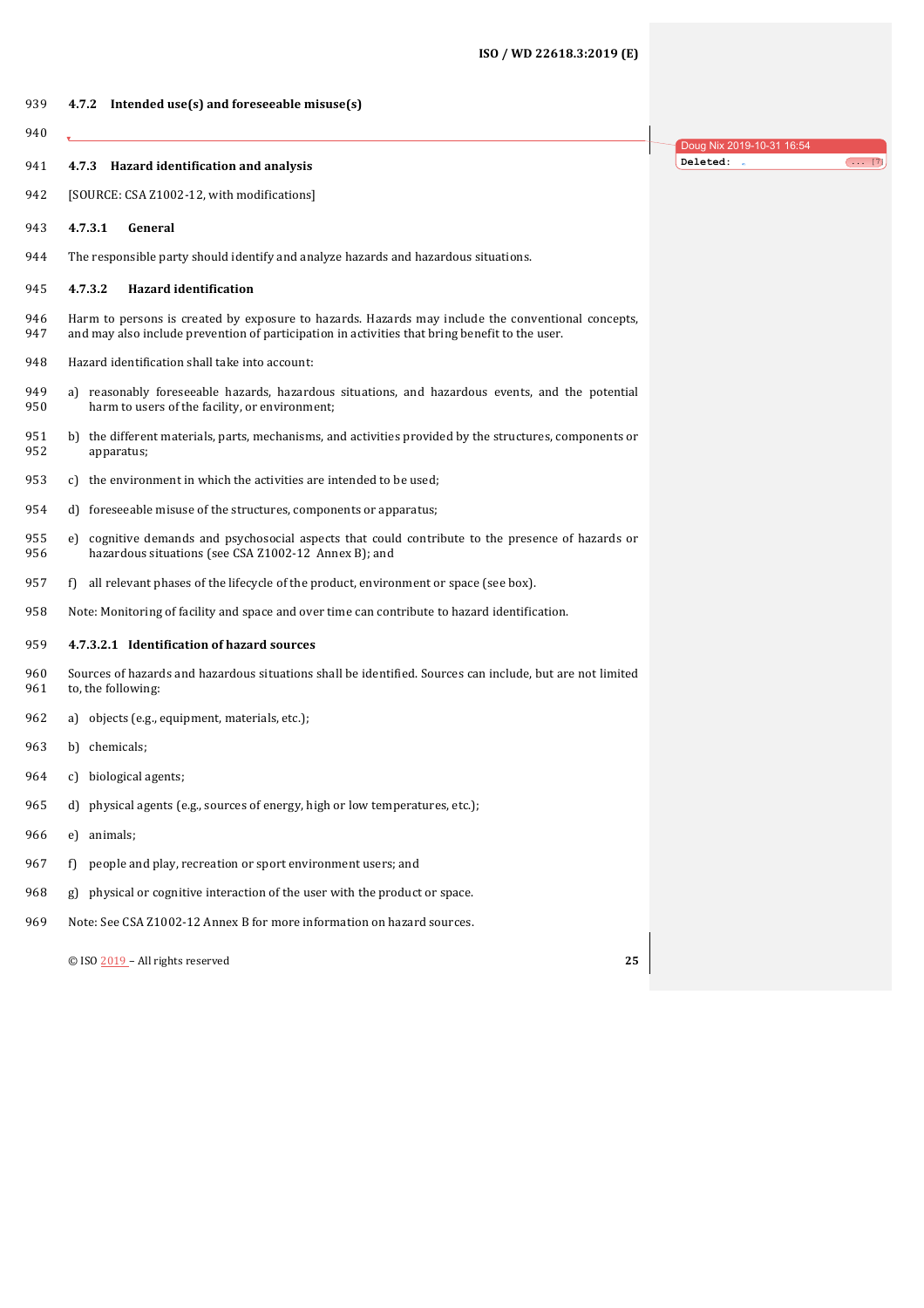| 939        | 4.7.2 Intended use(s) and foreseeable misuse(s)                                                                                                                                                     |                           |         |
|------------|-----------------------------------------------------------------------------------------------------------------------------------------------------------------------------------------------------|---------------------------|---------|
| 940        |                                                                                                                                                                                                     | Doug Nix 2019-10-31 16:54 |         |
| 941        | 4.7.3 Hazard identification and analysis                                                                                                                                                            | Deleted: .                | $($ [7] |
| 942        | [SOURCE: CSA Z1002-12, with modifications]                                                                                                                                                          |                           |         |
| 943        | 4.7.3.1<br>General                                                                                                                                                                                  |                           |         |
| 944        | The responsible party should identify and analyze hazards and hazardous situations.                                                                                                                 |                           |         |
| 945        | 4.7.3.2<br><b>Hazard identification</b>                                                                                                                                                             |                           |         |
| 946<br>947 | Harm to persons is created by exposure to hazards. Hazards may include the conventional concepts,<br>and may also include prevention of participation in activities that bring benefit to the user. |                           |         |
| 948        | Hazard identification shall take into account:                                                                                                                                                      |                           |         |
| 949<br>950 | a) reasonably foreseeable hazards, hazardous situations, and hazardous events, and the potential<br>harm to users of the facility, or environment;                                                  |                           |         |
| 951<br>952 | b) the different materials, parts, mechanisms, and activities provided by the structures, components or<br>apparatus;                                                                               |                           |         |
| 953        | c) the environment in which the activities are intended to be used;                                                                                                                                 |                           |         |
| 954        | d) fore seeable misuse of the structures, components or apparatus;                                                                                                                                  |                           |         |
| 955<br>956 | cognitive demands and psychosocial aspects that could contribute to the presence of hazards or<br>e)<br>hazardous situations (see CSA Z1002-12 Annex B); and                                        |                           |         |
| 957        | f) all relevant phases of the lifecycle of the product, environment or space (see box).                                                                                                             |                           |         |
| 958        | Note: Monitoring of facility and space and over time can contribute to hazard identification.                                                                                                       |                           |         |
| 959        | 4.7.3.2.1 Identification of hazard sources                                                                                                                                                          |                           |         |
| 960<br>961 | Sources of hazards and hazardous situations shall be identified. Sources can include, but are not limited<br>to, the following:                                                                     |                           |         |
| 962        | a) objects (e.g., equipment, materials, etc.);                                                                                                                                                      |                           |         |
| 963        | b) chemicals;                                                                                                                                                                                       |                           |         |
| 964        | c) biological agents;                                                                                                                                                                               |                           |         |
| 965        | d) physical agents (e.g., sources of energy, high or low temperatures, etc.);                                                                                                                       |                           |         |
| 966        | e) animals;                                                                                                                                                                                         |                           |         |
| 967        | people and play, recreation or sport environment users; and<br>f)                                                                                                                                   |                           |         |
| 968        | physical or cognitive interaction of the user with the product or space.<br>g)                                                                                                                      |                           |         |
| 969        | Note: See CSA Z1002-12 Annex B for more information on hazard sources.                                                                                                                              |                           |         |
|            | © ISO 2019 - All rights reserved<br>25                                                                                                                                                              |                           |         |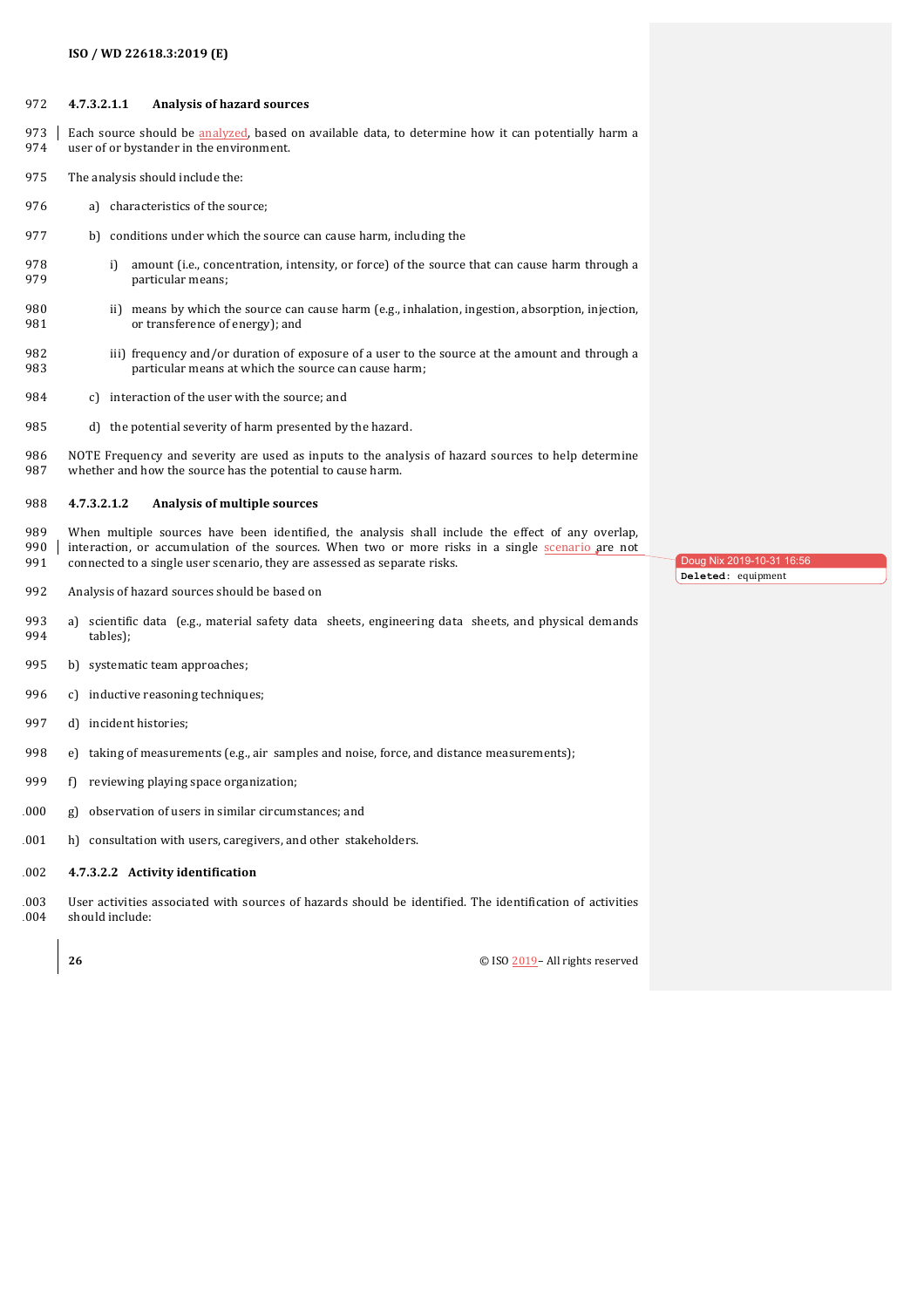#### 972 4.7.3.2.1.1 Analysis of hazard sources

- 973 Each source should be analyzed, based on available data, to determine how it can potentially harm a 974 user of or bystander in the environment.
- 975 The analysis should include the:
- 976 a) characteristics of the source;
- 977 b) conditions under which the source can cause harm, including the
- 978 i) amount (i.e., concentration, intensity, or force) of the source that can cause harm through a particular means: particular means;
- 980 ii) means by which the source can cause harm (e.g., inhalation, ingestion, absorption, injection, 981 or transference of energy); and
- 982 iii) frequency and/or duration of exposure of a user to the source at the amount and through a 983 particular means at which the source can cause harm;
- 984 c) interaction of the user with the source; and
- 985 d) the potential severity of harm presented by the hazard.
- 986 NOTE Frequency and severity are used as inputs to the analysis of hazard sources to help determine 987 whether and how the source has the potential to cause harm.

#### 988 4.7.3.2.1.2 Analysis of multiple sources

- 989 When multiple sources have been identified, the analysis shall include the effect of any overlap, 990 interaction, or accumulation of the sources. When two or more risks in a single scenario are not 991 connected to a single user scenario, they are assessed as separate risks.
- 992 Analysis of hazard sources should be based on
- 993 a) scientific data (e.g., material safety data sheets, engineering data sheets, and physical demands tables); tables);
- 995 b) systematic team approaches;
- 996 c) inductive reasoning techniques;
- 997 d) incident histories;
- 998 e) taking of measurements (e.g., air samples and noise, force, and distance measurements);
- 999 f) reviewing playing space organization;
- 1000 g) observation of users in similar circumstances; and
- .001 h) consultation with users, caregivers, and other stakeholders.

# 1002 **4.7.3.2.2 Activity identification**

003 User activities associated with sources of hazards should be identified. The identification of activities  $004$  should include:

**26** © ISO <u>2019</u> - All rights reserved

Doug Nix 2019-10-31 16: Deleted: equipment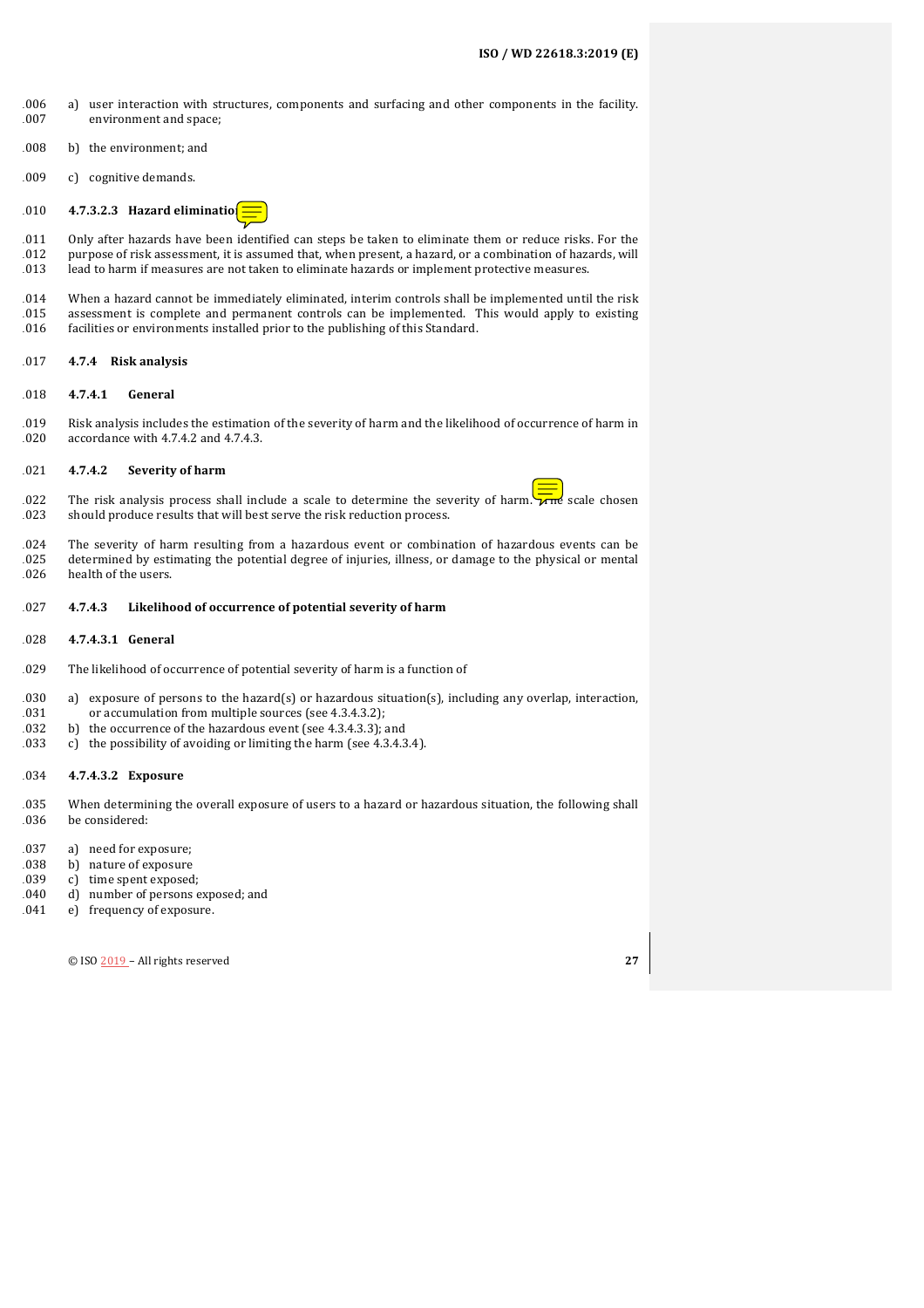- 006 a) user interaction with structures, components and surfacing and other components in the facility. 007 environment and space:
- .008 b) the environment; and
- .009 c) cognitive demands.
- 1010 **4.7.3.2.3 Hazard elimination**
- 011 Only after hazards have been identified can steps be taken to eliminate them or reduce risks. For the .012 purpose of risk assessment, it is assumed that, when present, a hazard, or a combination of hazards, will 013 lead to harm if measures are not taken to eliminate hazards or implement protective measures.
- .014 When a hazard cannot be immediately eliminated, interim controls shall be implemented until the risk .015 assessment is complete and permanent controls can be implemented. This would apply to existing .016 facilities or environments installed prior to the publishing of this Standard.

#### 1017 **4.7.4 Risk analysis**

- 1018 **4.7.4.1 General**
- 019 Risk analysis includes the estimation of the severity of harm and the likelihood of occurrence of harm in 1020 accordance with 4.7.4.2 and 4.7.4.3.

#### 1021 **4.7.4.2 Severity of harm**



1022 The risk analysis process shall include a scale to determine the severity of harm.  $\pi r e^t$  scale chosen .023 should produce results that will best serve the risk reduction process.

024 The severity of harm resulting from a hazardous event or combination of hazardous events can be 025 determined by estimating the potential degree of injuries, illness, or damage to the physical or mental .026 health of the users.

#### 1027 **4.7.4.3 Likelihood of occurrence of potential severity of harm**

#### 1028 **4.7.4.3.1 General**

- .029 The likelihood of occurrence of potential severity of harm is a function of
- $1030$  a) exposure of persons to the hazard(s) or hazardous situation(s), including any overlap, interaction, .031 or accumulation from multiple sources (see 4.3.4.3.2);
- $1032$  b) the occurrence of the hazardous event (see 4.3.4.3.3); and
- $1033$  c) the possibility of avoiding or limiting the harm (see 4.3.4.3.4).

#### 1034 **4.7.4.3.2 Exposure**

.035 When determining the overall exposure of users to a hazard or hazardous situation, the following shall 1036 be considered:

- 1037 a) need for exposure;
- .038 b) nature of exposure
- .039 c) time spent exposed;
- .040 d) number of persons exposed; and
- .041 e) frequency of exposure.

© ISO <u>2019</u> – All rights reserved **27**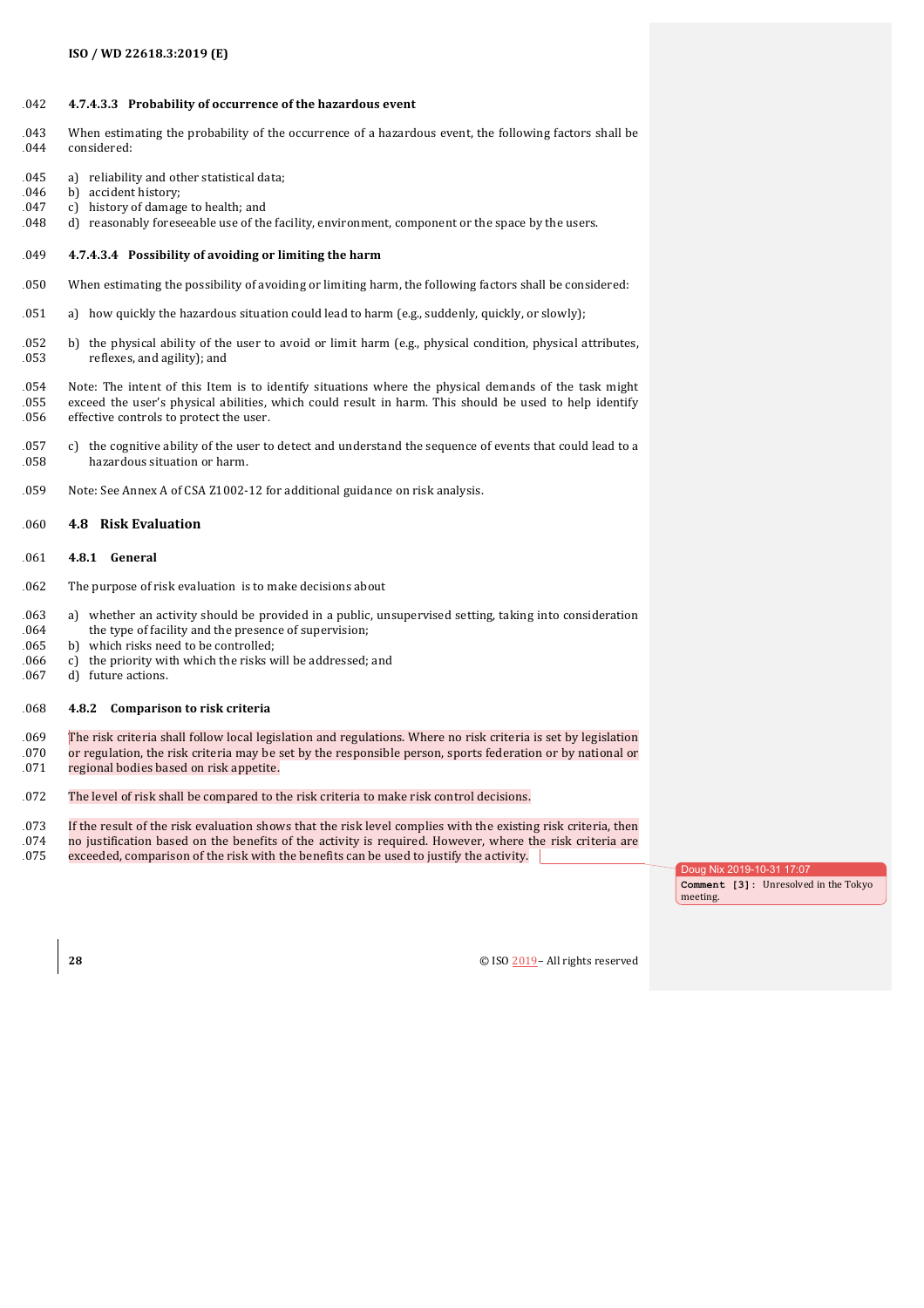#### 1042 **4.7.4.3.3 Probability of occurrence of the hazardous event**

043 When estimating the probability of the occurrence of a hazardous event, the following factors shall be 1044 considered:

#### .045 a) reliability and other statistical data;

- 046 b) accident history;
- $1047$  c) history of damage to health; and
- 048 d) reasonably foreseeable use of the facility, environment, component or the space by the users.

#### 1049 **4.7.4.3.4 Possibility of avoiding or limiting the harm**

- .050 When estimating the possibility of avoiding or limiting harm, the following factors shall be considered:
- 1051 a) how quickly the hazardous situation could lead to harm (e.g., suddenly, quickly, or slowly);
- 1052 b) the physical ability of the user to avoid or limit harm (e.g., physical condition, physical attributes, .053 reflexes, and agility); and
- .054 Note: The intent of this Item is to identify situations where the physical demands of the task might .055 exceed the user's physical abilities, which could result in harm. This should be used to help identify .056 effective controls to protect the user.
- 057 c) the cognitive ability of the user to detect and understand the sequence of events that could lead to a 1058 hazardous situation or harm.
- 1059 Note: See Annex A of CSA Z1002-12 for additional guidance on risk analysis.

#### 1060 **4.8 Risk Evaluation**

#### 1061 **4.8.1 General**

- .062 The purpose of risk evaluation is to make decisions about
- 063 a) whether an activity should be provided in a public, unsupervised setting, taking into consideration .064 the type of facility and the presence of supervision;
- .065 b) which risks need to be controlled;
- $1066$  c) the priority with which the risks will be addressed; and
- .067 d) future actions.

#### 1068 **4.8.2 Comparison to risk criteria**

 $1069$  The risk criteria shall follow local legislation and regulations. Where no risk criteria is set by legislation 070 or regulation, the risk criteria may be set by the responsible person, sports federation or by national or .071 regional bodies based on risk appetite.

- .072 The level of risk shall be compared to the risk criteria to make risk control decisions.
- 073 If the result of the risk evaluation shows that the risk level complies with the existing risk criteria, then
- $1074$  no justification based on the benefits of the activity is required. However, where the risk criteria are 075 exceeded, comparison of the risk with the benefits can be used to justify the activity.

Doug Nix 2019-10-31 17:07 **Comment** [3]: Unresolved in the Tokyo meeting.

**28**  $\odot$  ISO  $\frac{2019}{-}$  All rights reserved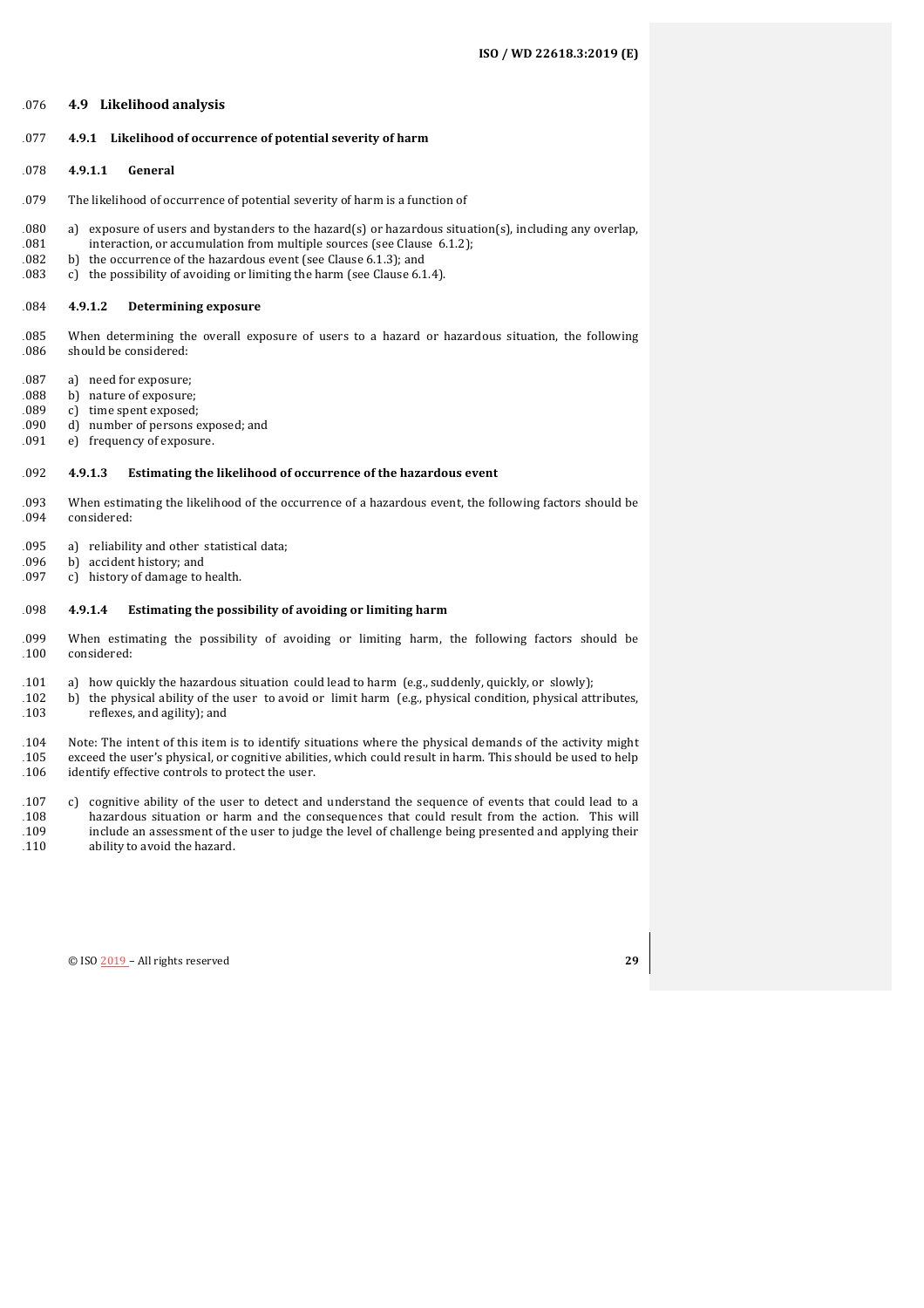#### 1076 **4.9 Likelihood analysis**

#### 1077 **4.9.1 Likelihood of occurrence of potential severity of harm**

#### 1078 **4.9.1.1 General**

- 1079 The likelihood of occurrence of potential severity of harm is a function of
- 080 a) exposure of users and bystanders to the hazard(s) or hazardous situation(s), including any overlap,
- 1081 interaction, or accumulation from multiple sources (see Clause 6.1.2);
- 1082 b) the occurrence of the hazardous event (see Clause 6.1.3); and
- 1083 c) the possibility of avoiding or limiting the harm (see Clause 6.1.4).

#### 1084 **4.9.1.2 Determining exposure**

 $1085$  When determining the overall exposure of users to a hazard or hazardous situation, the following .086 should be considered:

- 1087 a) need for exposure;
- .088 b) nature of exposure;
- .089 c) time spent exposed;
- .090 d) number of persons exposed; and
- 1091 e) frequency of exposure.

#### 1092 **4.9.1.3 Estimating the likelihood of occurrence of the hazardous event**

- .093 When estimating the likelihood of the occurrence of a hazardous event, the following factors should be 1094 considered:
- .095 a) reliability and other statistical data;
- .096 b) accident history; and
- 1097 c) history of damage to health.

#### 1098 **4.9.1.4 Estimating the possibility of avoiding or limiting harm**

1099 When estimating the possibility of avoiding or limiting harm, the following factors should be considered: considered:

- 101 a) how quickly the hazardous situation could lead to harm (e.g., suddenly, quickly, or slowly);
- 102 b) the physical ability of the user to avoid or limit harm (e.g., physical condition, physical attributes, .103 reflexes, and agility); and

104 Note: The intent of this item is to identify situations where the physical demands of the activity might 105 exceed the user's physical, or cognitive abilities, which could result in harm. This should be used to help .106 identify effective controls to protect the user.

107 c) cognitive ability of the user to detect and understand the sequence of events that could lead to a 108 hazardous situation or harm and the consequences that could result from the action. This will .109 include an assessment of the user to judge the level of challenge being presented and applying their .110 ability to avoid the hazard.

© ISO 2019 – All rights reserved **29**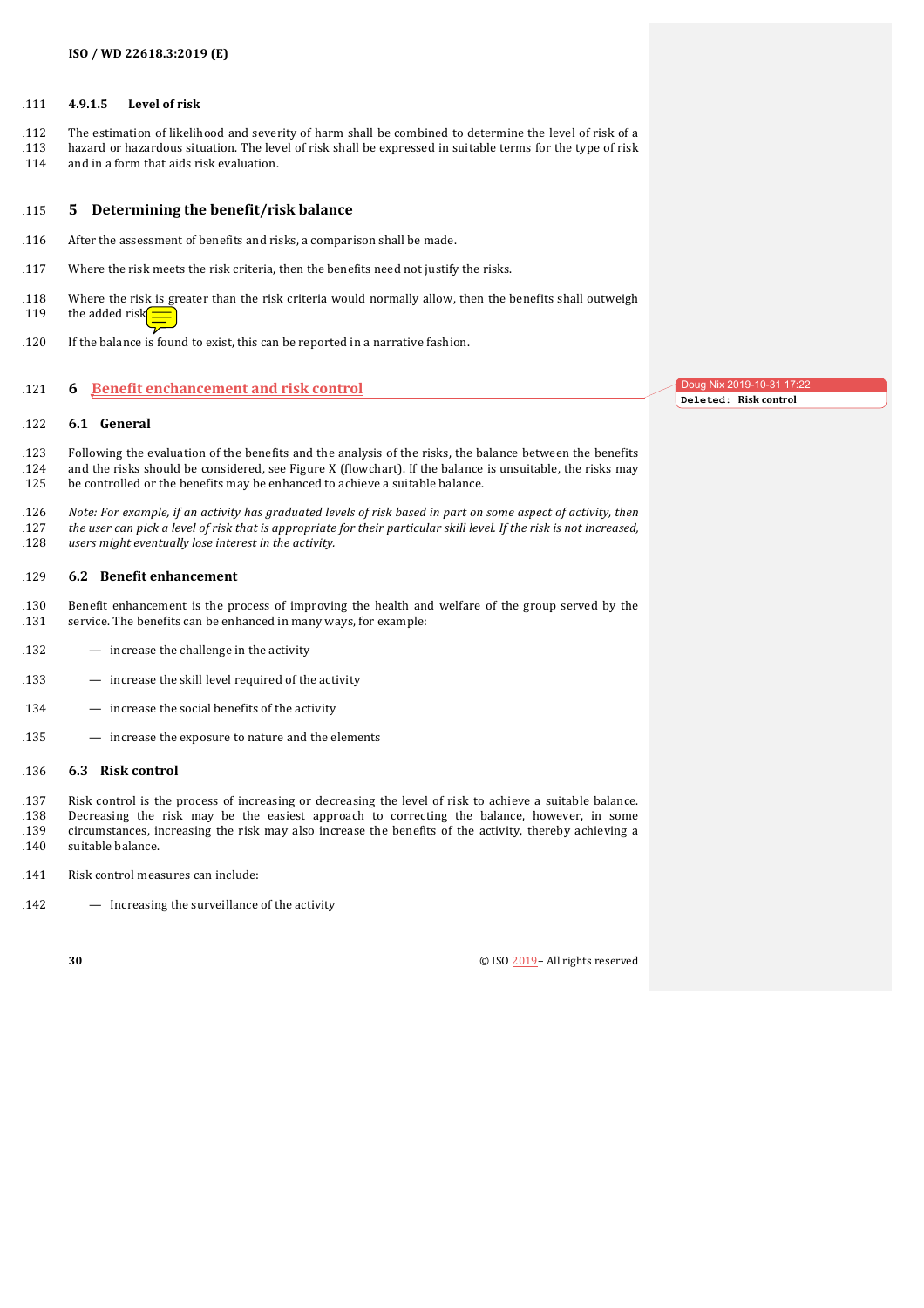#### **ISO / WD 22618.3:2019 (E)**

#### 1111 **4.9.1.5 Level of risk**

- .112 The estimation of likelihood and severity of harm shall be combined to determine the level of risk of a
- 113 hazard or hazardous situation. The level of risk shall be expressed in suitable terms for the type of risk .114 and in a form that aids risk evaluation.

#### 1115 **5 Determining the benefit/risk balance**

- .116 After the assessment of benefits and risks, a comparison shall be made.
- .117 Where the risk meets the risk criteria, then the benefits need not justify the risks.
- .118 Where the risk is greater than the risk criteria would normally allow, then the benefits shall outweigh 119 the added risk $\frac{1}{2}$
- .120 If the balance is found to exist, this can be reported in a narrative fashion.

#### 121 **6 Benefit enchancement and risk control**

#### 1122 **6.1 General**

123 Following the evaluation of the benefits and the analysis of the risks, the balance between the benefits 124 and the risks should be considered, see Figure X (flowchart). If the balance is unsuitable, the risks may 125 be controlled or the benefits may be enhanced to achieve a suitable balance. be controlled or the benefits may be enhanced to achieve a suitable balance.

126 Note: For example, if an activity has graduated levels of risk based in part on some aspect of activity, then 127 the user can pick a level of risk that is appropriate for their particular skill level. If the risk is not increased, 128 users might eventually lose interest in the activity.

#### 129 **6.2 Benefit enhancement**

- 130 Benefit enhancement is the process of improving the health and welfare of the group served by the .131 service. The benefits can be enhanced in many ways, for example:
- $1132 -$  increase the challenge in the activity
- .133 increase the skill level required of the activity
- $1134 -$  increase the social benefits of the activity
- $1135 1135$  increase the exposure to nature and the elements

#### 1136 **6.3 Risk control**

137 Risk control is the process of increasing or decreasing the level of risk to achieve a suitable balance. 138 Decreasing the risk may be the easiest approach to correcting the balance, however, in some 139 circumstances, increasing the risk may also increase the benefits of the activity, thereby achieving a .140 suitable balance.

- .141 Risk control measures can include:
- $142 -$  Increasing the surveillance of the activity

**30**  $\odot$  ISO  $\frac{2019}{-}$  All rights reserved

Nix 2019-10-31 1143 **Deleted: Risk control**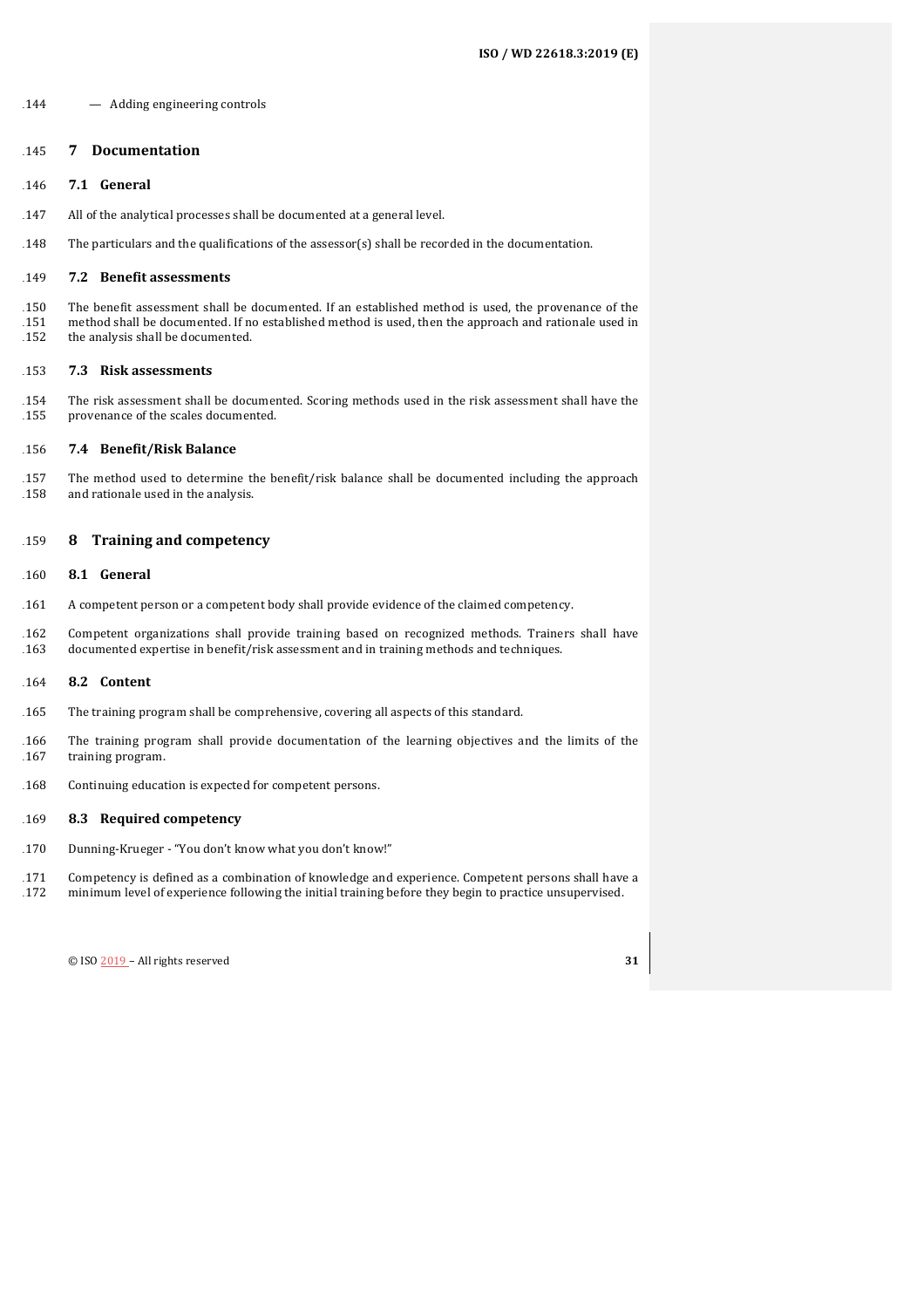#### $144 -$  Adding engineering controls

### 1145 **7 Documentation**

#### 1146 **7.1 General**

- .147 All of the analytical processes shall be documented at a general level.
- .148 The particulars and the qualifications of the assessor(s) shall be recorded in the documentation.

#### 1149 **7.2 Benefit assessments**

.150 The benefit assessment shall be documented. If an established method is used, the provenance of the 151 method shall be documented. If no established method is used, then the approach and rationale used in 152 the analysis shall be documented. the analysis shall be documented.

#### 1153 **7.3 Risk assessments**

154 The risk assessment shall be documented. Scoring methods used in the risk assessment shall have the 155 provenance of the scales documented. provenance of the scales documented.

#### 1156 **7.4 Benefit/Risk Balance**

157 The method used to determine the benefit/risk balance shall be documented including the approach .158 and rationale used in the analysis.

#### 1159 **8 Training and competency**

### 1160 **8.1 General**

- .161 A competent person or a competent body shall provide evidence of the claimed competency.
- 1162 Competent organizations shall provide training based on recognized methods. Trainers shall have .163 documented expertise in benefit/risk assessment and in training methods and techniques.

#### 1164 **8.2 Content**

- .165 The training program shall be comprehensive, covering all aspects of this standard.
- $166$  The training program shall provide documentation of the learning objectives and the limits of the .167 training program.
- .168 Continuing education is expected for competent persons.

#### 1169 **8.3 Required competency**

- .170 Dunning-Krueger "You don't know what you don't know!"
- .171 Competency is defined as a combination of knowledge and experience. Competent persons shall have a 172 minimum level of experience following the initial training before they begin to practice unsupervised.

© ISO 2019 – All rights reserved **31**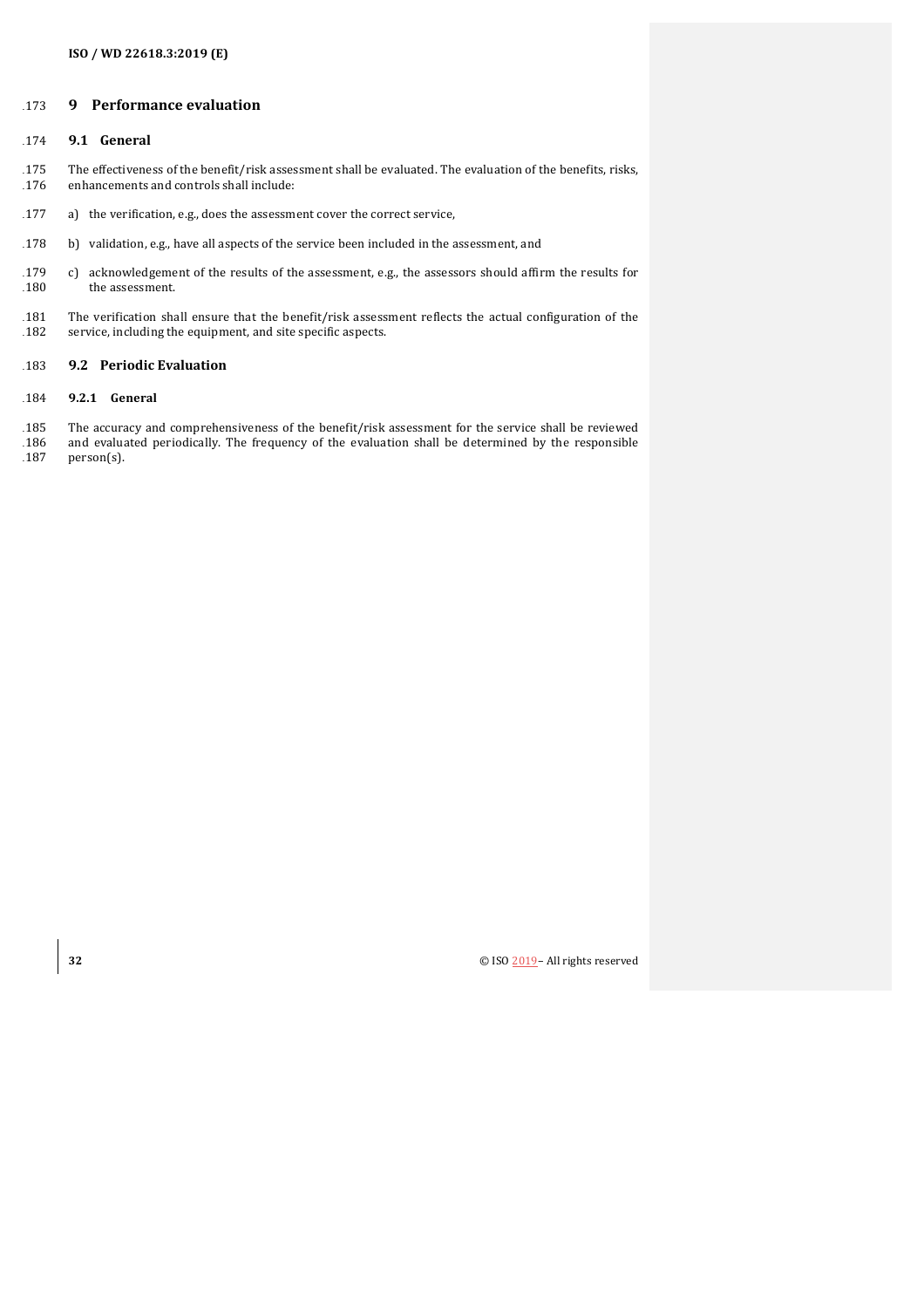### 1173 **9 Performance evaluation**

#### 1174 **9.1 General**

.175 The effectiveness of the benefit/risk assessment shall be evaluated. The evaluation of the benefits, risks, .176 enhancements and controls shall include:

.177 a) the verification, e.g., does the assessment cover the correct service,

- .178 b) validation, e.g., have all aspects of the service been included in the assessment, and
- 179 c) acknowledgement of the results of the assessment, e.g., the assessors should affirm the results for 180 the assessment.
- 181 The verification shall ensure that the benefit/risk assessment reflects the actual configuration of the 182 service, including the equipment, and site specific aspects. service, including the equipment, and site specific aspects.

#### 1183 **9.2 Periodic Evaluation**

# 1184 **9.2.1 General**

185 The accuracy and comprehensiveness of the benefit/risk assessment for the service shall be reviewed .186 and evaluated periodically. The frequency of the evaluation shall be determined by the responsible

1187 person(s).

**32** © ISO <u>2019</u> - All rights reserved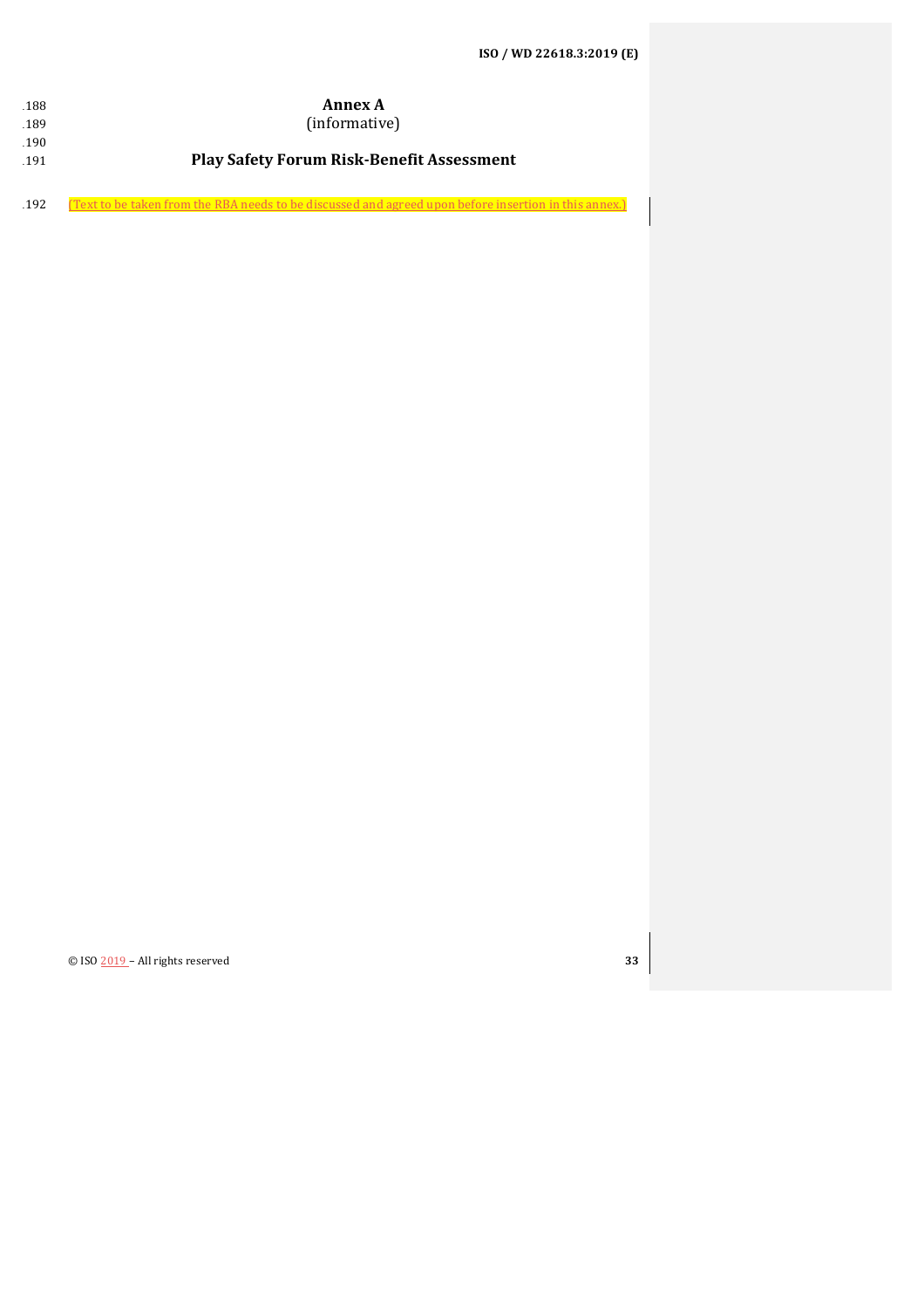| .188 | Annex A                                          |
|------|--------------------------------------------------|
| -189 | (informative)                                    |
| -190 |                                                  |
| -191 | <b>Play Safety Forum Risk-Benefit Assessment</b> |

192 (Text to be taken from the RBA needs to be discussed and agreed upon before insertion in this annex.)

© ISO 2019 – All rights reserved **33**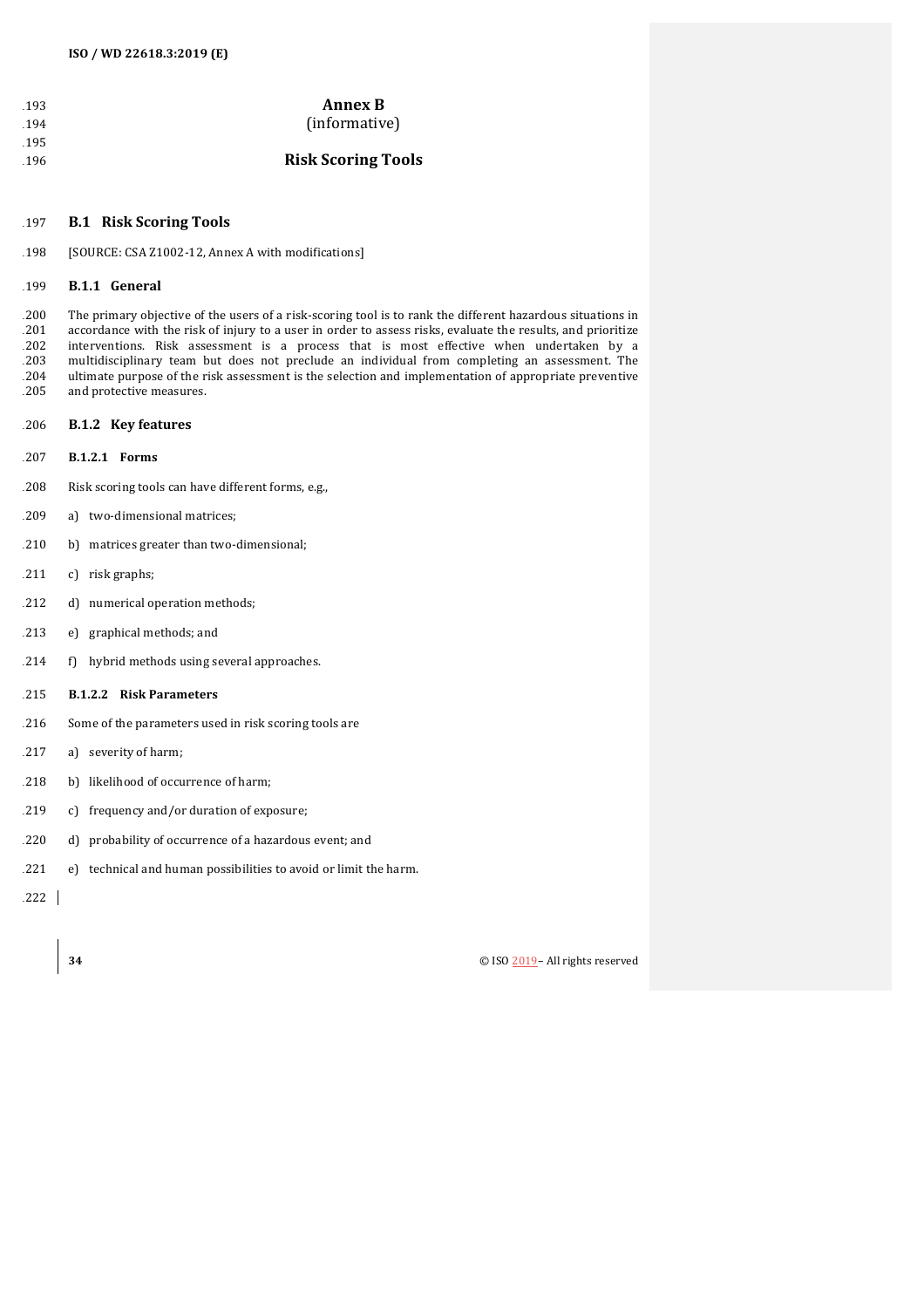| -193 | Annex B                   |
|------|---------------------------|
| -194 | (informative)             |
| -195 |                           |
| -196 | <b>Risk Scoring Tools</b> |

#### 1197 **B.1 Risk Scoring Tools**

.198 [SOURCE: CSA Z1002-12, Annex A with modifications]

#### 1199 **B.1.1 General**

.200 The primary objective of the users of a risk-scoring tool is to rank the different hazardous situations in .201 accordance with the risk of injury to a user in order to assess risks, evaluate the results, and prioritize .202 interventions. Risk assessment is a process that is most effective when undertaken by a 1203 multidisciplinary team but does not preclude an individual from completing an assessment. The<br>1204 ultimate purpose of the risk assessment is the selection and implementation of appropriate preventive ultimate purpose of the risk assessment is the selection and implementation of appropriate preventive .205 and protective measures.

- 1206 **B.1.2 Key features**
- 1207 **B.1.2.1 Forms**
- .208 Risk scoring tools can have different forms, e.g.,
- .209 a) two-dimensional matrices;
- .210 b) matrices greater than two-dimensional;
- .211 c) risk graphs;
- .212 d) numerical operation methods;
- .213 e) graphical methods; and
- .214 f) hybrid methods using several approaches.
- 1215 **B.1.2.2 Risk Parameters**
- .216 Some of the parameters used in risk scoring tools are
- .217 a) severity of harm;
- .218 b) likelihood of occurrence of harm;
- .219 c) frequency and/or duration of exposure;
- .220 d) probability of occurrence of a hazardous event; and
- .221 e) technical and human possibilities to avoid or limit the harm.
- 1222

**34** © ISO <u>2019</u> - All rights reserved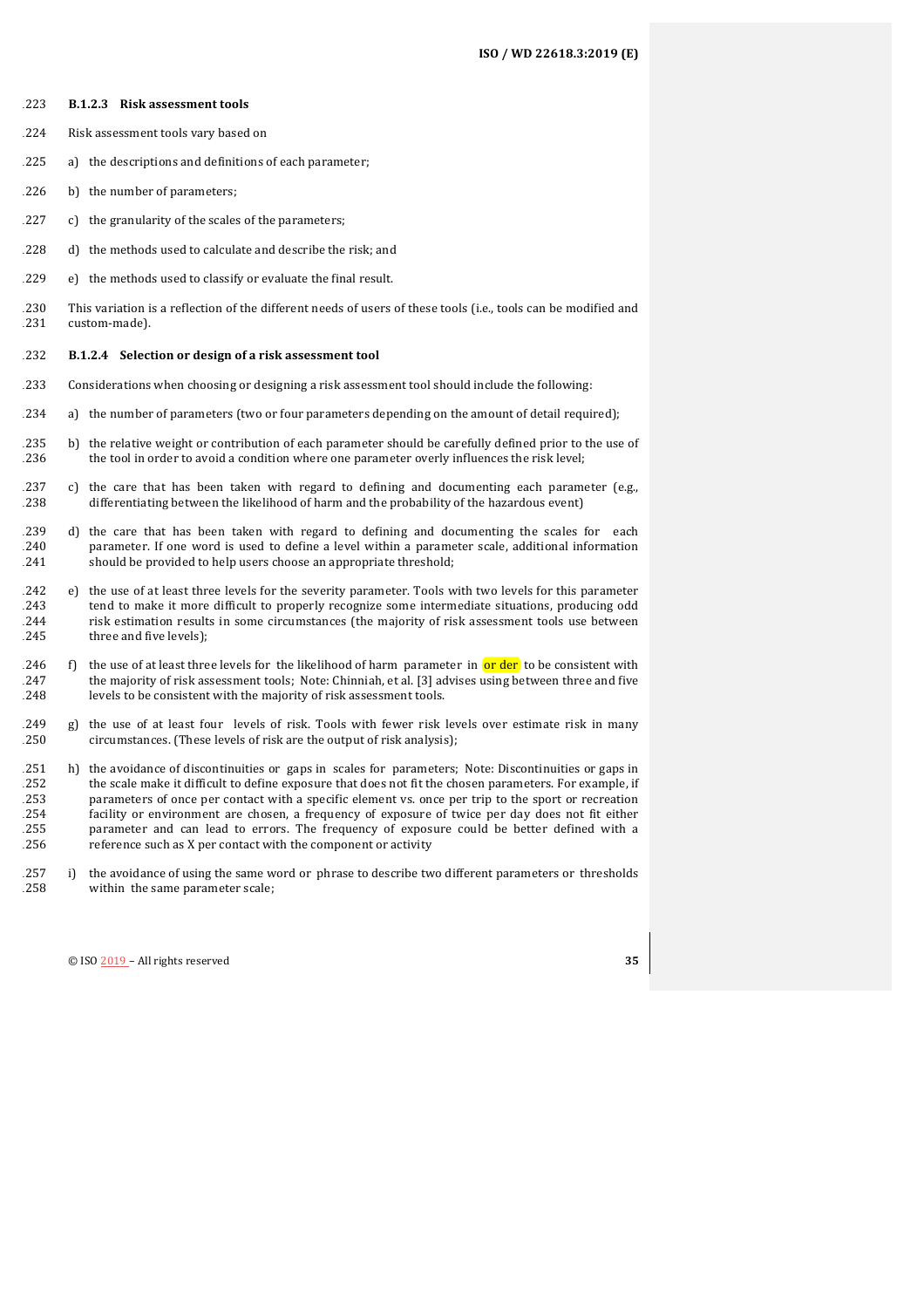#### 1223 **B.1.2.3** Risk assessment tools

- .224 Risk assessment tools vary based on
- .225 a) the descriptions and definitions of each parameter;
- $1226$  b) the number of parameters;
- $1227$  c) the granularity of the scales of the parameters;
- .228 d) the methods used to calculate and describe the risk; and
- 1229 e) the methods used to classify or evaluate the final result.
- .230 This variation is a reflection of the different needs of users of these tools (i.e., tools can be modified and 1231 custom-made).

#### .232 **B.1.2.4** Selection or design of a risk assessment tool

- .233 Considerations when choosing or designing a risk assessment tool should include the following:
- 1234 a) the number of parameters (two or four parameters depending on the amount of detail required);
- 1235 b) the relative weight or contribution of each parameter should be carefully defined prior to the use of .236 the tool in order to avoid a condition where one parameter overly influences the risk level;
- 1237 c) the care that has been taken with regard to defining and documenting each parameter (e.g., differentiating between the likelihood of harm and the probability of the hazardous event) differentiating between the likelihood of harm and the probability of the hazardous event)
- 1239 d) the care that has been taken with regard to defining and documenting the scales for each .240 parameter. If one word is used to define a level within a parameter scale, additional information .241 should be provided to help users choose an appropriate threshold;
- 1242 e) the use of at least three levels for the severity parameter. Tools with two levels for this parameter 1243 tend to make it more difficult to properly recognize some intermediate situations, producing odd 1244 risk estimation results in some circumstances (the majority of risk assessment tools use between<br>
245 three and five levels); three and five levels);
- 1246 f) the use of at least three levels for the likelihood of harm parameter in or der to be consistent with .247 the majority of risk assessment tools; Note: Chinniah, et al. [3] advises using between three and five .248 levels to be consistent with the majority of risk assessment tools.
- 249 g) the use of at least four levels of risk. Tools with fewer risk levels over estimate risk in many .250 circumstances. (These levels of risk are the output of risk analysis);
- .251 h) the avoidance of discontinuities or gaps in scales for parameters; Note: Discontinuities or gaps in .252 the scale make it difficult to define exposure that does not fit the chosen parameters. For example, if .253 parameters of once per contact with a specific element vs. once per trip to the sport or recreation .254 facility or environment are chosen, a frequency of exposure of twice per day does not fit either .255 parameter and can lead to errors. The frequency of exposure could be better defined with a .256 reference such as X per contact with the component or activity
- .257 i) the avoidance of using the same word or phrase to describe two different parameters or thresholds .258 within the same parameter scale;

© ISO 2019 – All rights reserved **35**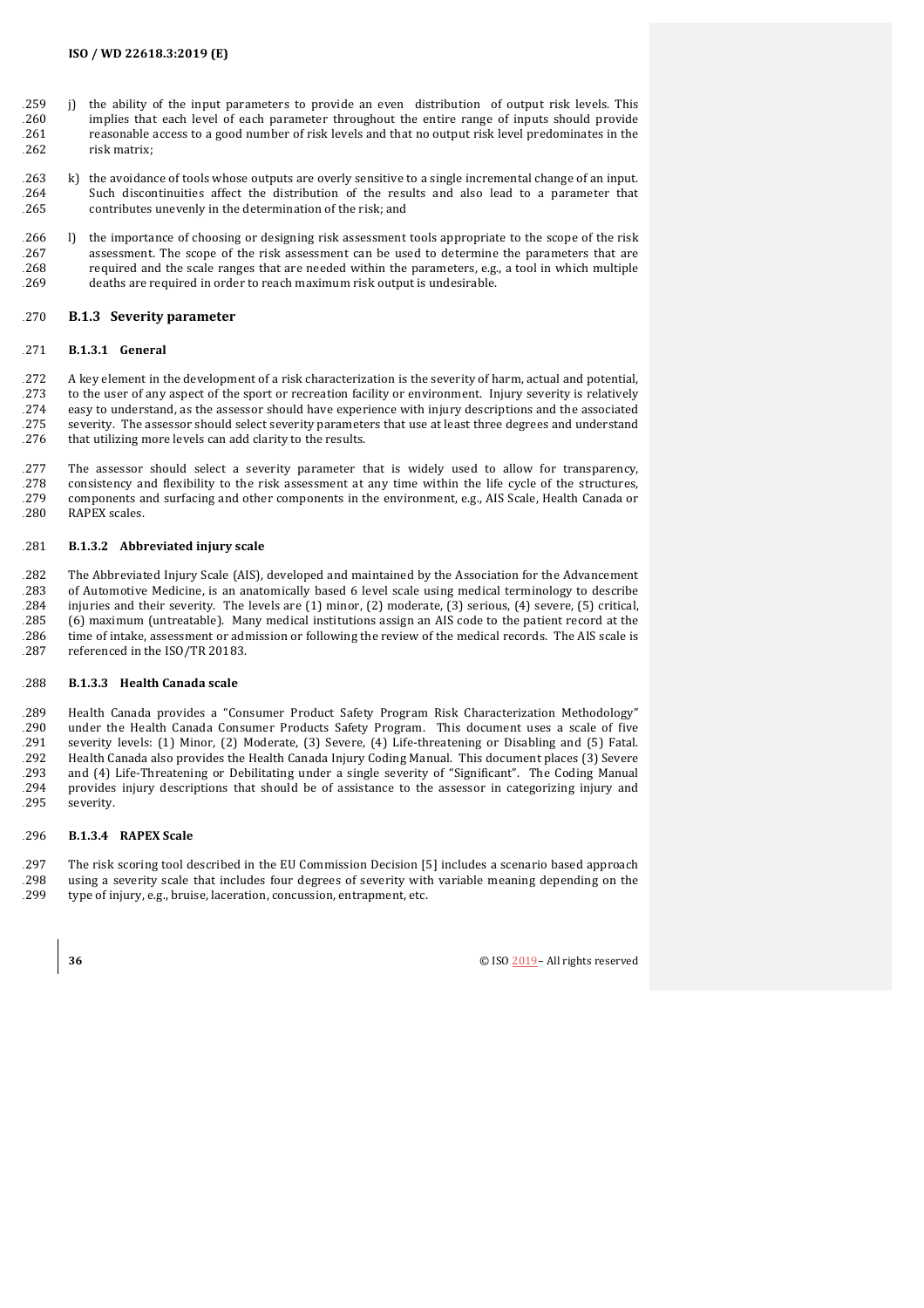- $1259$  j) the ability of the input parameters to provide an even distribution of output risk levels. This .260 implies that each level of each parameter throughout the entire range of inputs should provide .261 reasonable access to a good number of risk levels and that no output risk level predominates in the 1262 risk matrix;
- 1263 k) the avoidance of tools whose outputs are overly sensitive to a single incremental change of an input. .264 Such discontinuities affect the distribution of the results and also lead to a parameter that .265 contributes unevenly in the determination of the risk; and
- $1266$  l) the importance of choosing or designing risk assessment tools appropriate to the scope of the risk  $1267$  assessment. The scope of the risk assessment can be used to determine the parameters that are 1268 required and the scale ranges that are needed within the parameters, e.g., a tool in which multiple 1269 deaths are required in order to reach maximum risk output is undesirable.

#### 1270 **B.1.3 Severity parameter**

#### 1271 **B.1.3.1 General**

.272 A key element in the development of a risk characterization is the severity of harm, actual and potential, .273 to the user of any aspect of the sport or recreation facility or environment. Injury severity is relatively .274 easy to understand, as the assessor should have experience with injury descriptions and the associated .275 severity. The assessor should select severity parameters that use at least three degrees and understand .276 that utilizing more levels can add clarity to the results.

.277 The assessor should select a severity parameter that is widely used to allow for transparency, .278 consistency and flexibility to the risk assessment at any time within the life cycle of the structures, .279 components and surfacing and other components in the environment, e.g., AIS Scale, Health Canada or .280 RAPEX scales.

#### .281 **B.1.3.2** Abbreviated injury scale

1282 The Abbreviated Injury Scale (AIS), developed and maintained by the Association for the Advancement 1283 of Automotive Medicine, is an anatomically based 6 level scale using medical terminology to describe  $1284$  injuries and their severity. The levels are (1) minor, (2) moderate, (3) serious, (4) severe, (5) critical, .285 (6) maximum (untreatable). Many medical institutions assign an AIS code to the patient record at the .286 time of intake, assessment or admission or following the review of the medical records. The AIS scale is .287 referenced in the ISO/TR 20183.

#### 1288 **B.1.3.3 Health Canada scale**

.289 Health Canada provides a "Consumer Product Safety Program Risk Characterization Methodology" 1290 under the Health Canada Consumer Products Safety Program. This document uses a scale of five<br>
1291 severity levels: (1) Minor, (2) Moderate, (3) Severe, (4) Life-threatening or Disabling and (5) Fatal. severity levels: (1) Minor, (2) Moderate, (3) Severe, (4) Life-threatening or Disabling and (5) Fatal. 1292 Health Canada also provides the Health Canada Injury Coding Manual. This document places (3) Severe<br>1293 and (4) Life-Threatening or Debilitating under a single severity of "Significant". The Coding Manual and (4) Life-Threatening or Debilitating under a single severity of "Significant". The Coding Manual .294 provides injury descriptions that should be of assistance to the assessor in categorizing injury and 1295 severity.

#### 1296 **B.1.3.4 RAPEX Scale**

.297 The risk scoring tool described in the EU Commission Decision [5] includes a scenario based approach 1298 using a severity scale that includes four degrees of severity with variable meaning depending on the  $299$  type of injury, e.g., bruise, laceration, concussion, entrapment, etc. type of injury, e.g., bruise, laceration, concussion, entrapment, etc.

**36** © ISO 2019– All rights reserved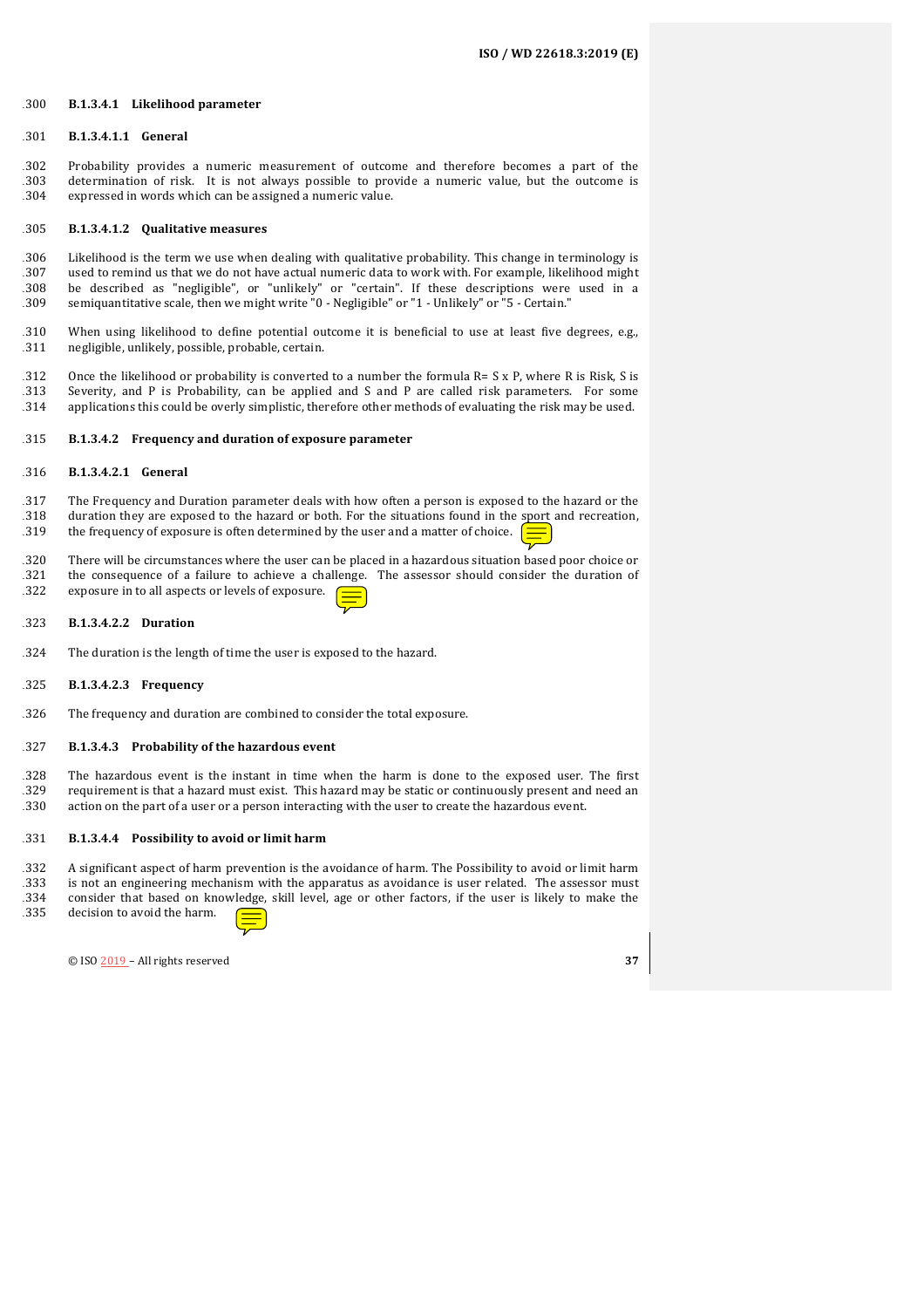#### 1300 **B.1.3.4.1 Likelihood parameter**

#### 1301 **B.1.3.4.1.1 General**

1302 Probability provides a numeric measurement of outcome and therefore becomes a part of the .303 determination of risk. It is not always possible to provide a numeric value, but the outcome is .304 expressed in words which can be assigned a numeric value.

#### 1305 **B.1.3.4.1.2 Qualitative measures**

 $1306$  Likelihood is the term we use when dealing with qualitative probability. This change in terminology is .307 used to remind us that we do not have actual numeric data to work with. For example, likelihood might .308 be described as "negligible", or "unlikely" or "certain". If these descriptions were used in a 1309 semiquantitative scale, then we might write "0 - Negligible" or "1 - Unlikely" or "5 - Certain."

.310 When using likelihood to define potential outcome it is beneficial to use at least five degrees, e.g., .311 negligible, unlikely, possible, probable, certain.

.312 Once the likelihood or probability is converted to a number the formula  $R = S \times P$ , where R is Risk, S is .313 Severity, and P is Probability, can be applied and S and P are called risk parameters. For some .314 applications this could be overly simplistic, therefore other methods of evaluating the risk may be used.

#### 1315 **B.1.3.4.2 Frequency and duration of exposure parameter**

#### 1316 **B.1.3.4.2.1 General**

.317 The Frequency and Duration parameter deals with how often a person is exposed to the hazard or the .318 duration they are exposed to the hazard or both. For the situations found in the sport and recreation, .319 the frequency of exposure is often determined by the user and a matter of choice.

.320 There will be circumstances where the user can be placed in a hazardous situation based poor choice or .321 the consequence of a failure to achieve a challenge. The assessor should consider the duration of

.322 exposure in to all aspects or levels of exposure.

#### 1323 **B.1.3.4.2.2 Duration**

.324 The duration is the length of time the user is exposed to the hazard.

#### 1325 **B.1.3.4.2.3 Frequency**

.326 The frequency and duration are combined to consider the total exposure.

#### .327 **B.1.3.4.3** Probability of the hazardous event

1328 The hazardous event is the instant in time when the harm is done to the exposed user. The first .329 requirement is that a hazard must exist. This hazard may be static or continuously present and need an .330 action on the part of a user or a person interacting with the user to create the hazardous event.

#### .331 **B.1.3.4.4** Possibility to avoid or limit harm

1332 A significant aspect of harm prevention is the avoidance of harm. The Possibility to avoid or limit harm .333 is not an engineering mechanism with the apparatus as avoidance is user related. The assessor must .334 consider that based on knowledge, skill level, age or other factors, if the user is likely to make the



© ISO <u>2019</u> – All rights reserved **37** 

.335 decision to avoid the harm.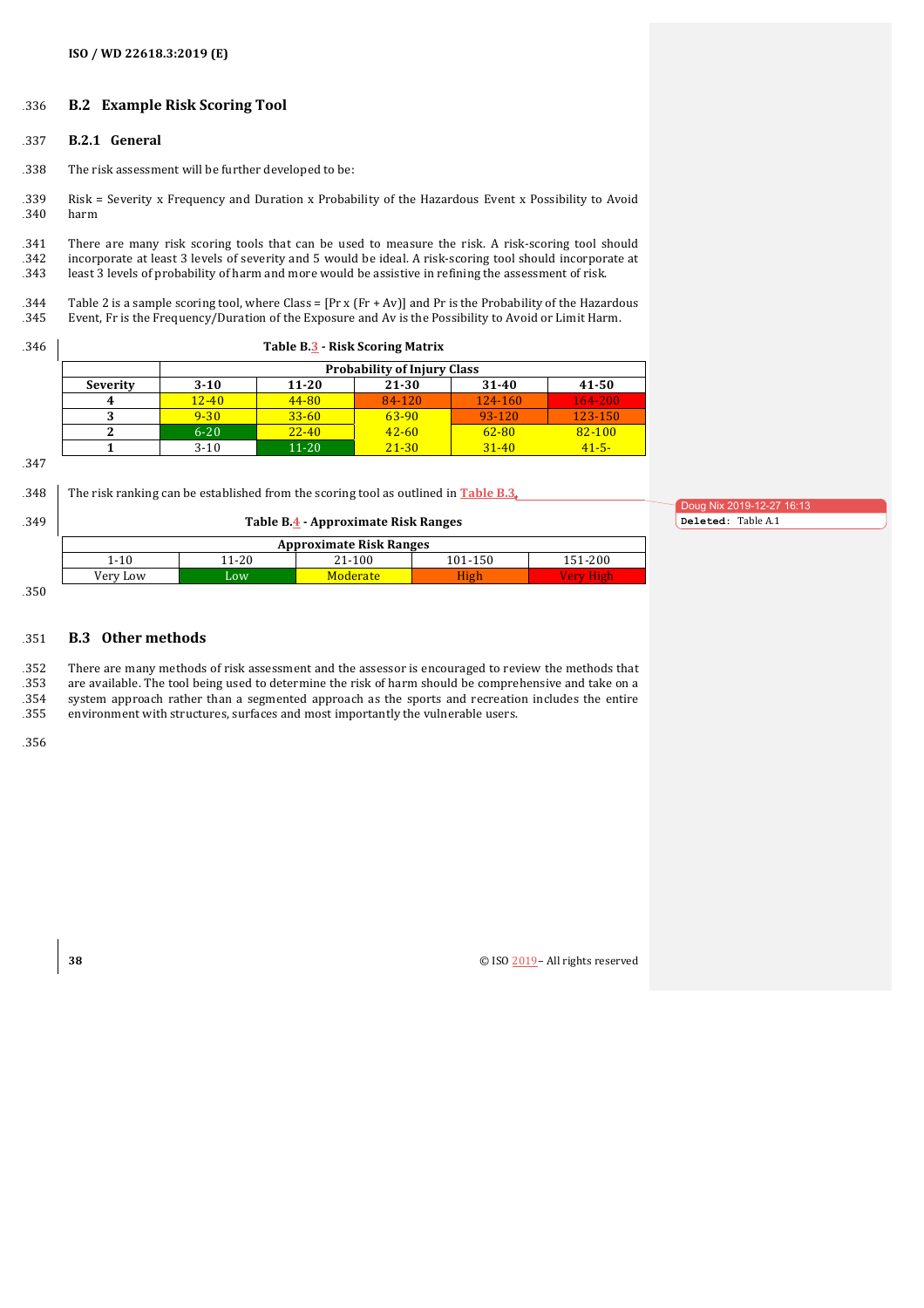# 1336 **B.2 Example Risk Scoring Tool**

#### 1337 **B.2.1 General**

.338 The risk assessment will be further developed to be:

.339 Risk = Severity x Frequency and Duration x Probability of the Hazardous Event x Possibility to Avoid 1340 harm

.341 There are many risk scoring tools that can be used to measure the risk. A risk-scoring tool should .342 incorporate at least 3 levels of severity and 5 would be ideal. A risk-scoring tool should incorporate at .343 least 3 levels of probability of harm and more would be assistive in refining the assessment of risk.

.344 Table 2 is a sample scoring tool, where Class =  $[Pr x (Fr + Av)]$  and Pr is the Probability of the Hazardous 1345 Event, Fr is the Frequency/Duration of the Exposure and Av is the Possibility to Avoid or Limit Harm.

| ۰,<br>٦<br>۰,<br>× | I<br>×<br>۰. |  |
|--------------------|--------------|--|
|                    |              |  |

1346 **Table B.3 - Risk Scoring Matrix**

|          | <b>Probability of Injury Class</b> |           |           |           |            |  |
|----------|------------------------------------|-----------|-----------|-----------|------------|--|
| Severity | $3 - 10$                           | $11 - 20$ | 21-30     | $31 - 40$ | $41 - 50$  |  |
|          | $12 - 40$                          | $44 - 80$ | 84-120    | 124-160   | 164-200    |  |
|          | $9 - 30$                           | $33 - 60$ | $63-90$   | 93-120    | 123-150    |  |
|          | $6 - 20$                           | $22 - 40$ | $42 - 60$ | $62 - 80$ | 82-100     |  |
|          | $3-10$                             | $11 - 20$ | $21 - 30$ | $31 - 40$ | $41 - 5 -$ |  |

1347

1348 The risk ranking can be established from the scoring tool as outlined in Table B.3.

1349 **Table B.4 - Approximate Risk Ranges**

| <b>Approximate Risk Ranges</b>                    |      |          |      |           |  |  |  |
|---------------------------------------------------|------|----------|------|-----------|--|--|--|
| 151-200<br>21-100<br>11-20<br>101-150<br>$1 - 10$ |      |          |      |           |  |  |  |
| Very Low                                          | 1.0W | Moderate | High | Verv High |  |  |  |
|                                                   |      |          |      |           |  |  |  |

1350

# 1351 **B.3** Other methods

.352 There are many methods of risk assessment and the assessor is encouraged to review the methods that .353 are available. The tool being used to determine the risk of harm should be comprehensive and take on a .354 system approach rather than a segmented approach as the sports and recreation includes the entire .355 environment with structures, surfaces and most importantly the vulnerable users.

356

**38** © ISO <u>2019</u> - All rights reserved

Doug Nix 2019-12-27 16:13 Deleted: Table A.1